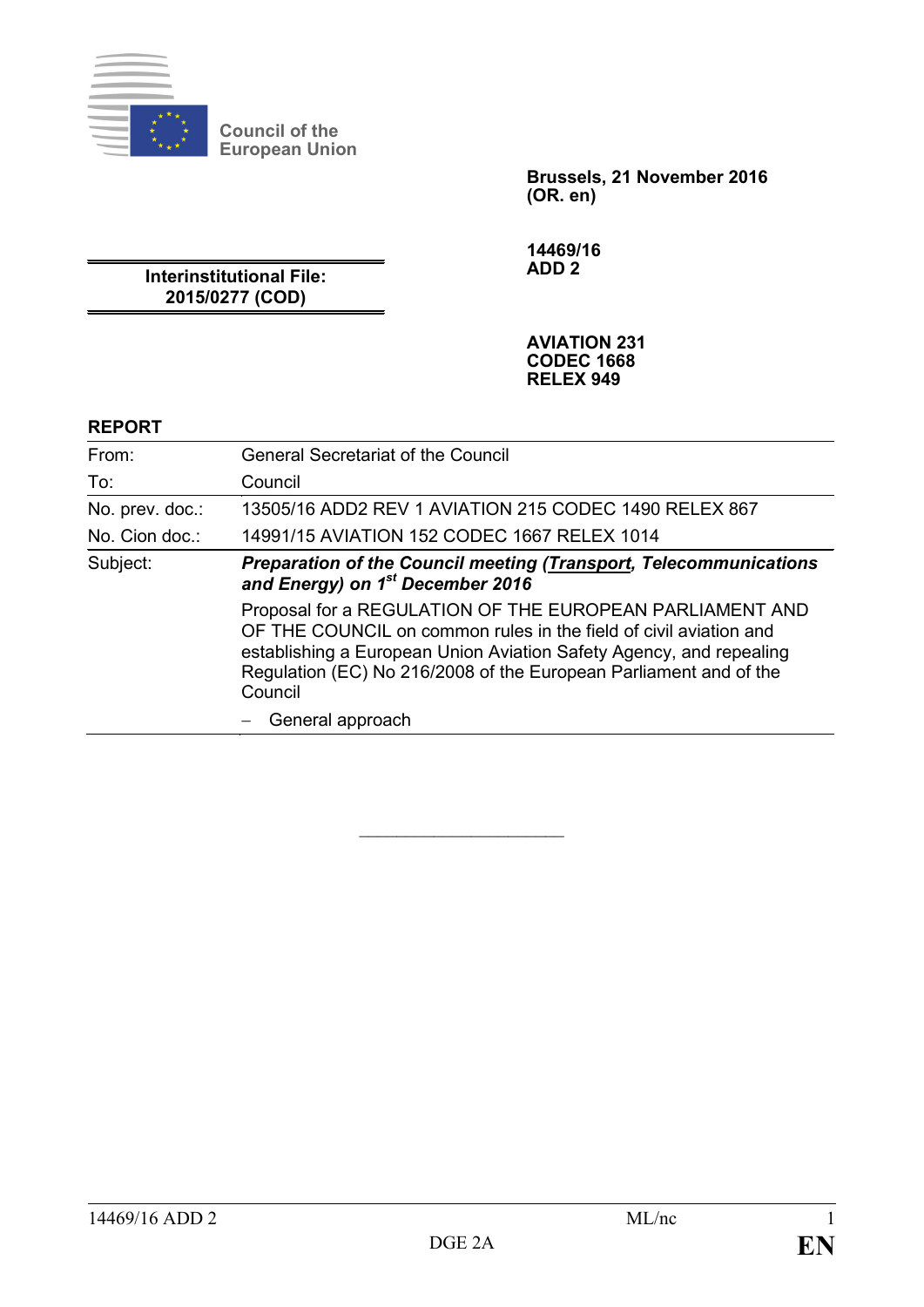

**Council of the European Union**

> **Brussels, 21 November 2016 (OR. en)**

**14469/16 ADD 2**

**Interinstitutional File: 2015/0277 (COD)**

> **AVIATION 231 CODEC 1668 RELEX 949**

#### **REPORT**

| From:           | <b>General Secretariat of the Council</b>                                                                                                                                                                                                                                            |  |  |  |  |
|-----------------|--------------------------------------------------------------------------------------------------------------------------------------------------------------------------------------------------------------------------------------------------------------------------------------|--|--|--|--|
| To:             | Council                                                                                                                                                                                                                                                                              |  |  |  |  |
| No. prev. doc.: | 13505/16 ADD2 REV 1 AVIATION 215 CODEC 1490 RELEX 867                                                                                                                                                                                                                                |  |  |  |  |
| No. Cion doc.:  | 14991/15 AVIATION 152 CODEC 1667 RELEX 1014                                                                                                                                                                                                                                          |  |  |  |  |
| Subject:        | <b>Preparation of the Council meeting (Transport, Telecommunications</b><br>and Energy) on 1 <sup>st</sup> December 2016                                                                                                                                                             |  |  |  |  |
|                 | Proposal for a REGULATION OF THE EUROPEAN PARLIAMENT AND<br>OF THE COUNCIL on common rules in the field of civil aviation and<br>establishing a European Union Aviation Safety Agency, and repealing<br>Regulation (EC) No 216/2008 of the European Parliament and of the<br>Council |  |  |  |  |
|                 | General approach                                                                                                                                                                                                                                                                     |  |  |  |  |

 $\overline{\phantom{a}}$  , which is a set of the set of the set of the set of the set of the set of the set of the set of the set of the set of the set of the set of the set of the set of the set of the set of the set of the set of th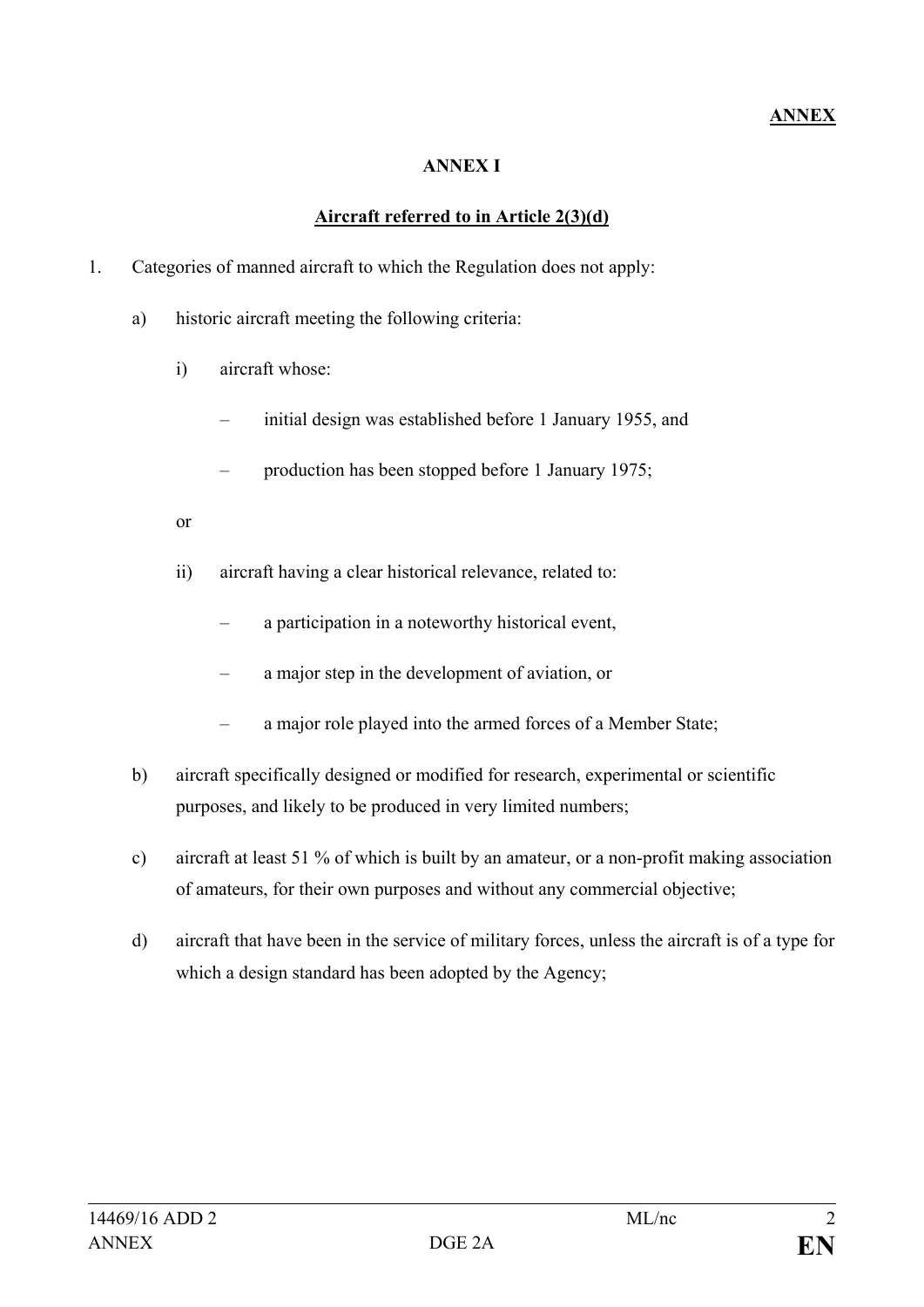## **ANNEX**

#### **ANNEX I**

#### **Aircraft referred to in Article 2(3)(d)**

- 1. Categories of manned aircraft to which the Regulation does not apply:
	- a) historic aircraft meeting the following criteria:
		- i) aircraft whose:
			- initial design was established before 1 January 1955, and
			- production has been stopped before 1 January 1975;
		- or
		- ii) aircraft having a clear historical relevance, related to:
			- a participation in a noteworthy historical event,
			- a major step in the development of aviation, or
			- a major role played into the armed forces of a Member State;
	- b) aircraft specifically designed or modified for research, experimental or scientific purposes, and likely to be produced in very limited numbers;
	- c) aircraft at least 51 % of which is built by an amateur, or a non-profit making association of amateurs, for their own purposes and without any commercial objective;
	- d) aircraft that have been in the service of military forces, unless the aircraft is of a type for which a design standard has been adopted by the Agency;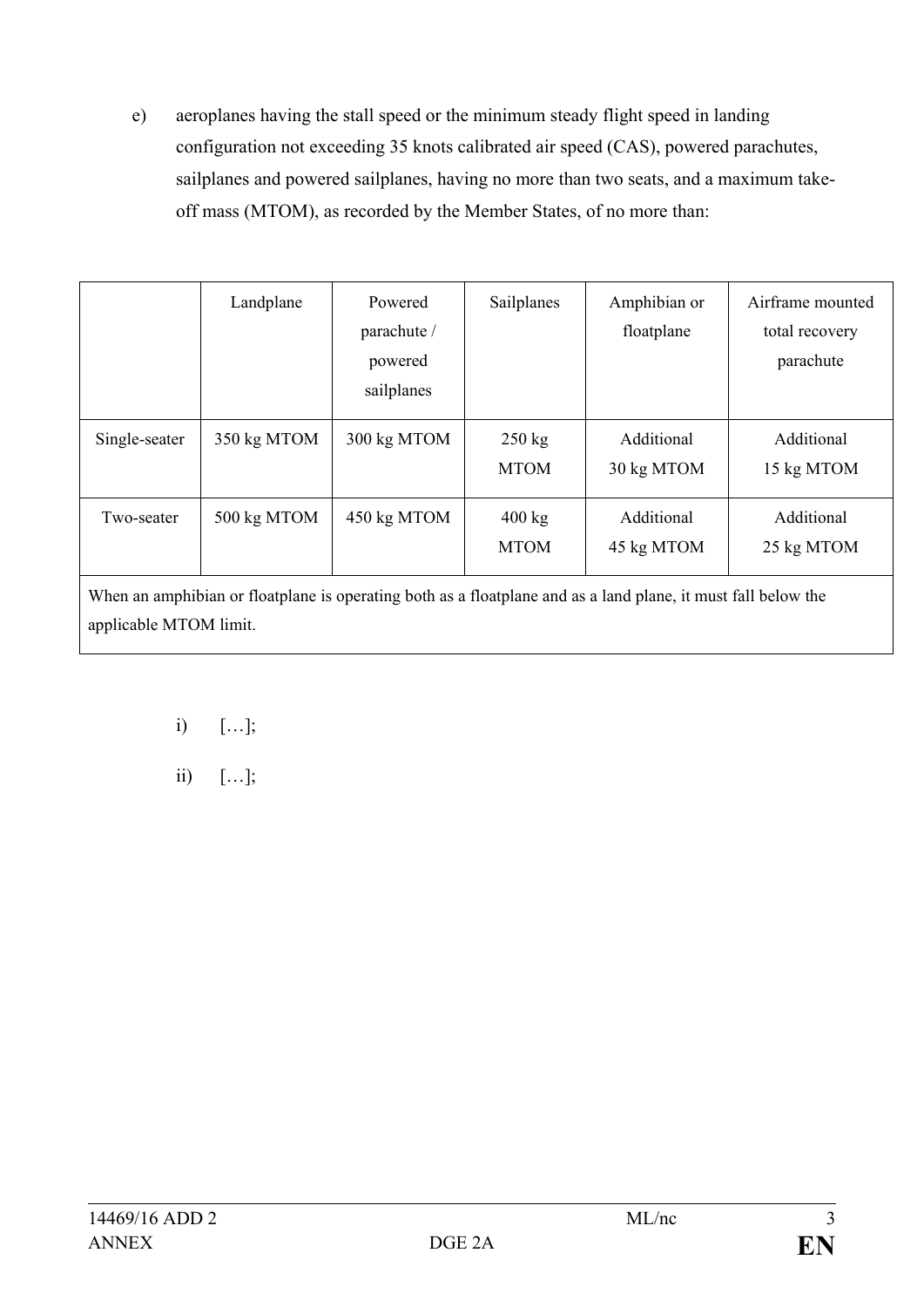e) aeroplanes having the stall speed or the minimum steady flight speed in landing configuration not exceeding 35 knots calibrated air speed (CAS), powered parachutes, sailplanes and powered sailplanes, having no more than two seats, and a maximum takeoff mass (MTOM), as recorded by the Member States, of no more than:

|                                                                                                               | Landplane   | Powered<br>parachute /<br>powered<br>sailplanes | Sailplanes                      | Amphibian or<br>floatplane | Airframe mounted<br>total recovery<br>parachute |  |  |
|---------------------------------------------------------------------------------------------------------------|-------------|-------------------------------------------------|---------------------------------|----------------------------|-------------------------------------------------|--|--|
| Single-seater                                                                                                 | 350 kg MTOM | 300 kg MTOM                                     | $250 \text{ kg}$<br><b>MTOM</b> | Additional<br>30 kg MTOM   | Additional<br>15 kg MTOM                        |  |  |
| Two-seater                                                                                                    | 500 kg MTOM | 450 kg MTOM                                     | $400 \text{ kg}$<br><b>MTOM</b> | Additional<br>45 kg MTOM   | Additional<br>25 kg MTOM                        |  |  |
| When an amphibian or floatplane is operating both as a floatplane and as a land plane, it must fall below the |             |                                                 |                                 |                            |                                                 |  |  |

i) […];

applicable MTOM limit.

ii)  $[\ldots]$ ;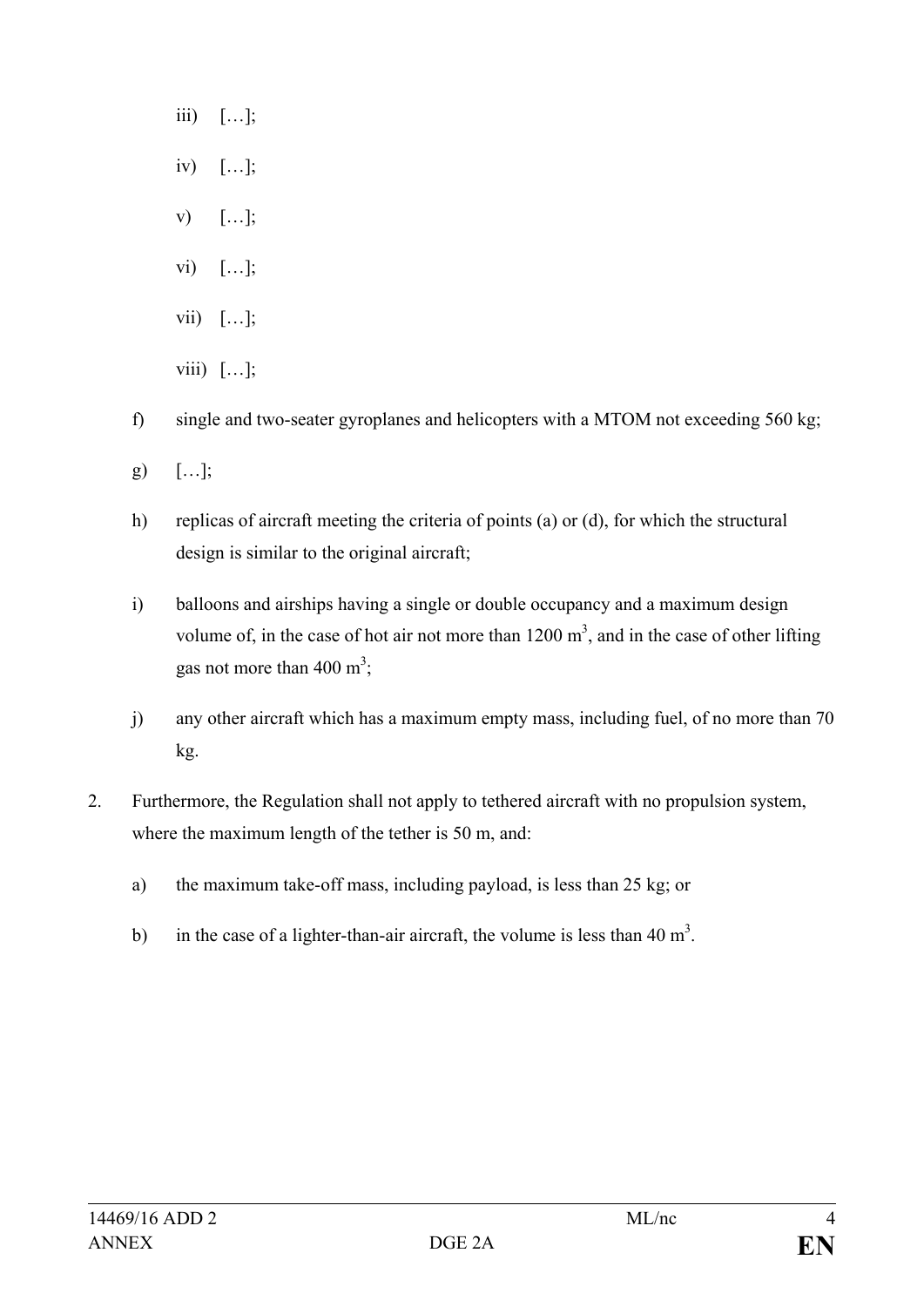- iii)  $[\ldots]$ ;
- iv) […];
- $V)$  [...];
- vi) […];
- vii) […];
- viii)  $[\ldots]$ ;
- f) single and two-seater gyroplanes and helicopters with a MTOM not exceeding 560 kg;
- g)  $[\ldots]$ ;
- h) replicas of aircraft meeting the criteria of points (a) or (d), for which the structural design is similar to the original aircraft;
- i) balloons and airships having a single or double occupancy and a maximum design volume of, in the case of hot air not more than  $1200 \text{ m}^3$ , and in the case of other lifting gas not more than  $400 \text{ m}^3$ ;
- j) any other aircraft which has a maximum empty mass, including fuel, of no more than 70 kg.
- 2. Furthermore, the Regulation shall not apply to tethered aircraft with no propulsion system, where the maximum length of the tether is 50 m, and:
	- a) the maximum take-off mass, including payload, is less than 25 kg; or
	- b) in the case of a lighter-than-air aircraft, the volume is less than 40 m<sup>3</sup>.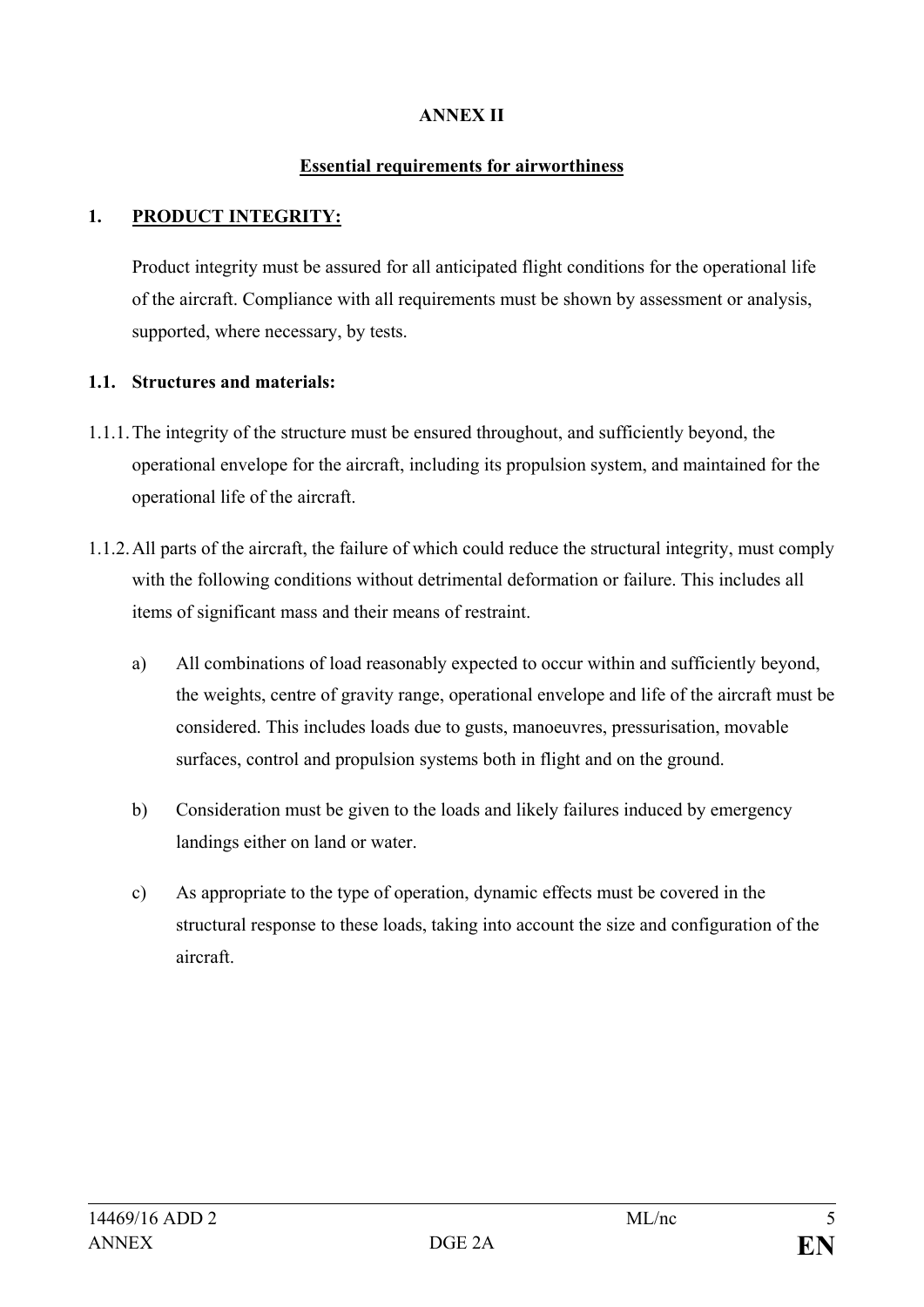## **ANNEX II**

#### **Essential requirements for airworthiness**

## **1. PRODUCT INTEGRITY:**

Product integrity must be assured for all anticipated flight conditions for the operational life of the aircraft. Compliance with all requirements must be shown by assessment or analysis, supported, where necessary, by tests.

#### **1.1. Structures and materials:**

- 1.1.1.The integrity of the structure must be ensured throughout, and sufficiently beyond, the operational envelope for the aircraft, including its propulsion system, and maintained for the operational life of the aircraft.
- 1.1.2.All parts of the aircraft, the failure of which could reduce the structural integrity, must comply with the following conditions without detrimental deformation or failure. This includes all items of significant mass and their means of restraint.
	- a) All combinations of load reasonably expected to occur within and sufficiently beyond, the weights, centre of gravity range, operational envelope and life of the aircraft must be considered. This includes loads due to gusts, manoeuvres, pressurisation, movable surfaces, control and propulsion systems both in flight and on the ground.
	- b) Consideration must be given to the loads and likely failures induced by emergency landings either on land or water.
	- c) As appropriate to the type of operation, dynamic effects must be covered in the structural response to these loads, taking into account the size and configuration of the aircraft.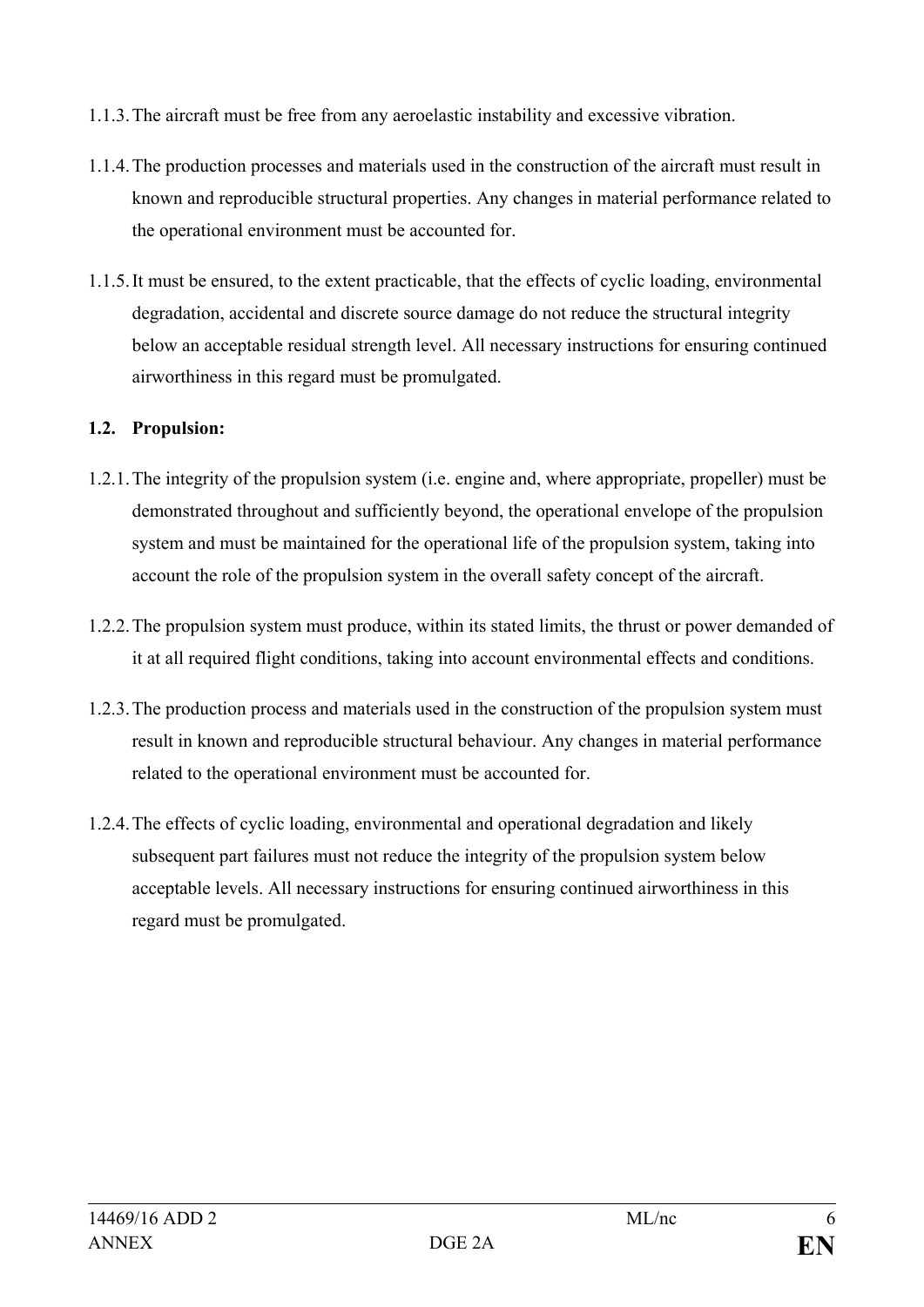- 1.1.3.The aircraft must be free from any aeroelastic instability and excessive vibration.
- 1.1.4.The production processes and materials used in the construction of the aircraft must result in known and reproducible structural properties. Any changes in material performance related to the operational environment must be accounted for.
- 1.1.5.It must be ensured, to the extent practicable, that the effects of cyclic loading, environmental degradation, accidental and discrete source damage do not reduce the structural integrity below an acceptable residual strength level. All necessary instructions for ensuring continued airworthiness in this regard must be promulgated.

## **1.2. Propulsion:**

- 1.2.1.The integrity of the propulsion system (i.e. engine and, where appropriate, propeller) must be demonstrated throughout and sufficiently beyond, the operational envelope of the propulsion system and must be maintained for the operational life of the propulsion system, taking into account the role of the propulsion system in the overall safety concept of the aircraft.
- 1.2.2.The propulsion system must produce, within its stated limits, the thrust or power demanded of it at all required flight conditions, taking into account environmental effects and conditions.
- 1.2.3.The production process and materials used in the construction of the propulsion system must result in known and reproducible structural behaviour. Any changes in material performance related to the operational environment must be accounted for.
- 1.2.4.The effects of cyclic loading, environmental and operational degradation and likely subsequent part failures must not reduce the integrity of the propulsion system below acceptable levels. All necessary instructions for ensuring continued airworthiness in this regard must be promulgated.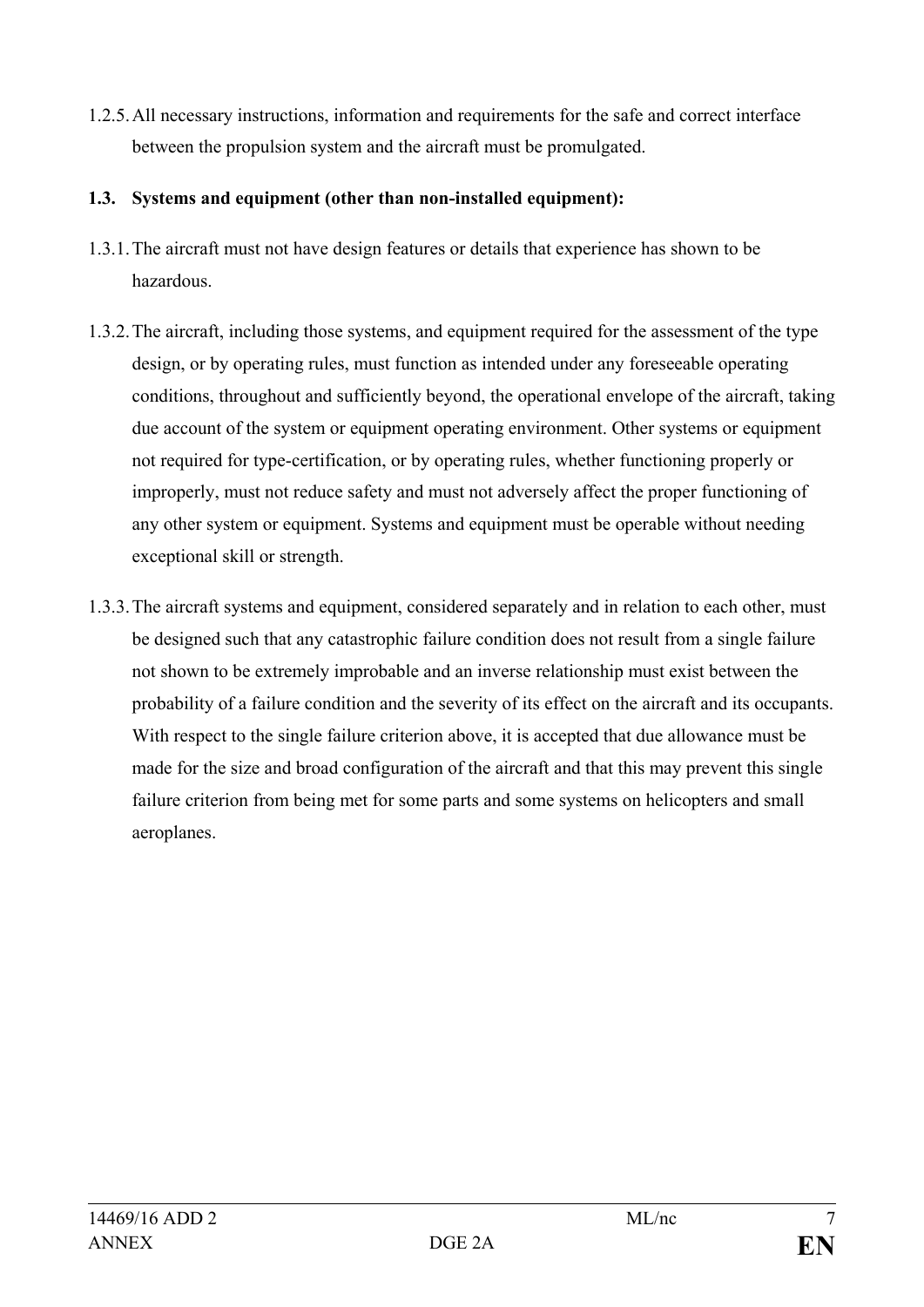1.2.5.All necessary instructions, information and requirements for the safe and correct interface between the propulsion system and the aircraft must be promulgated.

## **1.3. Systems and equipment (other than non-installed equipment):**

- 1.3.1.The aircraft must not have design features or details that experience has shown to be hazardous.
- 1.3.2.The aircraft, including those systems, and equipment required for the assessment of the type design, or by operating rules, must function as intended under any foreseeable operating conditions, throughout and sufficiently beyond, the operational envelope of the aircraft, taking due account of the system or equipment operating environment. Other systems or equipment not required for type-certification, or by operating rules, whether functioning properly or improperly, must not reduce safety and must not adversely affect the proper functioning of any other system or equipment. Systems and equipment must be operable without needing exceptional skill or strength.
- 1.3.3.The aircraft systems and equipment, considered separately and in relation to each other, must be designed such that any catastrophic failure condition does not result from a single failure not shown to be extremely improbable and an inverse relationship must exist between the probability of a failure condition and the severity of its effect on the aircraft and its occupants. With respect to the single failure criterion above, it is accepted that due allowance must be made for the size and broad configuration of the aircraft and that this may prevent this single failure criterion from being met for some parts and some systems on helicopters and small aeroplanes.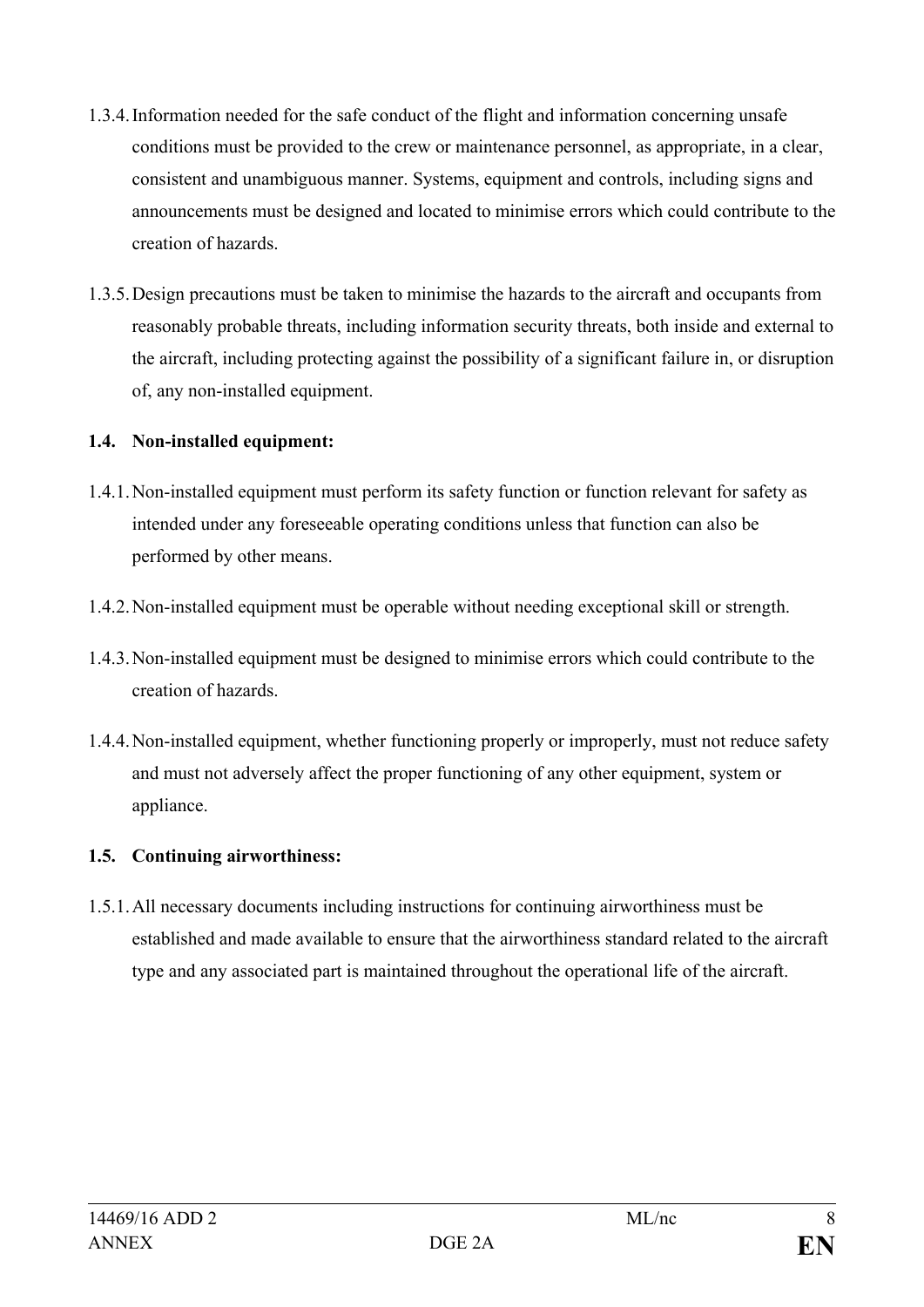- 1.3.4.Information needed for the safe conduct of the flight and information concerning unsafe conditions must be provided to the crew or maintenance personnel, as appropriate, in a clear, consistent and unambiguous manner. Systems, equipment and controls, including signs and announcements must be designed and located to minimise errors which could contribute to the creation of hazards.
- 1.3.5.Design precautions must be taken to minimise the hazards to the aircraft and occupants from reasonably probable threats, including information security threats, both inside and external to the aircraft, including protecting against the possibility of a significant failure in, or disruption of, any non-installed equipment.

## **1.4. Non-installed equipment:**

- 1.4.1.Non-installed equipment must perform its safety function or function relevant for safety as intended under any foreseeable operating conditions unless that function can also be performed by other means.
- 1.4.2.Non-installed equipment must be operable without needing exceptional skill or strength.
- 1.4.3.Non-installed equipment must be designed to minimise errors which could contribute to the creation of hazards.
- 1.4.4.Non-installed equipment, whether functioning properly or improperly, must not reduce safety and must not adversely affect the proper functioning of any other equipment, system or appliance.

## **1.5. Continuing airworthiness:**

1.5.1.All necessary documents including instructions for continuing airworthiness must be established and made available to ensure that the airworthiness standard related to the aircraft type and any associated part is maintained throughout the operational life of the aircraft.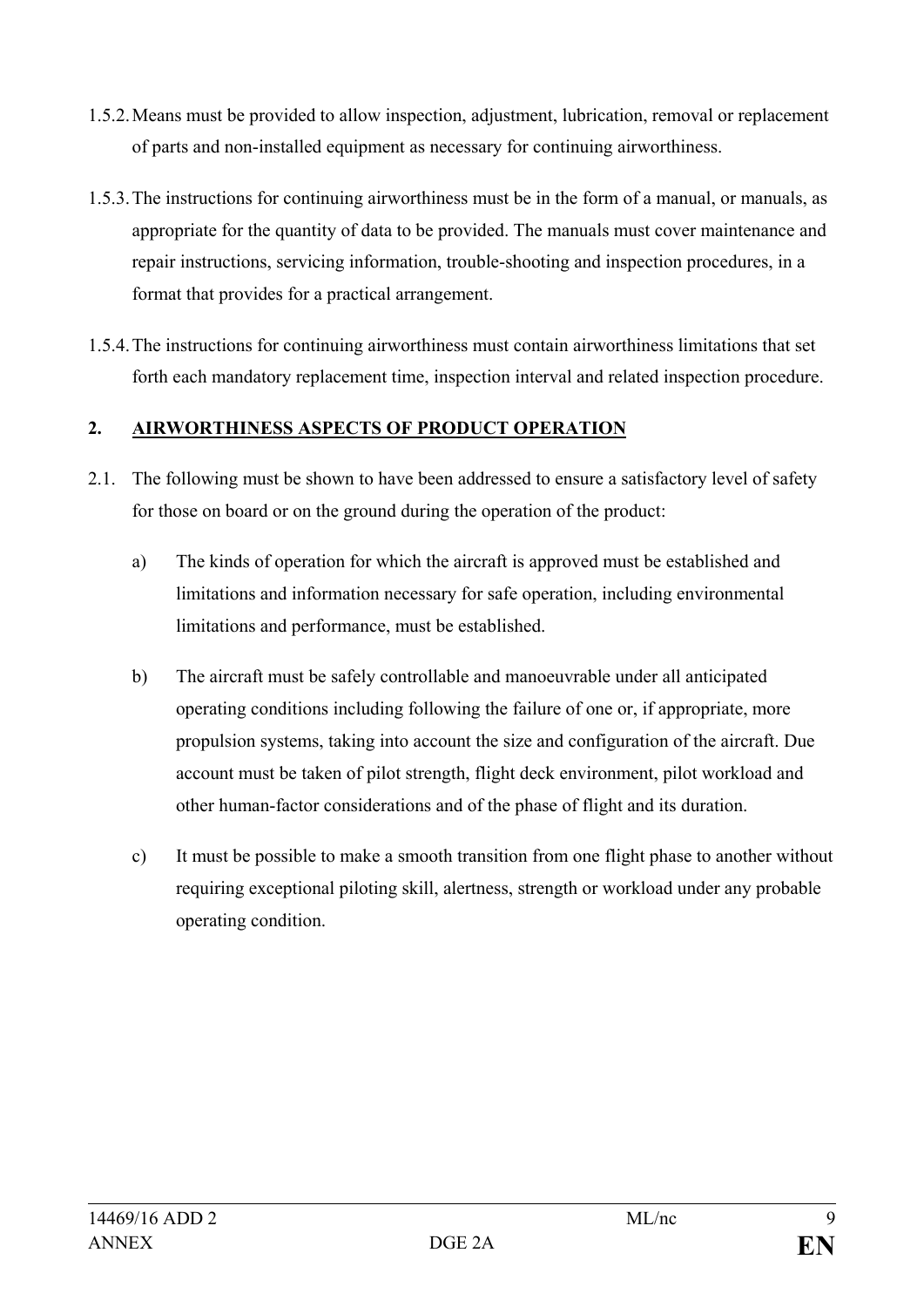- 1.5.2.Means must be provided to allow inspection, adjustment, lubrication, removal or replacement of parts and non-installed equipment as necessary for continuing airworthiness.
- 1.5.3.The instructions for continuing airworthiness must be in the form of a manual, or manuals, as appropriate for the quantity of data to be provided. The manuals must cover maintenance and repair instructions, servicing information, trouble-shooting and inspection procedures, in a format that provides for a practical arrangement.
- 1.5.4.The instructions for continuing airworthiness must contain airworthiness limitations that set forth each mandatory replacement time, inspection interval and related inspection procedure.

## **2. AIRWORTHINESS ASPECTS OF PRODUCT OPERATION**

- 2.1. The following must be shown to have been addressed to ensure a satisfactory level of safety for those on board or on the ground during the operation of the product:
	- a) The kinds of operation for which the aircraft is approved must be established and limitations and information necessary for safe operation, including environmental limitations and performance, must be established.
	- b) The aircraft must be safely controllable and manoeuvrable under all anticipated operating conditions including following the failure of one or, if appropriate, more propulsion systems, taking into account the size and configuration of the aircraft. Due account must be taken of pilot strength, flight deck environment, pilot workload and other human-factor considerations and of the phase of flight and its duration.
	- c) It must be possible to make a smooth transition from one flight phase to another without requiring exceptional piloting skill, alertness, strength or workload under any probable operating condition.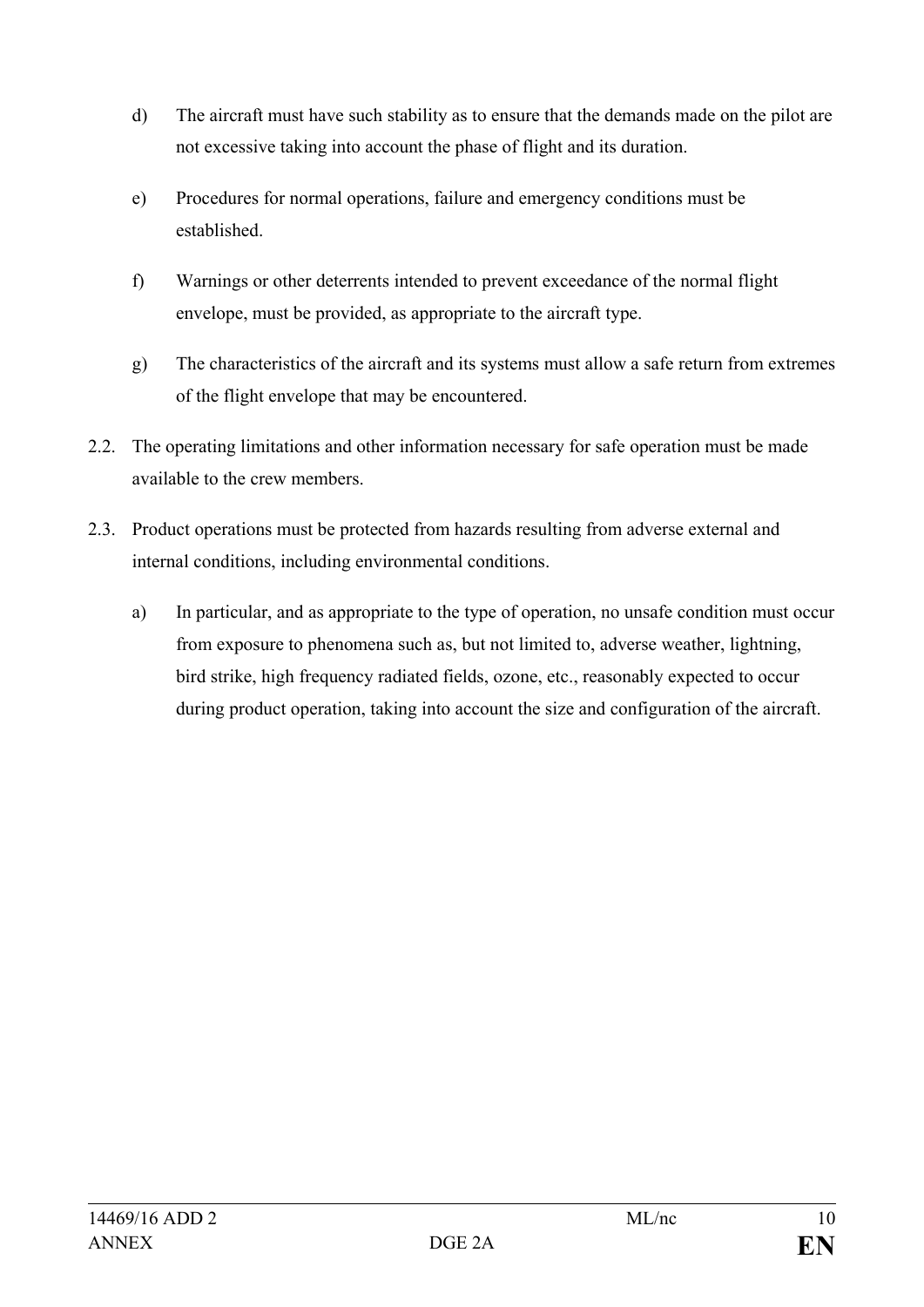- d) The aircraft must have such stability as to ensure that the demands made on the pilot are not excessive taking into account the phase of flight and its duration.
- e) Procedures for normal operations, failure and emergency conditions must be established.
- f) Warnings or other deterrents intended to prevent exceedance of the normal flight envelope, must be provided, as appropriate to the aircraft type.
- g) The characteristics of the aircraft and its systems must allow a safe return from extremes of the flight envelope that may be encountered.
- 2.2. The operating limitations and other information necessary for safe operation must be made available to the crew members.
- 2.3. Product operations must be protected from hazards resulting from adverse external and internal conditions, including environmental conditions.
	- a) In particular, and as appropriate to the type of operation, no unsafe condition must occur from exposure to phenomena such as, but not limited to, adverse weather, lightning, bird strike, high frequency radiated fields, ozone, etc., reasonably expected to occur during product operation, taking into account the size and configuration of the aircraft.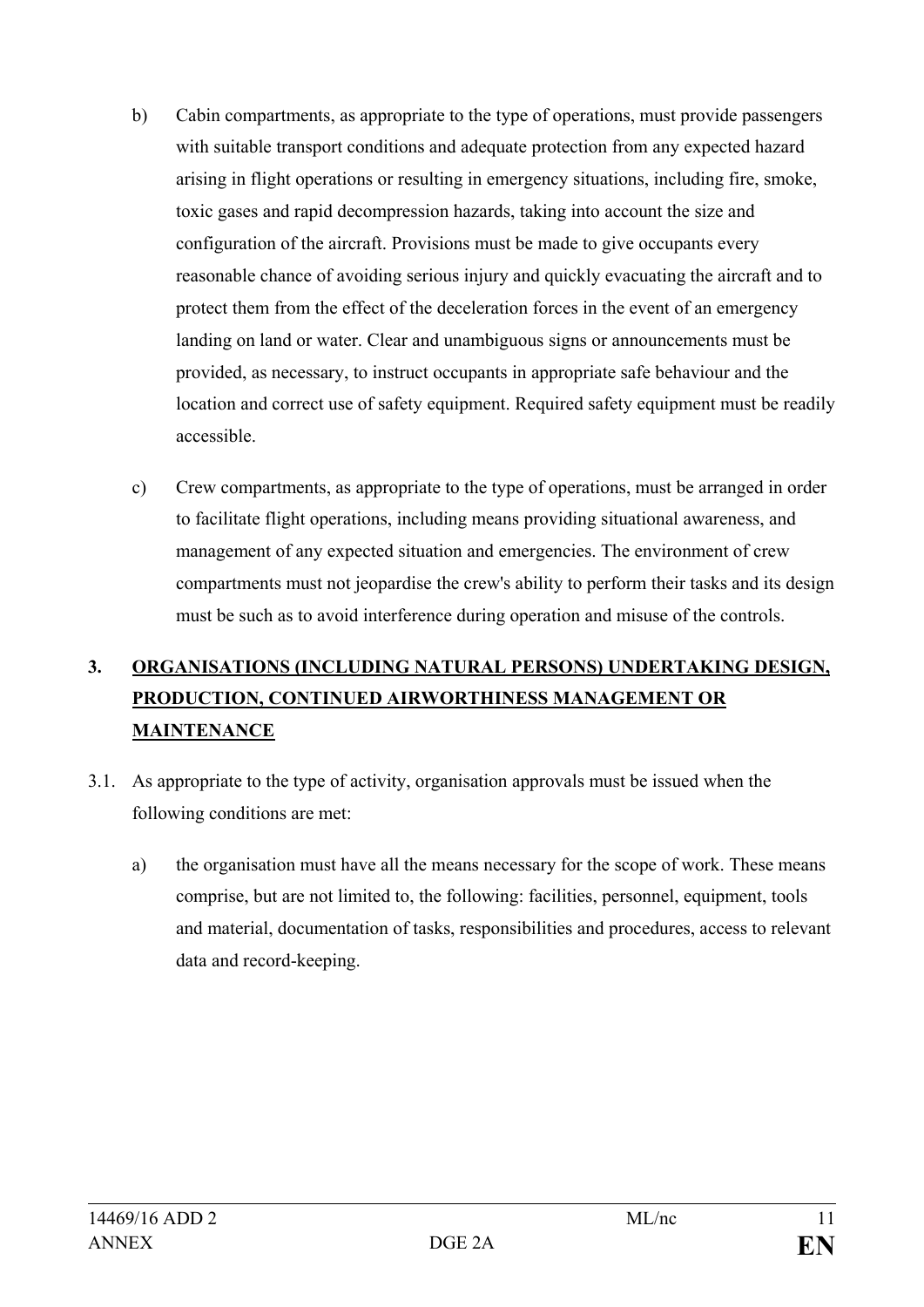- b) Cabin compartments, as appropriate to the type of operations, must provide passengers with suitable transport conditions and adequate protection from any expected hazard arising in flight operations or resulting in emergency situations, including fire, smoke, toxic gases and rapid decompression hazards, taking into account the size and configuration of the aircraft. Provisions must be made to give occupants every reasonable chance of avoiding serious injury and quickly evacuating the aircraft and to protect them from the effect of the deceleration forces in the event of an emergency landing on land or water. Clear and unambiguous signs or announcements must be provided, as necessary, to instruct occupants in appropriate safe behaviour and the location and correct use of safety equipment. Required safety equipment must be readily accessible.
- c) Crew compartments, as appropriate to the type of operations, must be arranged in order to facilitate flight operations, including means providing situational awareness, and management of any expected situation and emergencies. The environment of crew compartments must not jeopardise the crew's ability to perform their tasks and its design must be such as to avoid interference during operation and misuse of the controls.

## **3. ORGANISATIONS (INCLUDING NATURAL PERSONS) UNDERTAKING DESIGN, PRODUCTION, CONTINUED AIRWORTHINESS MANAGEMENT OR MAINTENANCE**

- 3.1. As appropriate to the type of activity, organisation approvals must be issued when the following conditions are met:
	- a) the organisation must have all the means necessary for the scope of work. These means comprise, but are not limited to, the following: facilities, personnel, equipment, tools and material, documentation of tasks, responsibilities and procedures, access to relevant data and record-keeping.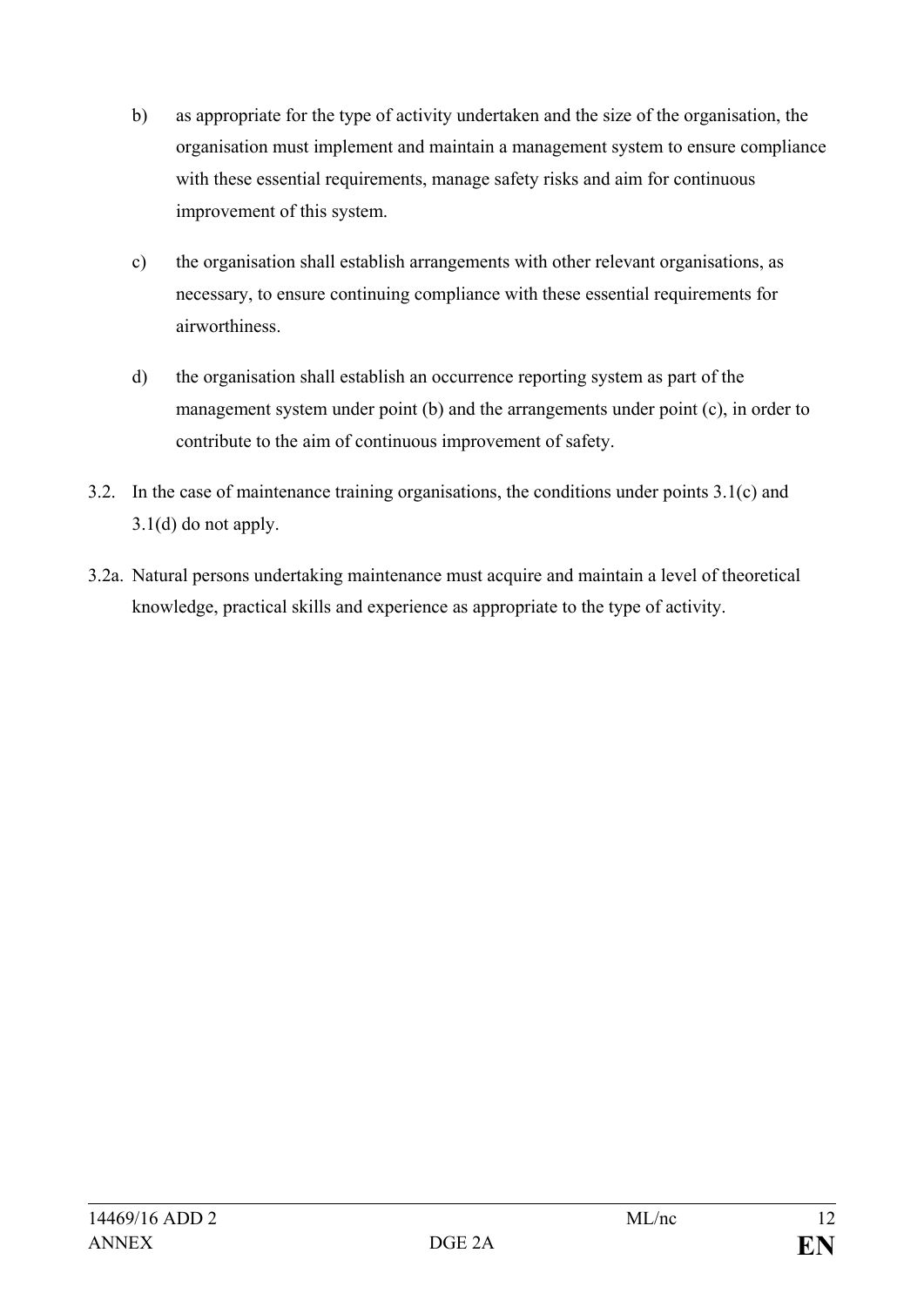- b) as appropriate for the type of activity undertaken and the size of the organisation, the organisation must implement and maintain a management system to ensure compliance with these essential requirements, manage safety risks and aim for continuous improvement of this system.
- c) the organisation shall establish arrangements with other relevant organisations, as necessary, to ensure continuing compliance with these essential requirements for airworthiness.
- d) the organisation shall establish an occurrence reporting system as part of the management system under point (b) and the arrangements under point (c), in order to contribute to the aim of continuous improvement of safety.
- 3.2. In the case of maintenance training organisations, the conditions under points 3.1(c) and 3.1(d) do not apply.
- 3.2a. Natural persons undertaking maintenance must acquire and maintain a level of theoretical knowledge, practical skills and experience as appropriate to the type of activity.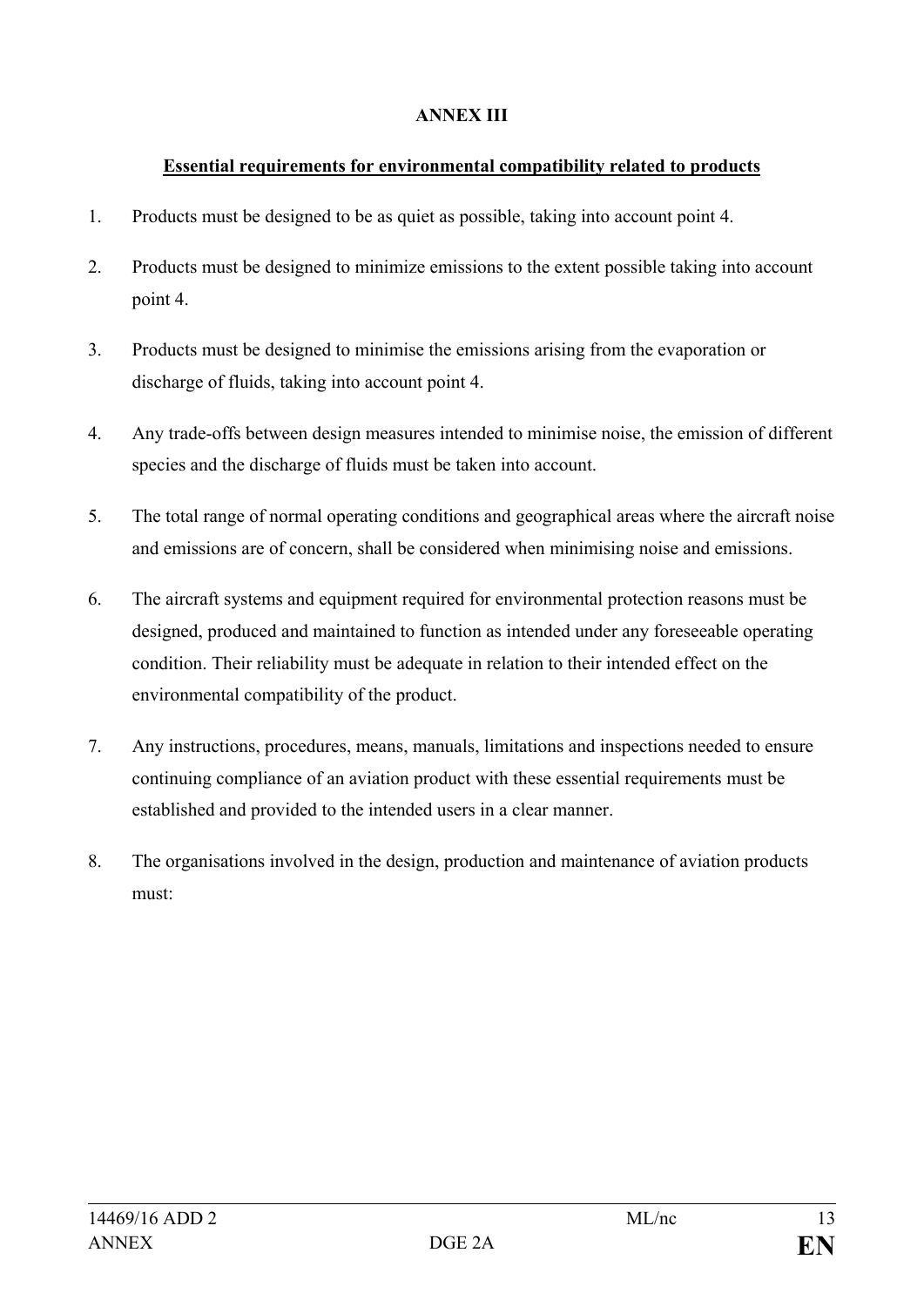## **ANNEX III**

## **Essential requirements for environmental compatibility related to products**

- 1. Products must be designed to be as quiet as possible, taking into account point 4.
- 2. Products must be designed to minimize emissions to the extent possible taking into account point 4.
- 3. Products must be designed to minimise the emissions arising from the evaporation or discharge of fluids, taking into account point 4.
- 4. Any trade-offs between design measures intended to minimise noise, the emission of different species and the discharge of fluids must be taken into account.
- 5. The total range of normal operating conditions and geographical areas where the aircraft noise and emissions are of concern, shall be considered when minimising noise and emissions.
- 6. The aircraft systems and equipment required for environmental protection reasons must be designed, produced and maintained to function as intended under any foreseeable operating condition. Their reliability must be adequate in relation to their intended effect on the environmental compatibility of the product.
- 7. Any instructions, procedures, means, manuals, limitations and inspections needed to ensure continuing compliance of an aviation product with these essential requirements must be established and provided to the intended users in a clear manner.
- 8. The organisations involved in the design, production and maintenance of aviation products must: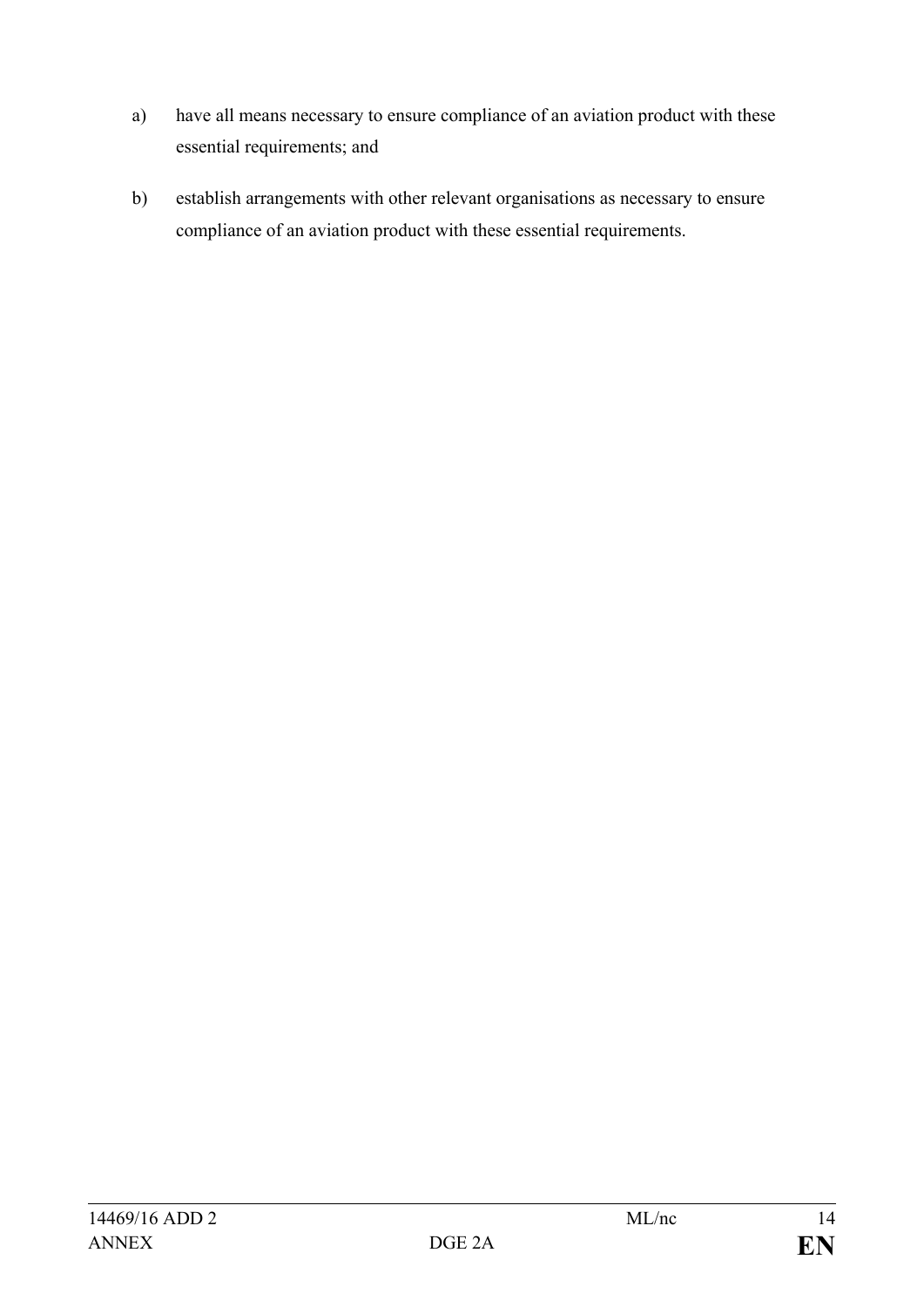- a) have all means necessary to ensure compliance of an aviation product with these essential requirements; and
- b) establish arrangements with other relevant organisations as necessary to ensure compliance of an aviation product with these essential requirements.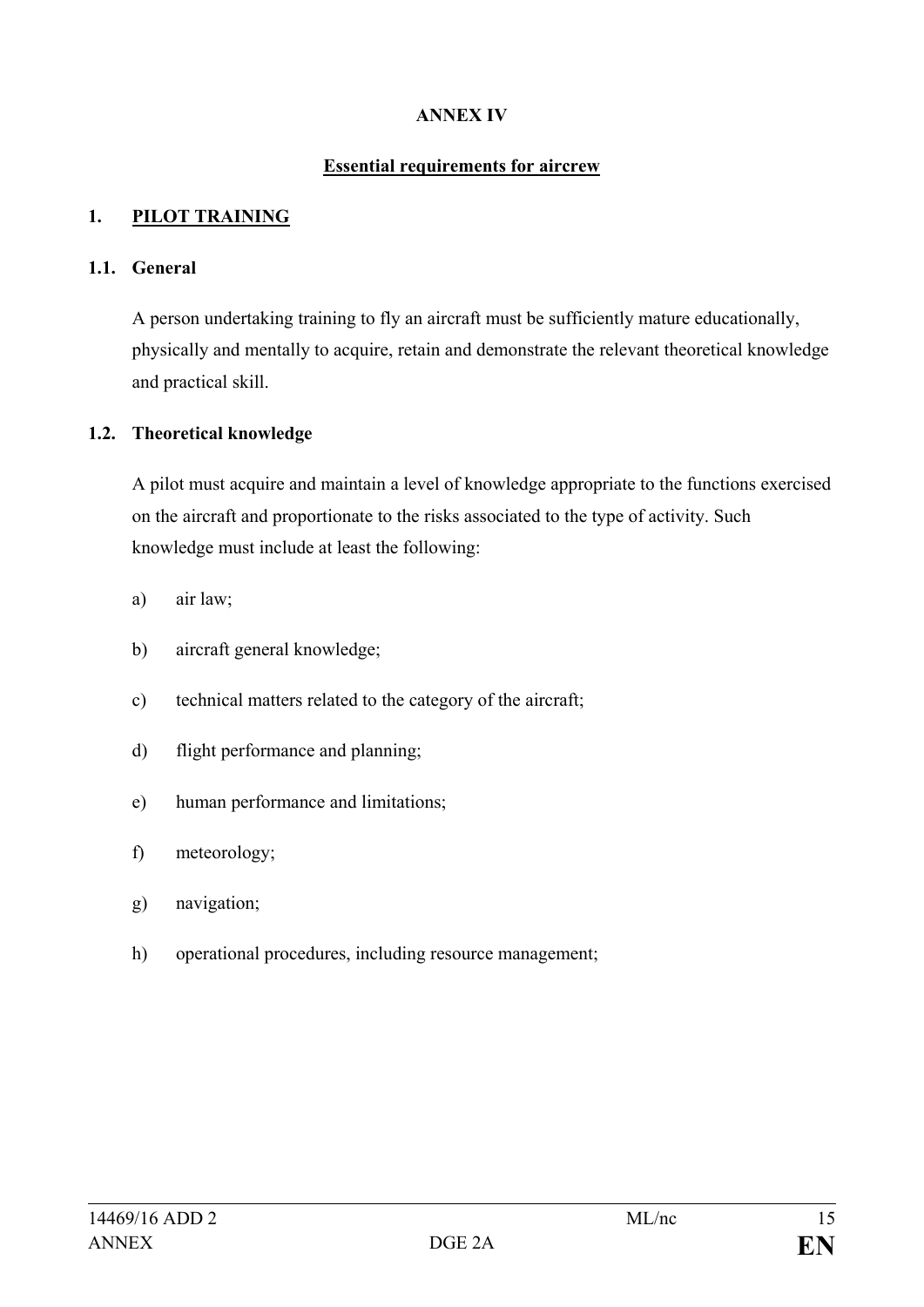## **ANNEX IV**

#### **Essential requirements for aircrew**

#### **1. PILOT TRAINING**

#### **1.1. General**

A person undertaking training to fly an aircraft must be sufficiently mature educationally, physically and mentally to acquire, retain and demonstrate the relevant theoretical knowledge and practical skill.

#### **1.2. Theoretical knowledge**

A pilot must acquire and maintain a level of knowledge appropriate to the functions exercised on the aircraft and proportionate to the risks associated to the type of activity. Such knowledge must include at least the following:

- a) air law;
- b) aircraft general knowledge;
- c) technical matters related to the category of the aircraft;
- d) flight performance and planning;
- e) human performance and limitations;
- f) meteorology;
- g) navigation;
- h) operational procedures, including resource management;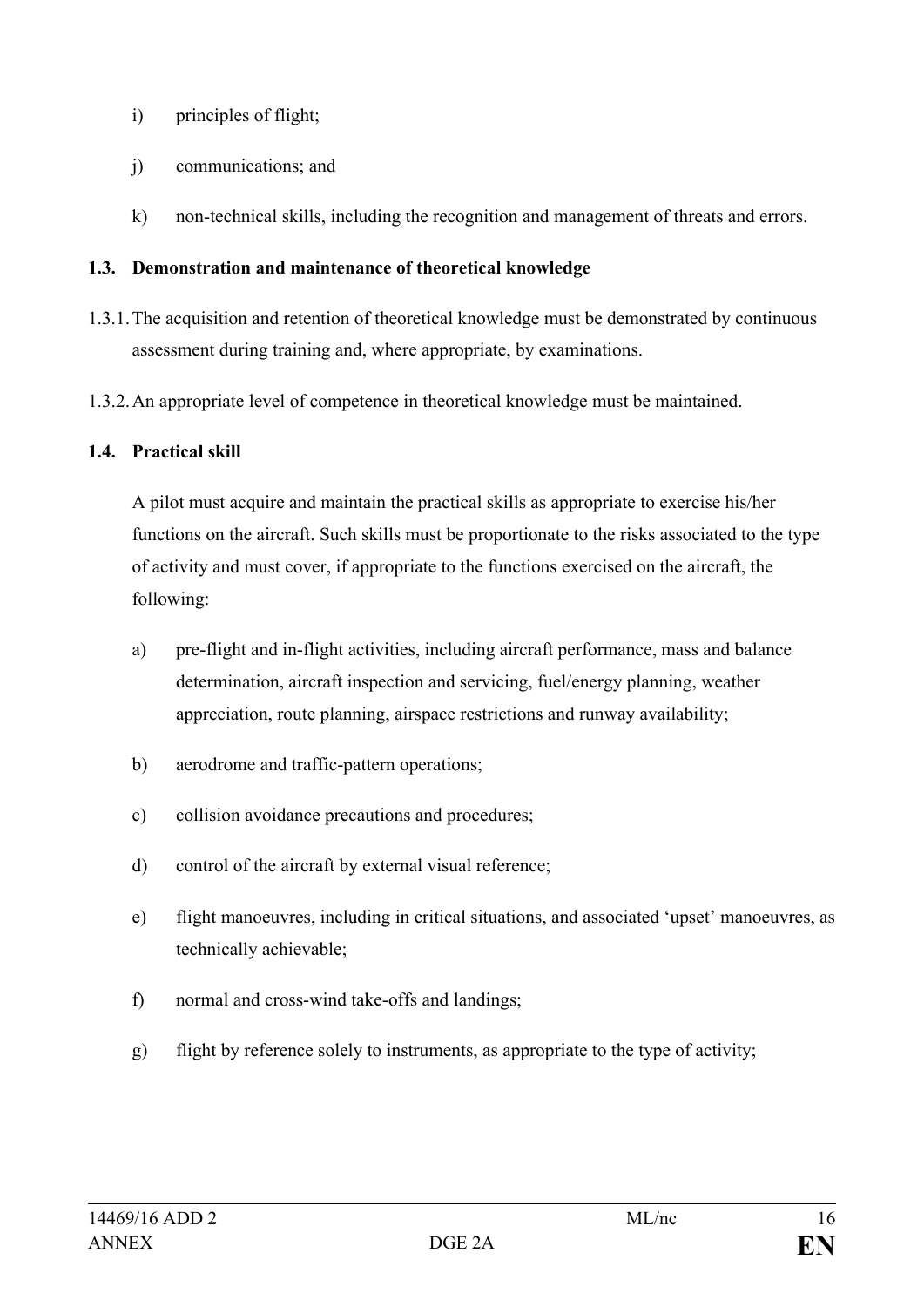- i) principles of flight;
- j) communications; and
- k) non-technical skills, including the recognition and management of threats and errors.

## **1.3. Demonstration and maintenance of theoretical knowledge**

- 1.3.1.The acquisition and retention of theoretical knowledge must be demonstrated by continuous assessment during training and, where appropriate, by examinations.
- 1.3.2.An appropriate level of competence in theoretical knowledge must be maintained.

## **1.4. Practical skill**

A pilot must acquire and maintain the practical skills as appropriate to exercise his/her functions on the aircraft. Such skills must be proportionate to the risks associated to the type of activity and must cover, if appropriate to the functions exercised on the aircraft, the following:

- a) pre-flight and in-flight activities, including aircraft performance, mass and balance determination, aircraft inspection and servicing, fuel/energy planning, weather appreciation, route planning, airspace restrictions and runway availability;
- b) aerodrome and traffic-pattern operations;
- c) collision avoidance precautions and procedures;
- d) control of the aircraft by external visual reference;
- e) flight manoeuvres, including in critical situations, and associated 'upset' manoeuvres, as technically achievable;
- f) normal and cross-wind take-offs and landings;
- g) flight by reference solely to instruments, as appropriate to the type of activity;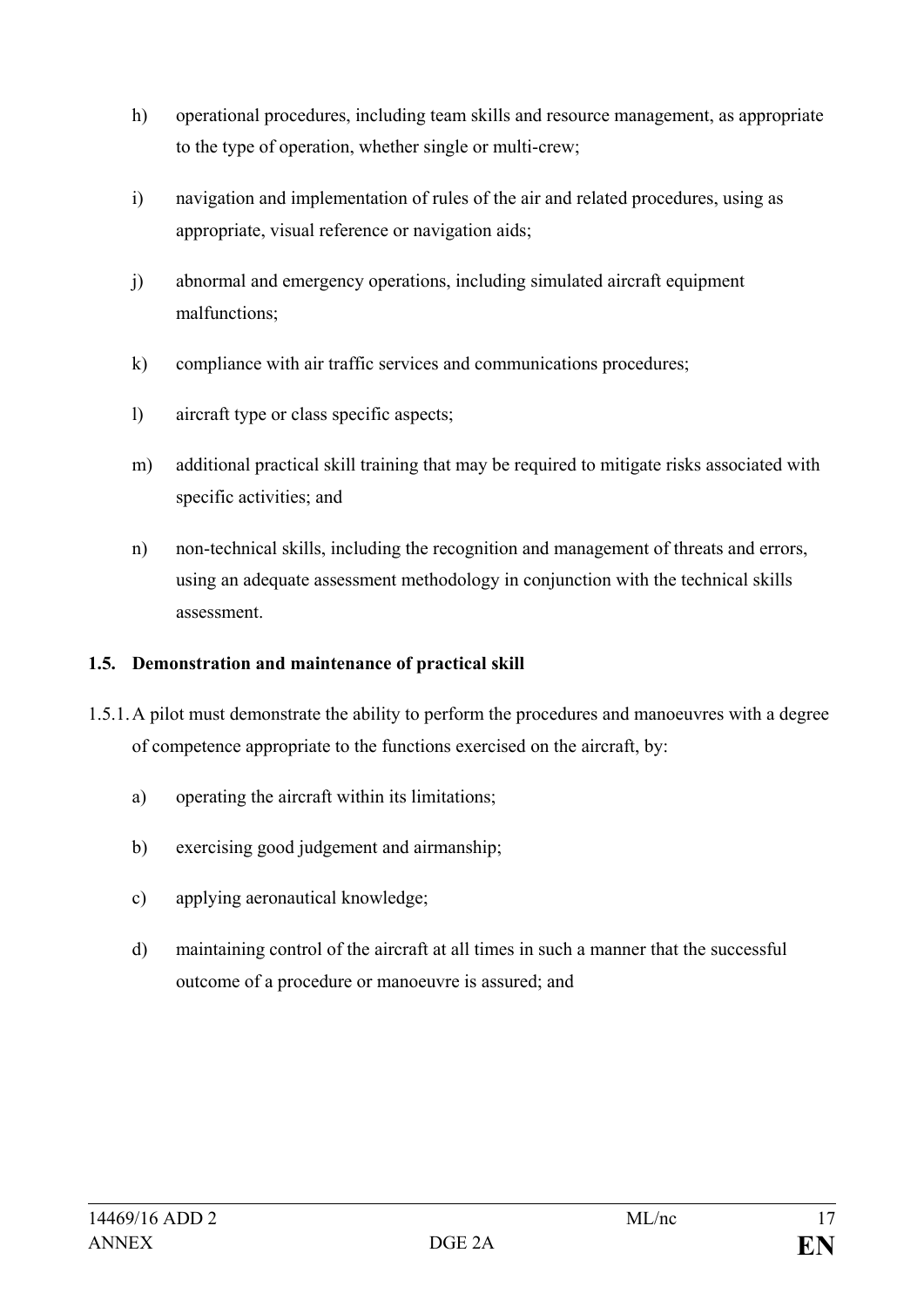- h) operational procedures, including team skills and resource management, as appropriate to the type of operation, whether single or multi-crew;
- i) navigation and implementation of rules of the air and related procedures, using as appropriate, visual reference or navigation aids;
- j) abnormal and emergency operations, including simulated aircraft equipment malfunctions;
- k) compliance with air traffic services and communications procedures;
- l) aircraft type or class specific aspects;
- m) additional practical skill training that may be required to mitigate risks associated with specific activities; and
- n) non-technical skills, including the recognition and management of threats and errors, using an adequate assessment methodology in conjunction with the technical skills assessment.

## **1.5. Demonstration and maintenance of practical skill**

- 1.5.1.A pilot must demonstrate the ability to perform the procedures and manoeuvres with a degree of competence appropriate to the functions exercised on the aircraft, by:
	- a) operating the aircraft within its limitations;
	- b) exercising good judgement and airmanship;
	- c) applying aeronautical knowledge;
	- d) maintaining control of the aircraft at all times in such a manner that the successful outcome of a procedure or manoeuvre is assured; and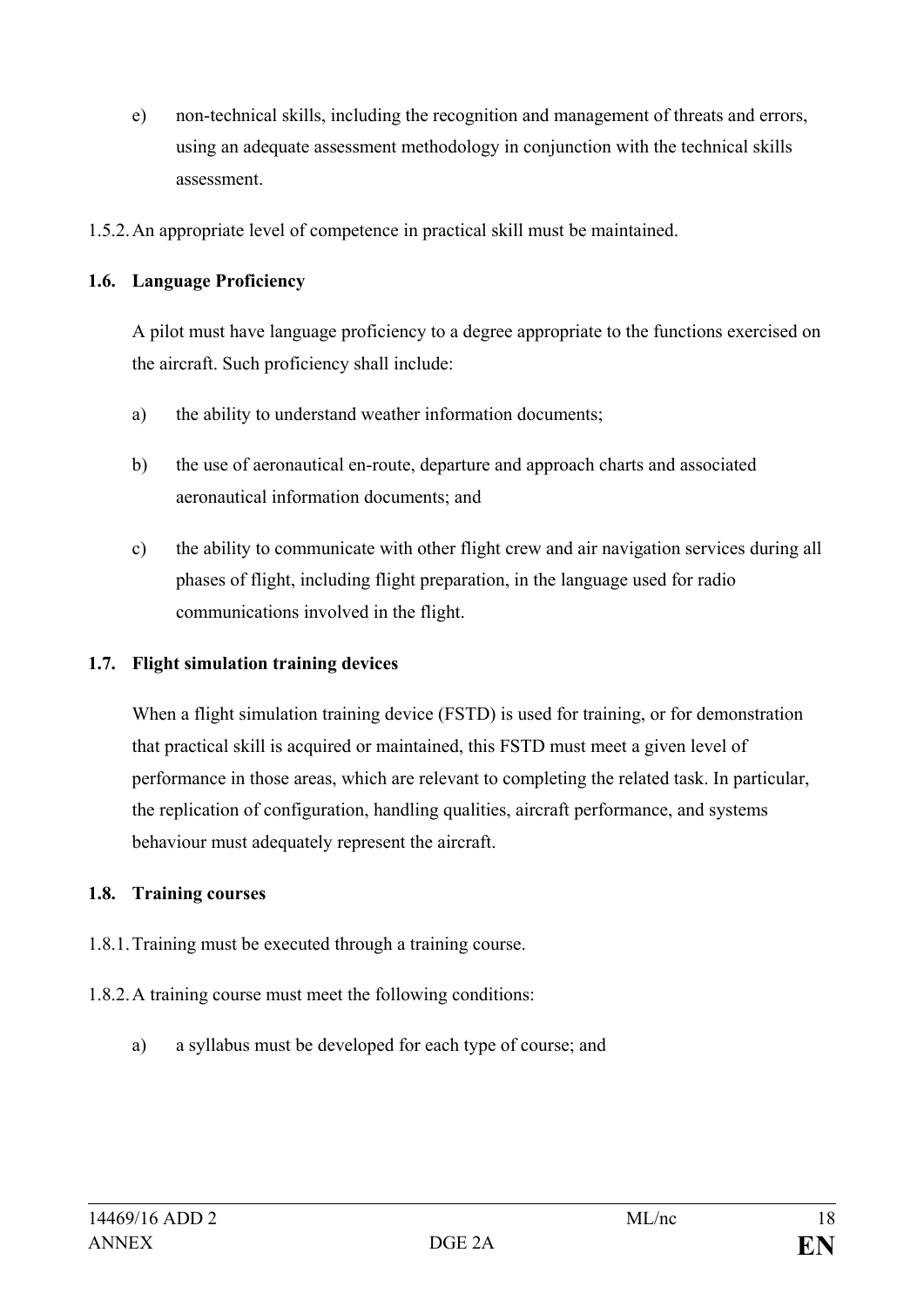- e) non-technical skills, including the recognition and management of threats and errors, using an adequate assessment methodology in conjunction with the technical skills assessment.
- 1.5.2.An appropriate level of competence in practical skill must be maintained.

## **1.6. Language Proficiency**

A pilot must have language proficiency to a degree appropriate to the functions exercised on the aircraft. Such proficiency shall include:

- a) the ability to understand weather information documents;
- b) the use of aeronautical en-route, departure and approach charts and associated aeronautical information documents; and
- c) the ability to communicate with other flight crew and air navigation services during all phases of flight, including flight preparation, in the language used for radio communications involved in the flight.

#### **1.7. Flight simulation training devices**

When a flight simulation training device (FSTD) is used for training, or for demonstration that practical skill is acquired or maintained, this FSTD must meet a given level of performance in those areas, which are relevant to completing the related task. In particular, the replication of configuration, handling qualities, aircraft performance, and systems behaviour must adequately represent the aircraft.

#### **1.8. Training courses**

- 1.8.1.Training must be executed through a training course.
- 1.8.2.A training course must meet the following conditions:
	- a) a syllabus must be developed for each type of course; and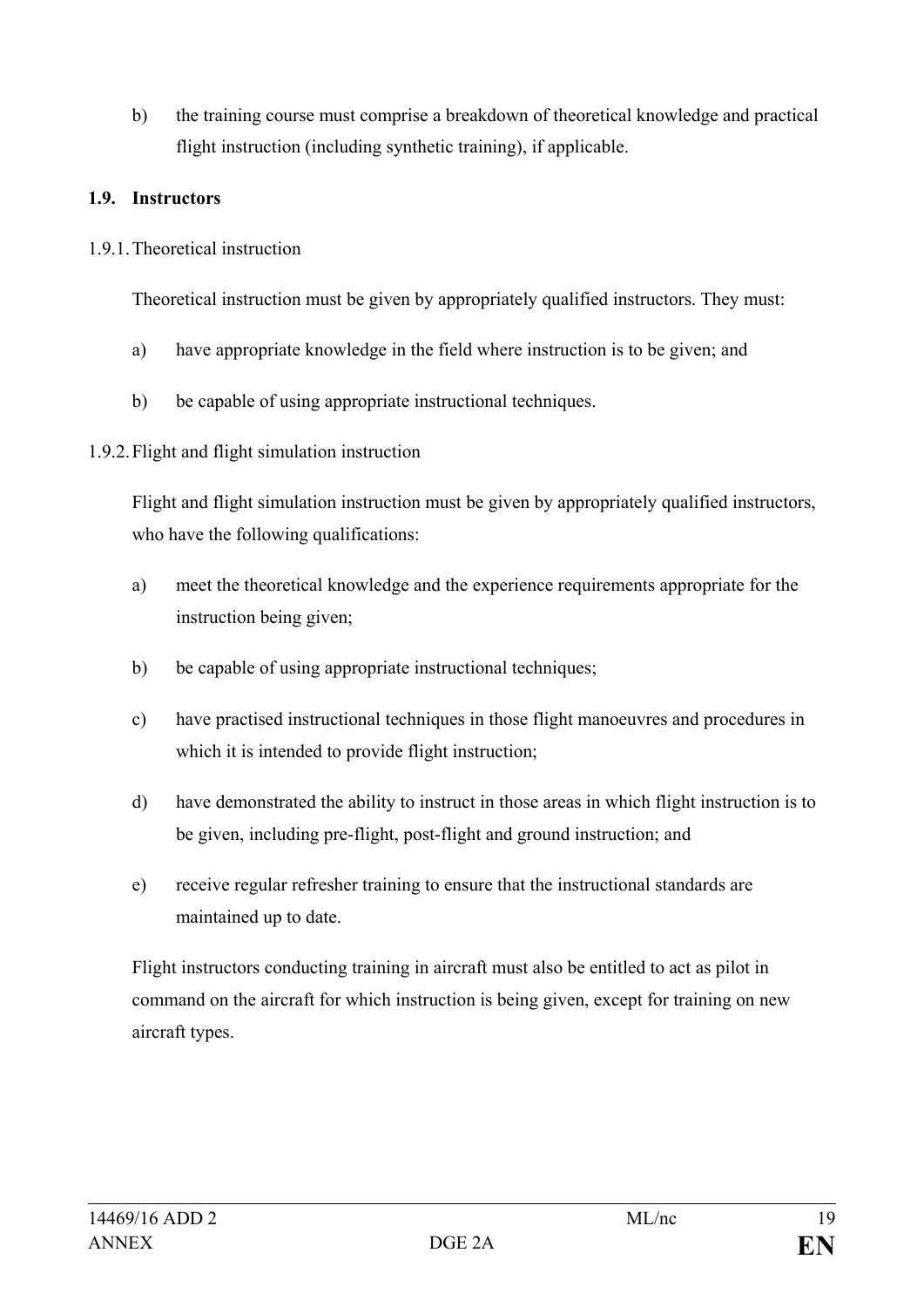b) the training course must comprise a breakdown of theoretical knowledge and practical flight instruction (including synthetic training), if applicable.

#### **1.9. Instructors**

1.9.1.Theoretical instruction

Theoretical instruction must be given by appropriately qualified instructors. They must:

- a) have appropriate knowledge in the field where instruction is to be given; and
- b) be capable of using appropriate instructional techniques.

## 1.9.2.Flight and flight simulation instruction

Flight and flight simulation instruction must be given by appropriately qualified instructors, who have the following qualifications:

- a) meet the theoretical knowledge and the experience requirements appropriate for the instruction being given;
- b) be capable of using appropriate instructional techniques;
- c) have practised instructional techniques in those flight manoeuvres and procedures in which it is intended to provide flight instruction;
- d) have demonstrated the ability to instruct in those areas in which flight instruction is to be given, including pre-flight, post-flight and ground instruction; and
- e) receive regular refresher training to ensure that the instructional standards are maintained up to date.

Flight instructors conducting training in aircraft must also be entitled to act as pilot in command on the aircraft for which instruction is being given, except for training on new aircraft types.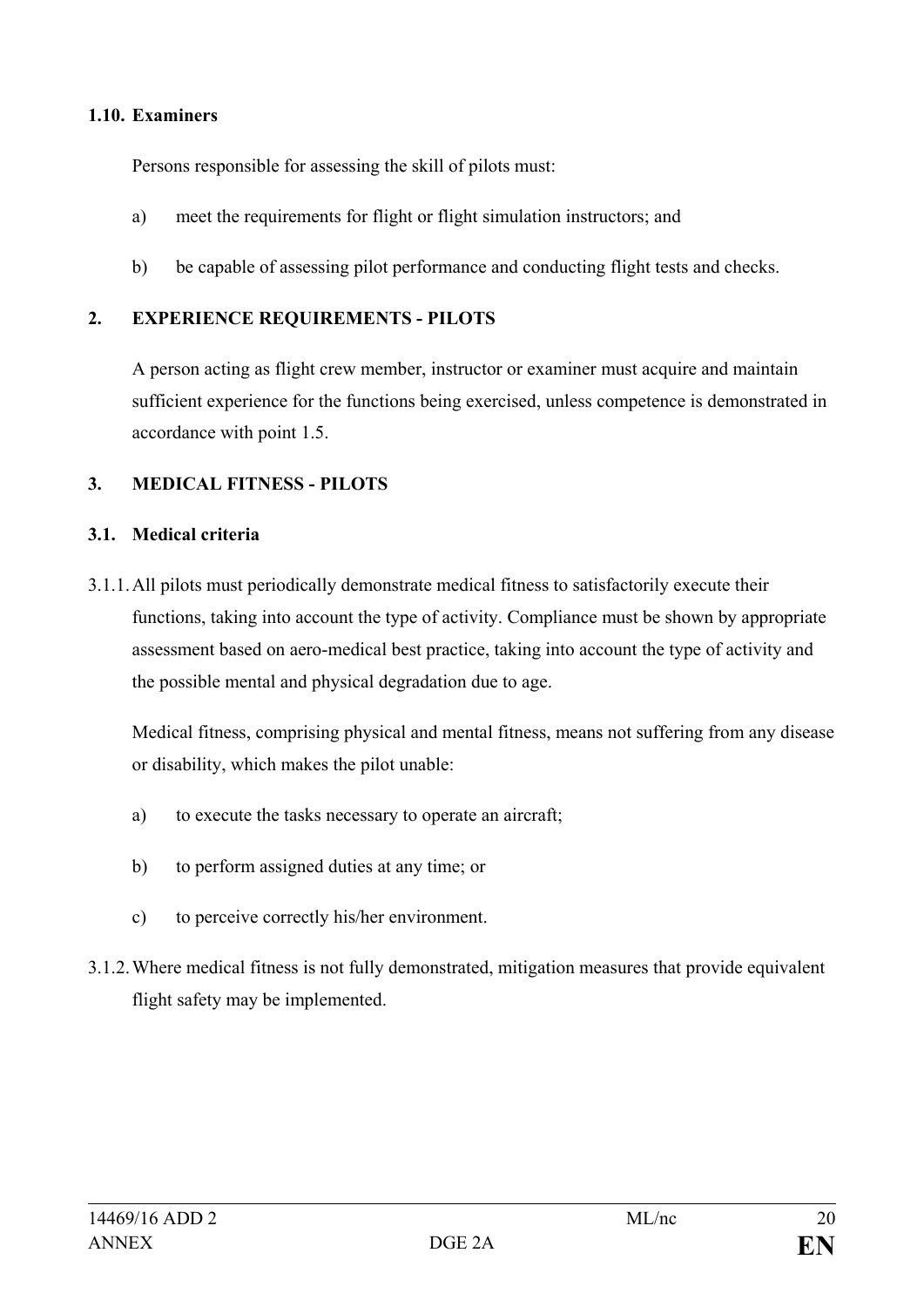#### **1.10. Examiners**

Persons responsible for assessing the skill of pilots must:

- a) meet the requirements for flight or flight simulation instructors; and
- b) be capable of assessing pilot performance and conducting flight tests and checks.

## **2. EXPERIENCE REQUIREMENTS - PILOTS**

A person acting as flight crew member, instructor or examiner must acquire and maintain sufficient experience for the functions being exercised, unless competence is demonstrated in accordance with point 1.5.

## **3. MEDICAL FITNESS - PILOTS**

#### **3.1. Medical criteria**

3.1.1.All pilots must periodically demonstrate medical fitness to satisfactorily execute their functions, taking into account the type of activity. Compliance must be shown by appropriate assessment based on aero-medical best practice, taking into account the type of activity and the possible mental and physical degradation due to age.

Medical fitness, comprising physical and mental fitness, means not suffering from any disease or disability, which makes the pilot unable:

- a) to execute the tasks necessary to operate an aircraft;
- b) to perform assigned duties at any time; or
- c) to perceive correctly his/her environment.
- 3.1.2.Where medical fitness is not fully demonstrated, mitigation measures that provide equivalent flight safety may be implemented.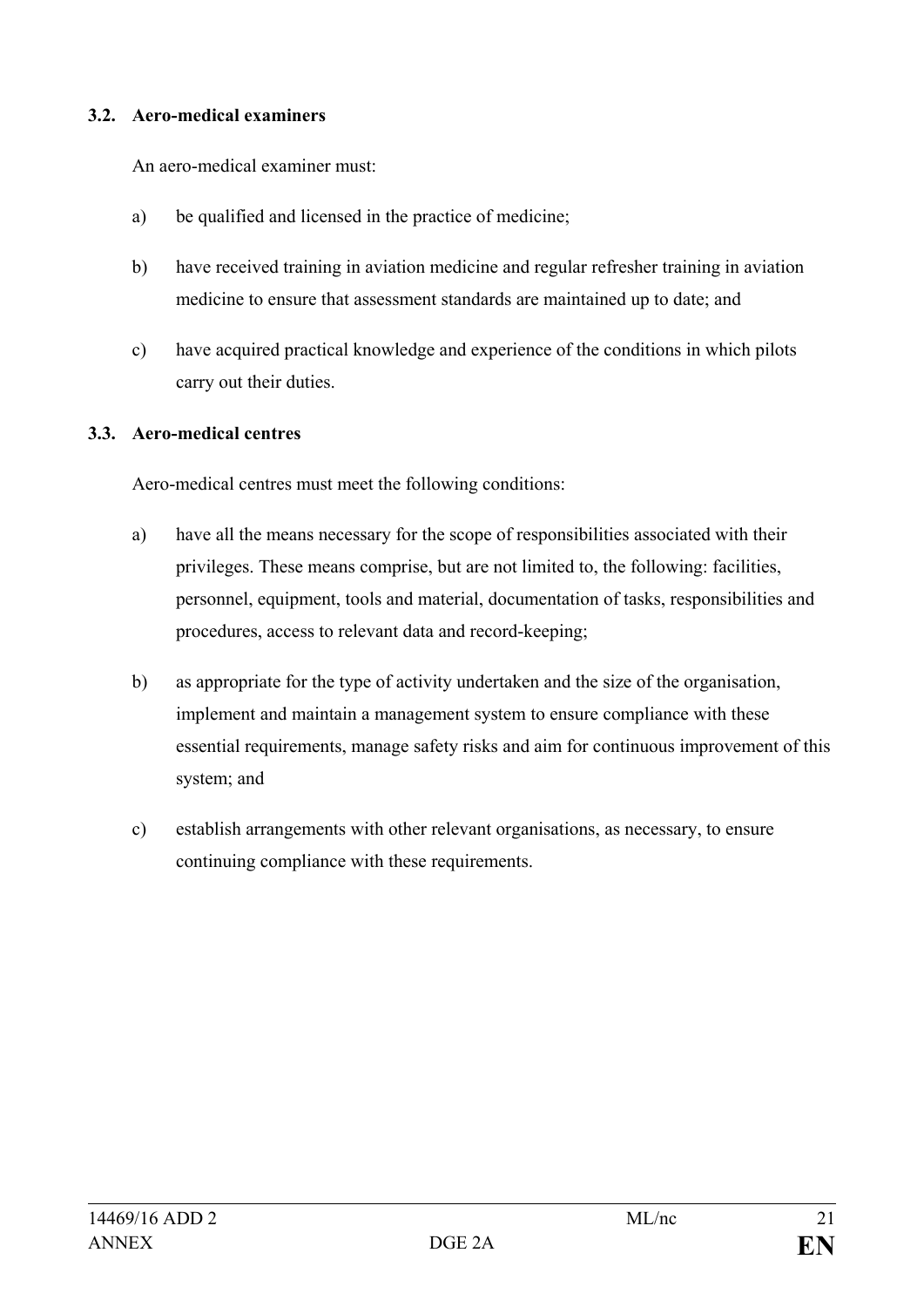#### **3.2. Aero-medical examiners**

An aero-medical examiner must:

- a) be qualified and licensed in the practice of medicine;
- b) have received training in aviation medicine and regular refresher training in aviation medicine to ensure that assessment standards are maintained up to date; and
- c) have acquired practical knowledge and experience of the conditions in which pilots carry out their duties.

## **3.3. Aero-medical centres**

Aero-medical centres must meet the following conditions:

- a) have all the means necessary for the scope of responsibilities associated with their privileges. These means comprise, but are not limited to, the following: facilities, personnel, equipment, tools and material, documentation of tasks, responsibilities and procedures, access to relevant data and record-keeping;
- b) as appropriate for the type of activity undertaken and the size of the organisation, implement and maintain a management system to ensure compliance with these essential requirements, manage safety risks and aim for continuous improvement of this system; and
- c) establish arrangements with other relevant organisations, as necessary, to ensure continuing compliance with these requirements.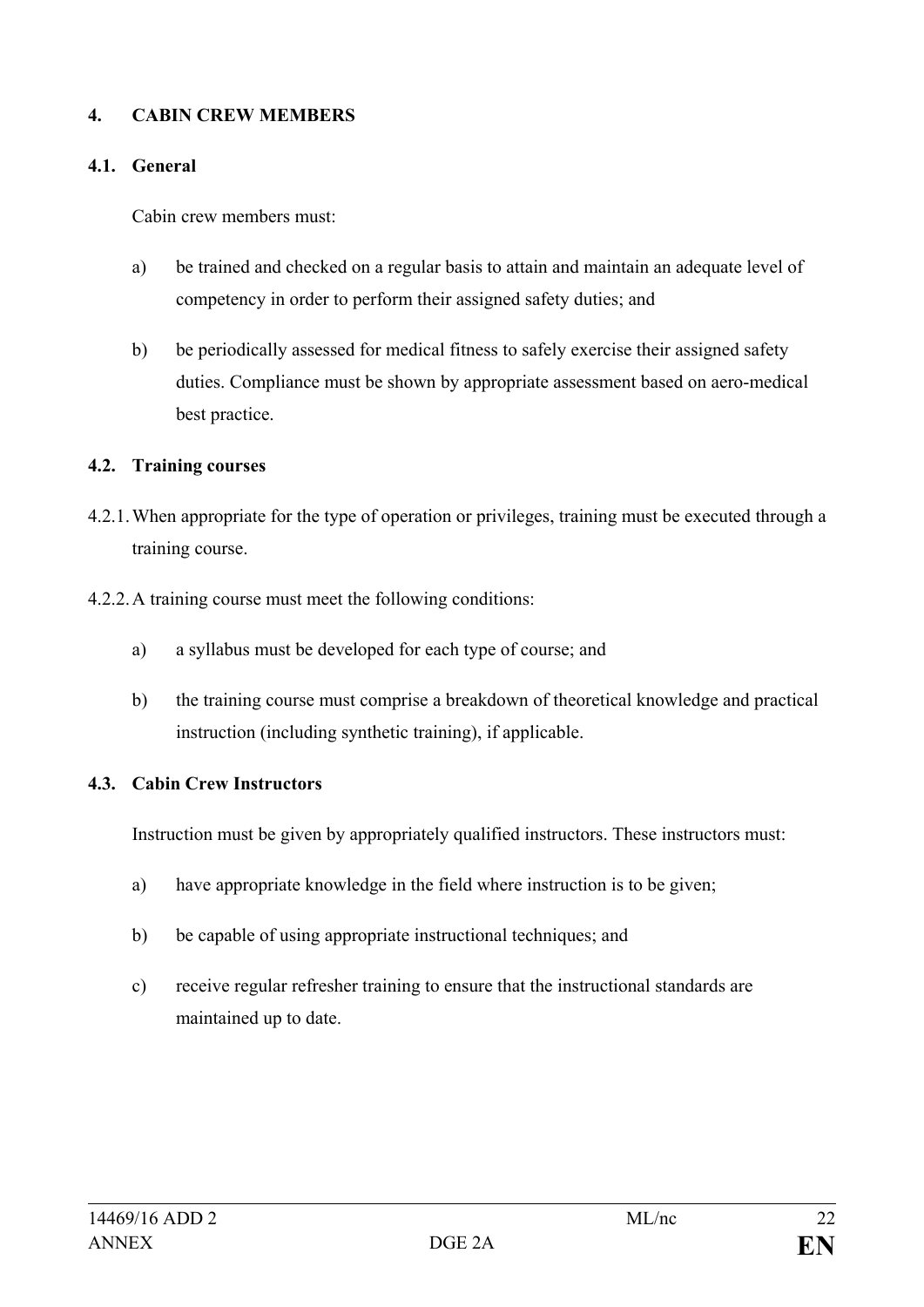#### **4. CABIN CREW MEMBERS**

#### **4.1. General**

Cabin crew members must:

- a) be trained and checked on a regular basis to attain and maintain an adequate level of competency in order to perform their assigned safety duties; and
- b) be periodically assessed for medical fitness to safely exercise their assigned safety duties. Compliance must be shown by appropriate assessment based on aero-medical best practice.

## **4.2. Training courses**

- 4.2.1.When appropriate for the type of operation or privileges, training must be executed through a training course.
- 4.2.2.A training course must meet the following conditions:
	- a) a syllabus must be developed for each type of course; and
	- b) the training course must comprise a breakdown of theoretical knowledge and practical instruction (including synthetic training), if applicable.

## **4.3. Cabin Crew Instructors**

Instruction must be given by appropriately qualified instructors. These instructors must:

- a) have appropriate knowledge in the field where instruction is to be given;
- b) be capable of using appropriate instructional techniques; and
- c) receive regular refresher training to ensure that the instructional standards are maintained up to date.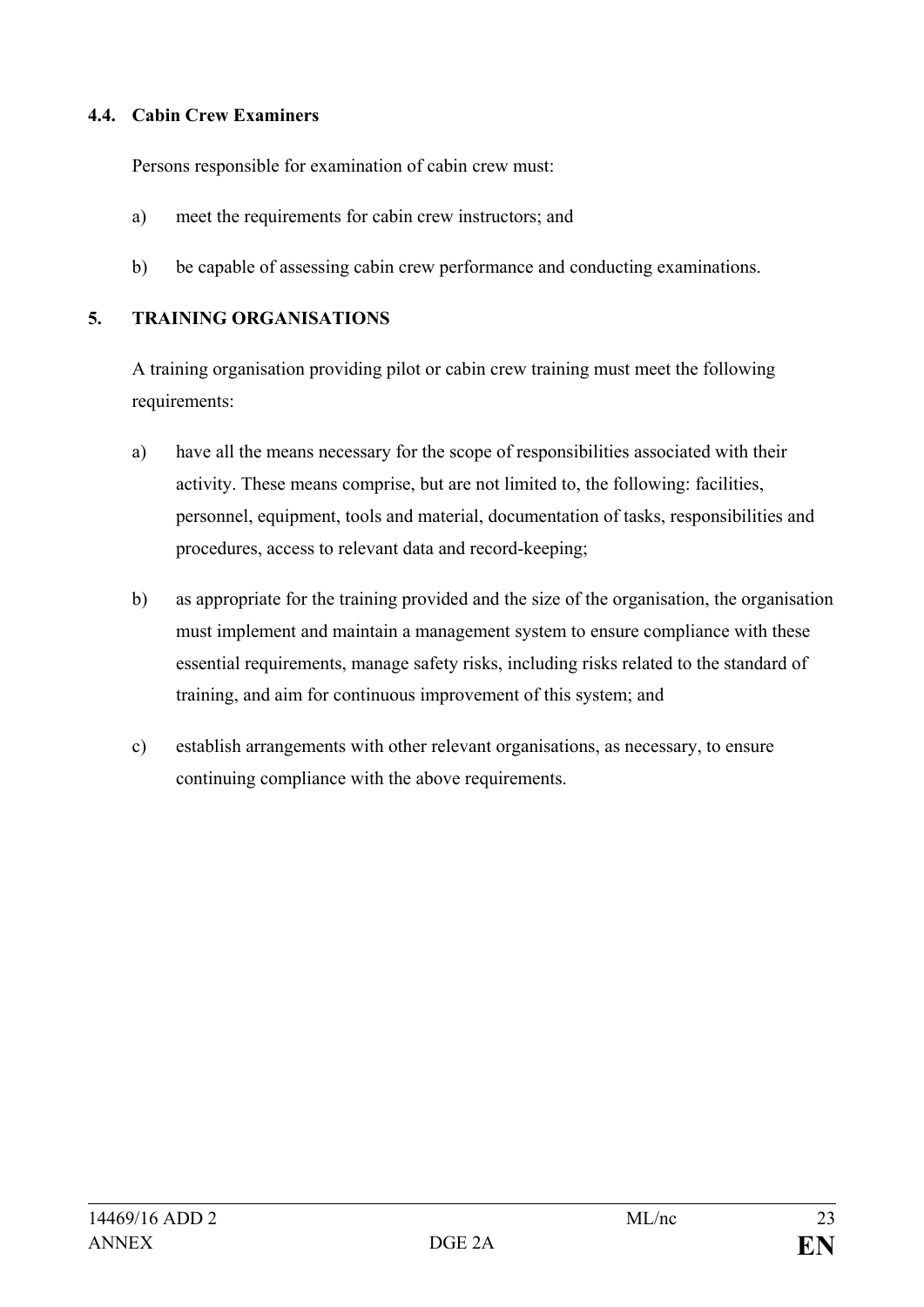#### **4.4. Cabin Crew Examiners**

Persons responsible for examination of cabin crew must:

- a) meet the requirements for cabin crew instructors; and
- b) be capable of assessing cabin crew performance and conducting examinations.

## **5. TRAINING ORGANISATIONS**

A training organisation providing pilot or cabin crew training must meet the following requirements:

- a) have all the means necessary for the scope of responsibilities associated with their activity. These means comprise, but are not limited to, the following: facilities, personnel, equipment, tools and material, documentation of tasks, responsibilities and procedures, access to relevant data and record-keeping;
- b) as appropriate for the training provided and the size of the organisation, the organisation must implement and maintain a management system to ensure compliance with these essential requirements, manage safety risks, including risks related to the standard of training, and aim for continuous improvement of this system; and
- c) establish arrangements with other relevant organisations, as necessary, to ensure continuing compliance with the above requirements.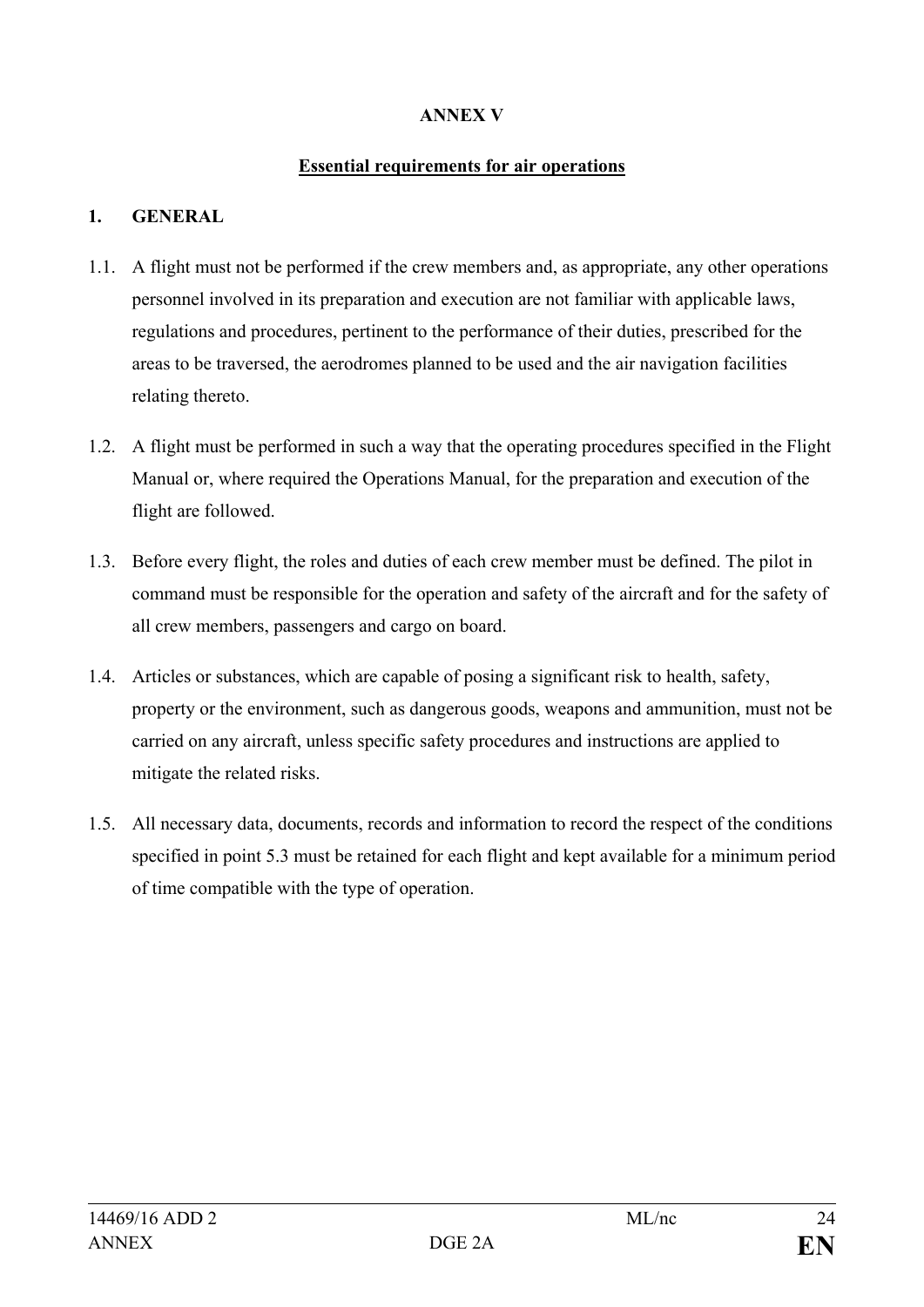## **ANNEX V**

#### **Essential requirements for air operations**

## **1. GENERAL**

- 1.1. A flight must not be performed if the crew members and, as appropriate, any other operations personnel involved in its preparation and execution are not familiar with applicable laws, regulations and procedures, pertinent to the performance of their duties, prescribed for the areas to be traversed, the aerodromes planned to be used and the air navigation facilities relating thereto.
- 1.2. A flight must be performed in such a way that the operating procedures specified in the Flight Manual or, where required the Operations Manual, for the preparation and execution of the flight are followed.
- 1.3. Before every flight, the roles and duties of each crew member must be defined. The pilot in command must be responsible for the operation and safety of the aircraft and for the safety of all crew members, passengers and cargo on board.
- 1.4. Articles or substances, which are capable of posing a significant risk to health, safety, property or the environment, such as dangerous goods, weapons and ammunition, must not be carried on any aircraft, unless specific safety procedures and instructions are applied to mitigate the related risks.
- 1.5. All necessary data, documents, records and information to record the respect of the conditions specified in point 5.3 must be retained for each flight and kept available for a minimum period of time compatible with the type of operation.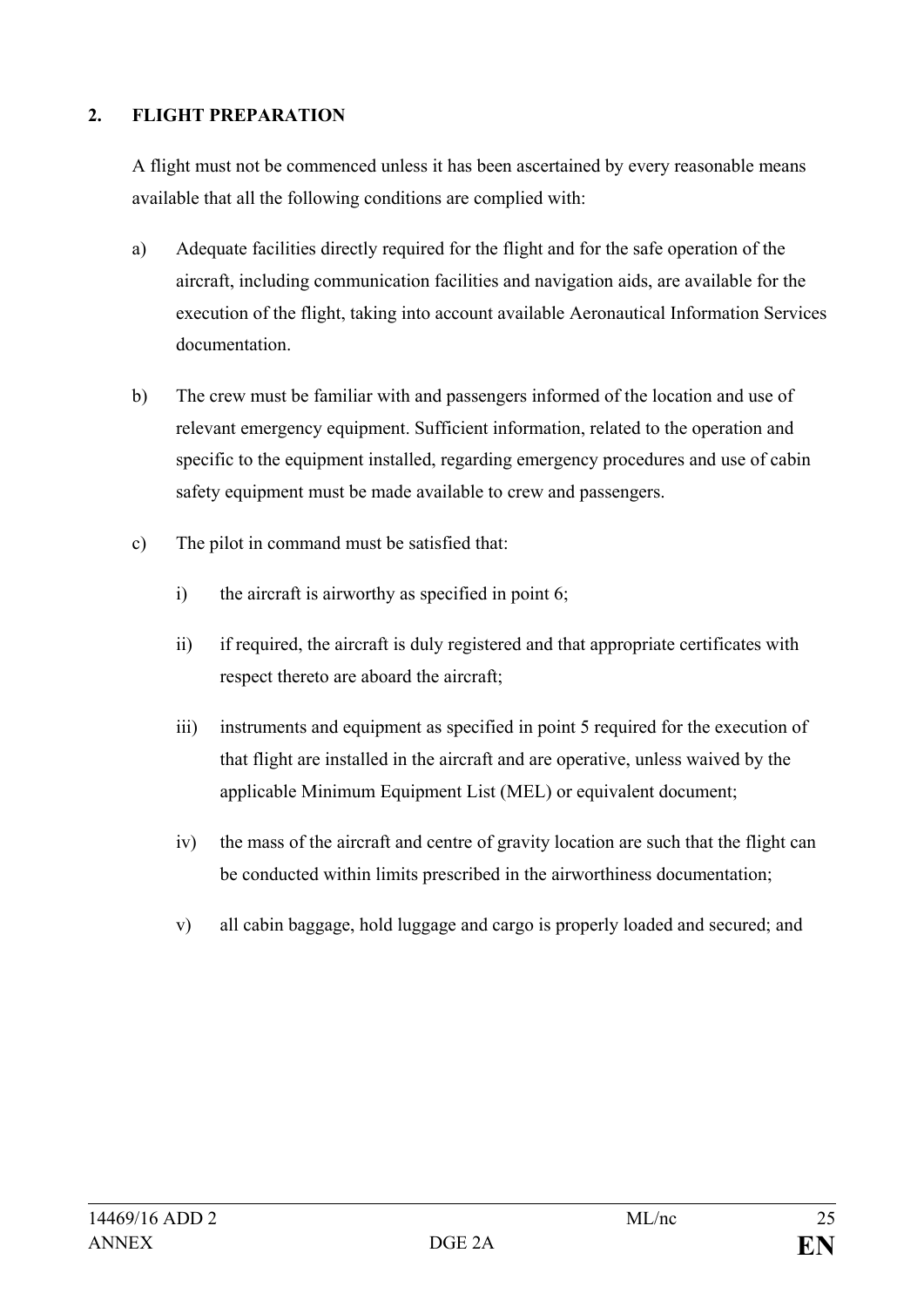## **2. FLIGHT PREPARATION**

A flight must not be commenced unless it has been ascertained by every reasonable means available that all the following conditions are complied with:

- a) Adequate facilities directly required for the flight and for the safe operation of the aircraft, including communication facilities and navigation aids, are available for the execution of the flight, taking into account available Aeronautical Information Services documentation.
- b) The crew must be familiar with and passengers informed of the location and use of relevant emergency equipment. Sufficient information, related to the operation and specific to the equipment installed, regarding emergency procedures and use of cabin safety equipment must be made available to crew and passengers.
- c) The pilot in command must be satisfied that:
	- i) the aircraft is airworthy as specified in point 6;
	- ii) if required, the aircraft is duly registered and that appropriate certificates with respect thereto are aboard the aircraft;
	- iii) instruments and equipment as specified in point 5 required for the execution of that flight are installed in the aircraft and are operative, unless waived by the applicable Minimum Equipment List (MEL) or equivalent document;
	- iv) the mass of the aircraft and centre of gravity location are such that the flight can be conducted within limits prescribed in the airworthiness documentation;
	- v) all cabin baggage, hold luggage and cargo is properly loaded and secured; and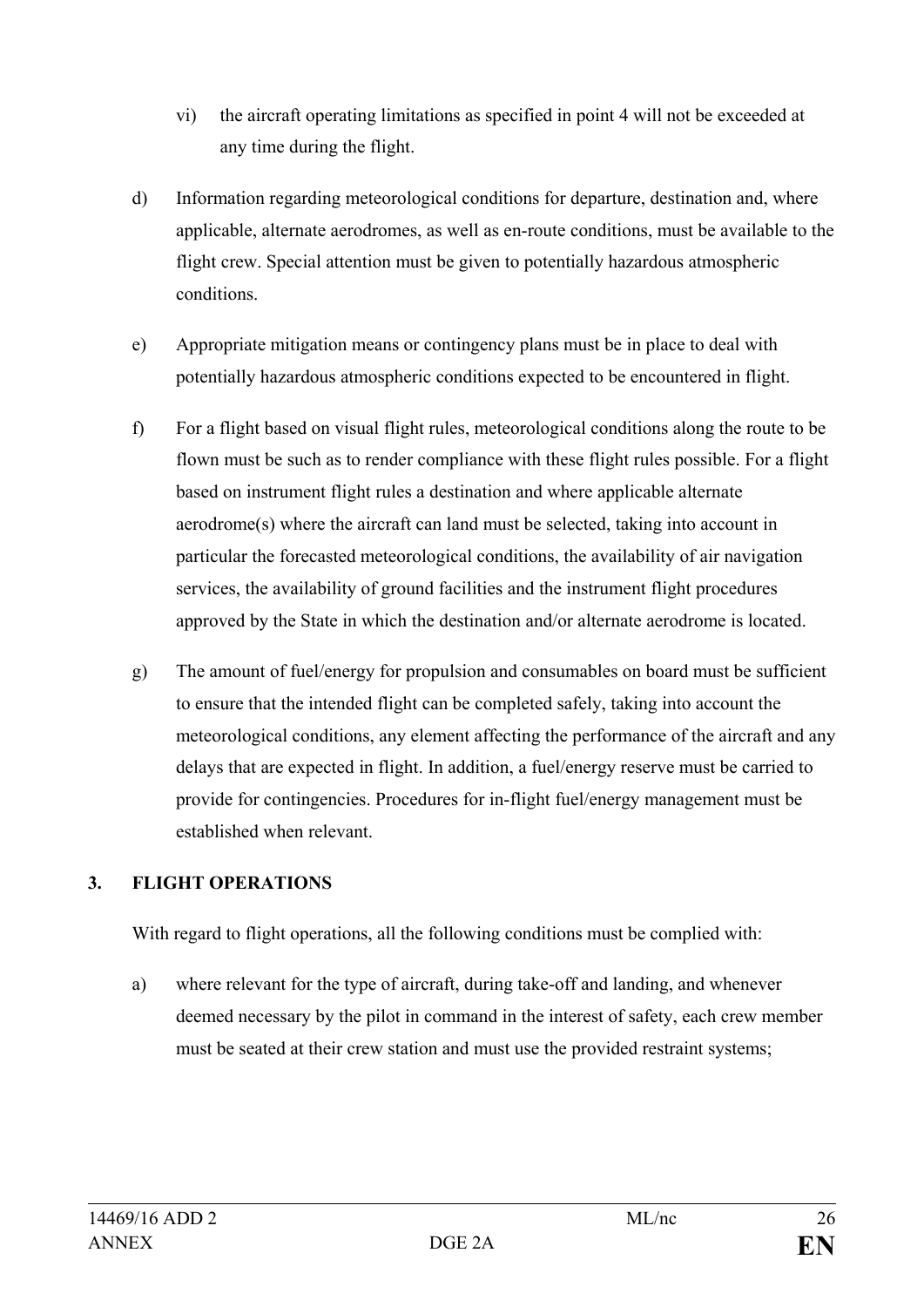- vi) the aircraft operating limitations as specified in point 4 will not be exceeded at any time during the flight.
- d) Information regarding meteorological conditions for departure, destination and, where applicable, alternate aerodromes, as well as en-route conditions, must be available to the flight crew. Special attention must be given to potentially hazardous atmospheric conditions.
- e) Appropriate mitigation means or contingency plans must be in place to deal with potentially hazardous atmospheric conditions expected to be encountered in flight.
- f) For a flight based on visual flight rules, meteorological conditions along the route to be flown must be such as to render compliance with these flight rules possible. For a flight based on instrument flight rules a destination and where applicable alternate aerodrome(s) where the aircraft can land must be selected, taking into account in particular the forecasted meteorological conditions, the availability of air navigation services, the availability of ground facilities and the instrument flight procedures approved by the State in which the destination and/or alternate aerodrome is located.
- g) The amount of fuel/energy for propulsion and consumables on board must be sufficient to ensure that the intended flight can be completed safely, taking into account the meteorological conditions, any element affecting the performance of the aircraft and any delays that are expected in flight. In addition, a fuel/energy reserve must be carried to provide for contingencies. Procedures for in-flight fuel/energy management must be established when relevant.

## **3. FLIGHT OPERATIONS**

With regard to flight operations, all the following conditions must be complied with:

a) where relevant for the type of aircraft, during take-off and landing, and whenever deemed necessary by the pilot in command in the interest of safety, each crew member must be seated at their crew station and must use the provided restraint systems;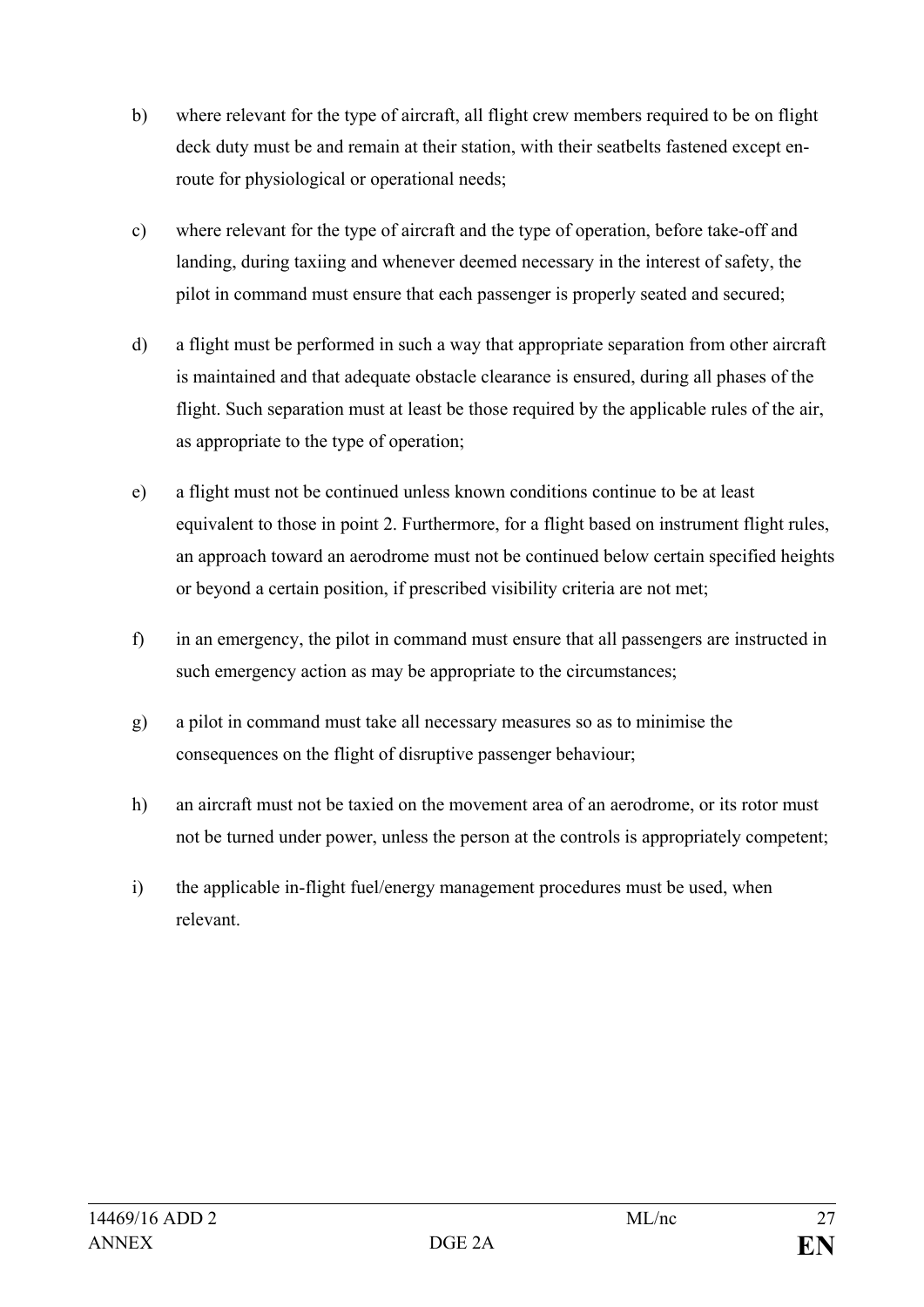- b) where relevant for the type of aircraft, all flight crew members required to be on flight deck duty must be and remain at their station, with their seatbelts fastened except enroute for physiological or operational needs;
- c) where relevant for the type of aircraft and the type of operation, before take-off and landing, during taxiing and whenever deemed necessary in the interest of safety, the pilot in command must ensure that each passenger is properly seated and secured;
- d) a flight must be performed in such a way that appropriate separation from other aircraft is maintained and that adequate obstacle clearance is ensured, during all phases of the flight. Such separation must at least be those required by the applicable rules of the air, as appropriate to the type of operation;
- e) a flight must not be continued unless known conditions continue to be at least equivalent to those in point 2. Furthermore, for a flight based on instrument flight rules, an approach toward an aerodrome must not be continued below certain specified heights or beyond a certain position, if prescribed visibility criteria are not met;
- f) in an emergency, the pilot in command must ensure that all passengers are instructed in such emergency action as may be appropriate to the circumstances;
- g) a pilot in command must take all necessary measures so as to minimise the consequences on the flight of disruptive passenger behaviour;
- h) an aircraft must not be taxied on the movement area of an aerodrome, or its rotor must not be turned under power, unless the person at the controls is appropriately competent;
- i) the applicable in-flight fuel/energy management procedures must be used, when relevant.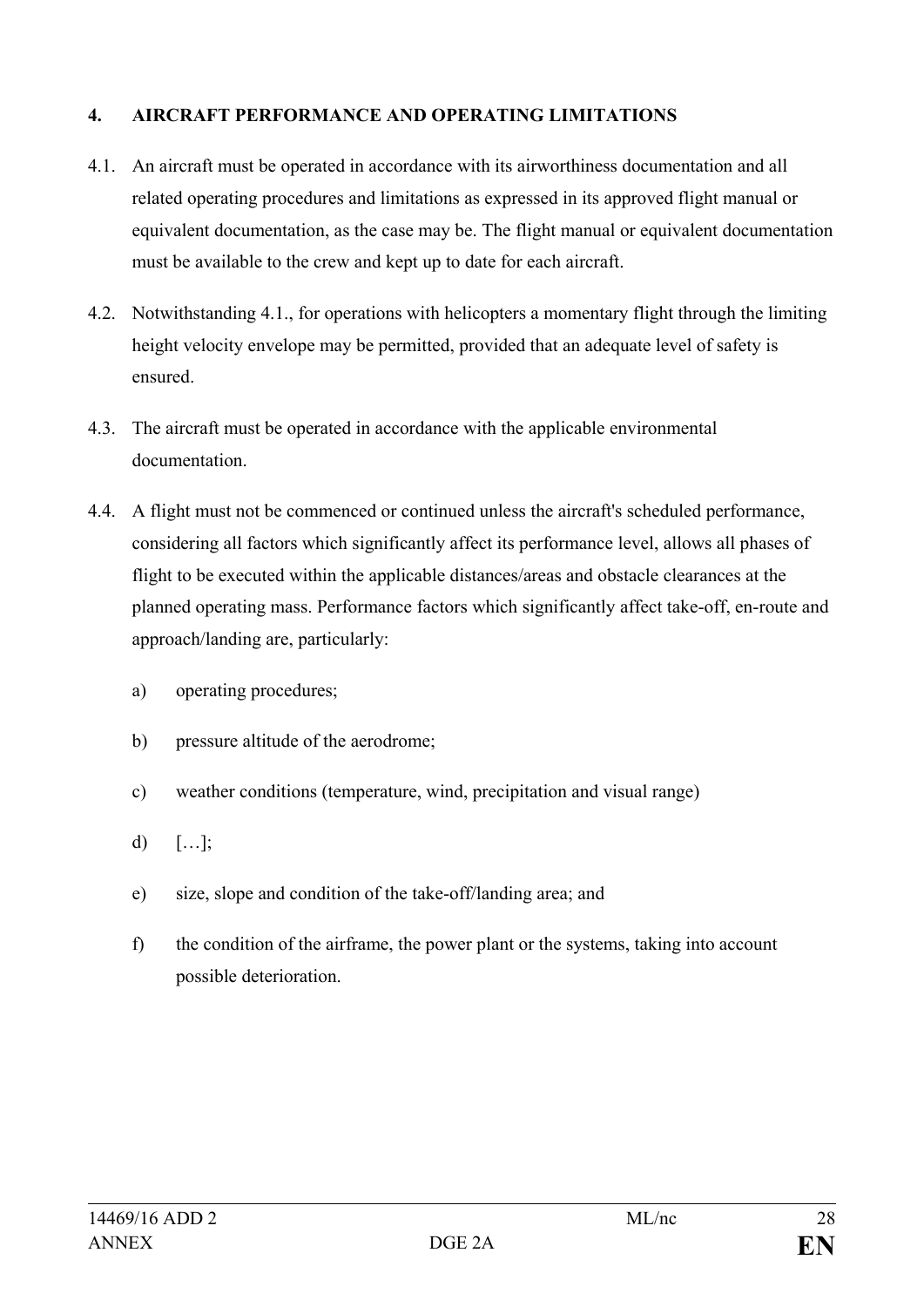## **4. AIRCRAFT PERFORMANCE AND OPERATING LIMITATIONS**

- 4.1. An aircraft must be operated in accordance with its airworthiness documentation and all related operating procedures and limitations as expressed in its approved flight manual or equivalent documentation, as the case may be. The flight manual or equivalent documentation must be available to the crew and kept up to date for each aircraft.
- 4.2. Notwithstanding 4.1., for operations with helicopters a momentary flight through the limiting height velocity envelope may be permitted, provided that an adequate level of safety is ensured.
- 4.3. The aircraft must be operated in accordance with the applicable environmental documentation.
- 4.4. A flight must not be commenced or continued unless the aircraft's scheduled performance, considering all factors which significantly affect its performance level, allows all phases of flight to be executed within the applicable distances/areas and obstacle clearances at the planned operating mass. Performance factors which significantly affect take-off, en-route and approach/landing are, particularly:
	- a) operating procedures;
	- b) pressure altitude of the aerodrome;
	- c) weather conditions (temperature, wind, precipitation and visual range)
	- d)  $[\dots]$ ;
	- e) size, slope and condition of the take-off/landing area; and
	- f) the condition of the airframe, the power plant or the systems, taking into account possible deterioration.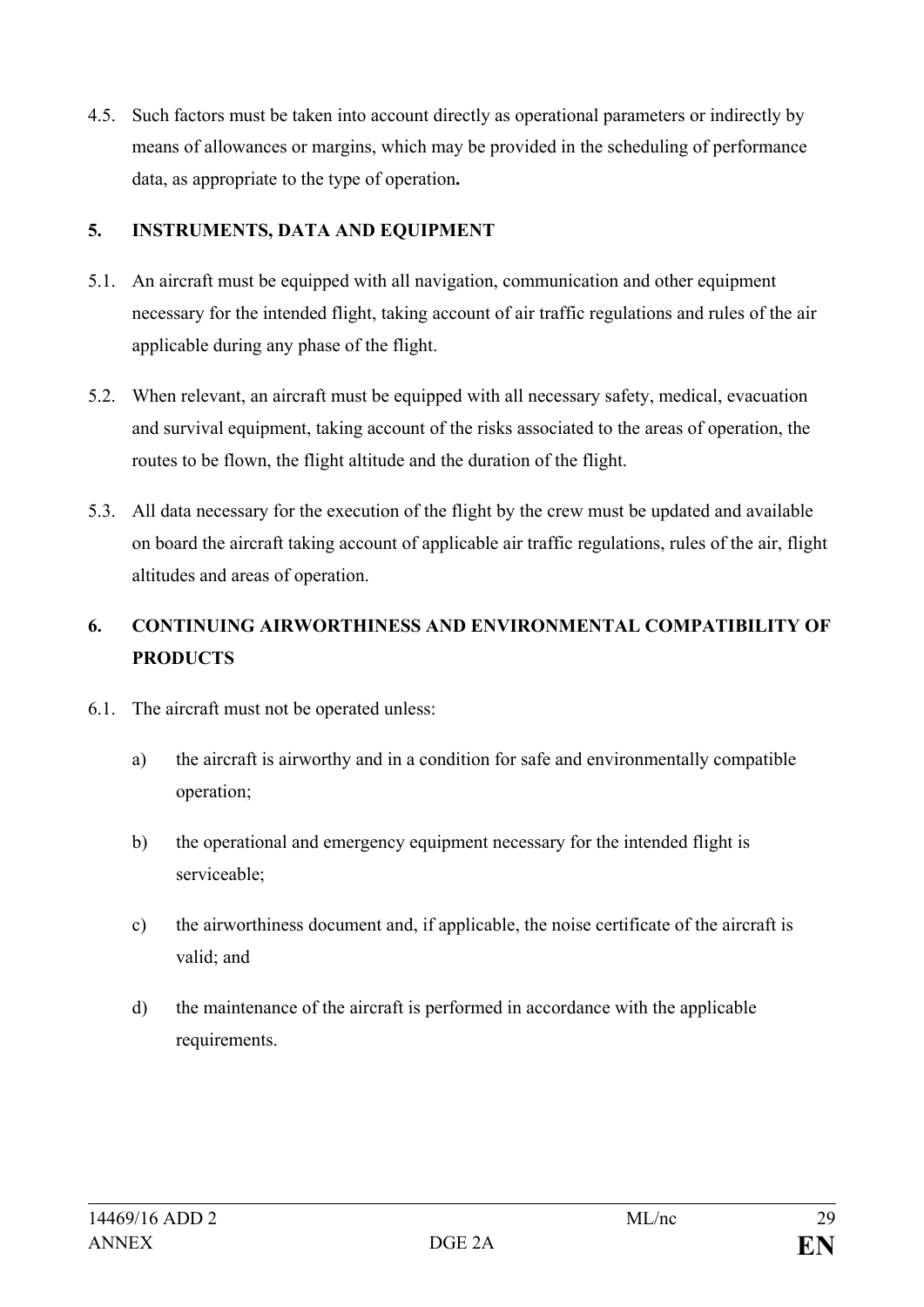4.5. Such factors must be taken into account directly as operational parameters or indirectly by means of allowances or margins, which may be provided in the scheduling of performance data, as appropriate to the type of operation**.**

## **5. INSTRUMENTS, DATA AND EQUIPMENT**

- 5.1. An aircraft must be equipped with all navigation, communication and other equipment necessary for the intended flight, taking account of air traffic regulations and rules of the air applicable during any phase of the flight.
- 5.2. When relevant, an aircraft must be equipped with all necessary safety, medical, evacuation and survival equipment, taking account of the risks associated to the areas of operation, the routes to be flown, the flight altitude and the duration of the flight.
- 5.3. All data necessary for the execution of the flight by the crew must be updated and available on board the aircraft taking account of applicable air traffic regulations, rules of the air, flight altitudes and areas of operation.

## **6. CONTINUING AIRWORTHINESS AND ENVIRONMENTAL COMPATIBILITY OF PRODUCTS**

- 6.1. The aircraft must not be operated unless:
	- a) the aircraft is airworthy and in a condition for safe and environmentally compatible operation;
	- b) the operational and emergency equipment necessary for the intended flight is serviceable;
	- c) the airworthiness document and, if applicable, the noise certificate of the aircraft is valid; and
	- d) the maintenance of the aircraft is performed in accordance with the applicable requirements.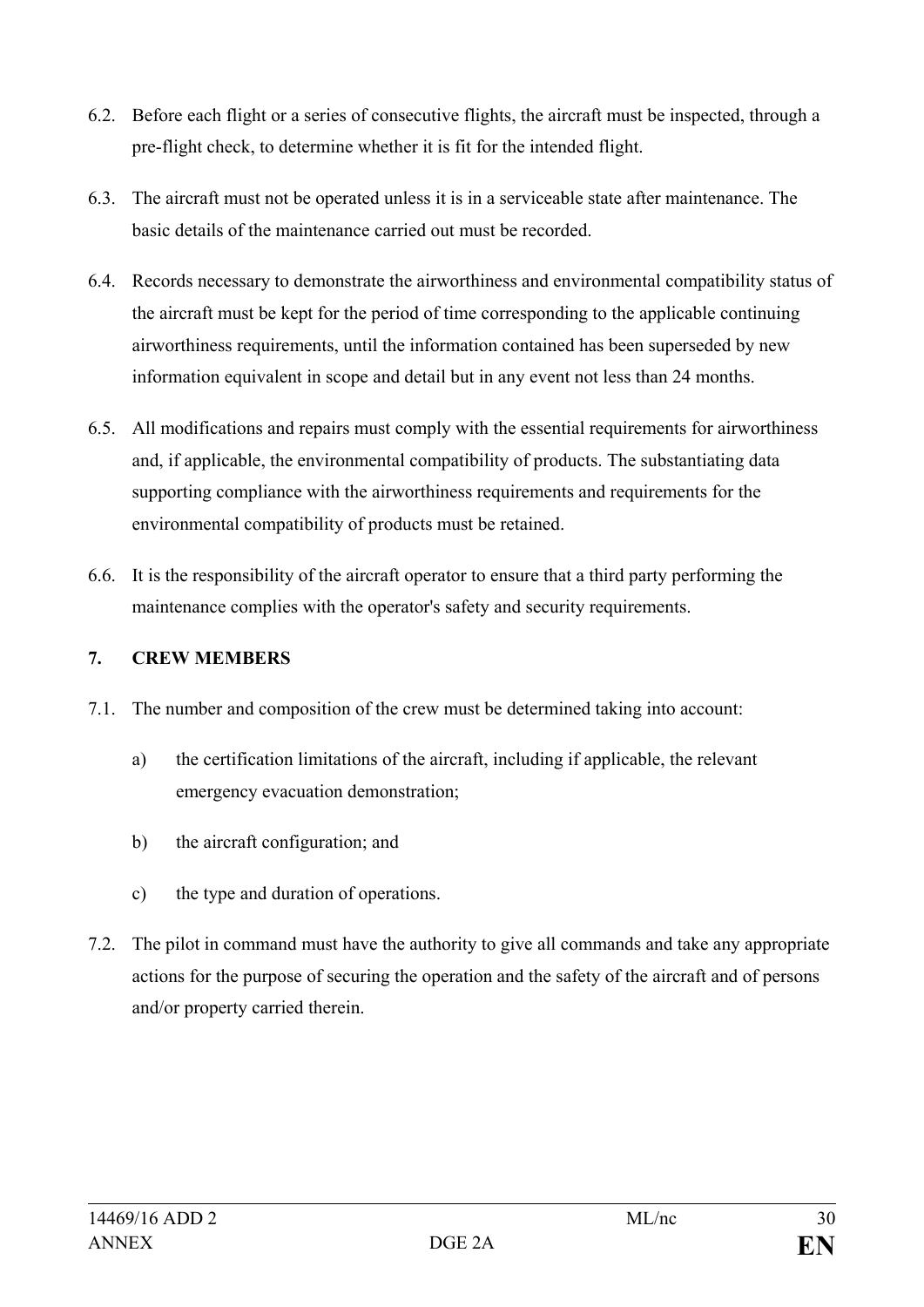- 6.2. Before each flight or a series of consecutive flights, the aircraft must be inspected, through a pre-flight check, to determine whether it is fit for the intended flight.
- 6.3. The aircraft must not be operated unless it is in a serviceable state after maintenance. The basic details of the maintenance carried out must be recorded.
- 6.4. Records necessary to demonstrate the airworthiness and environmental compatibility status of the aircraft must be kept for the period of time corresponding to the applicable continuing airworthiness requirements, until the information contained has been superseded by new information equivalent in scope and detail but in any event not less than 24 months.
- 6.5. All modifications and repairs must comply with the essential requirements for airworthiness and, if applicable, the environmental compatibility of products. The substantiating data supporting compliance with the airworthiness requirements and requirements for the environmental compatibility of products must be retained.
- 6.6. It is the responsibility of the aircraft operator to ensure that a third party performing the maintenance complies with the operator's safety and security requirements.

## **7. CREW MEMBERS**

- 7.1. The number and composition of the crew must be determined taking into account:
	- a) the certification limitations of the aircraft, including if applicable, the relevant emergency evacuation demonstration;
	- b) the aircraft configuration; and
	- c) the type and duration of operations.
- 7.2. The pilot in command must have the authority to give all commands and take any appropriate actions for the purpose of securing the operation and the safety of the aircraft and of persons and/or property carried therein.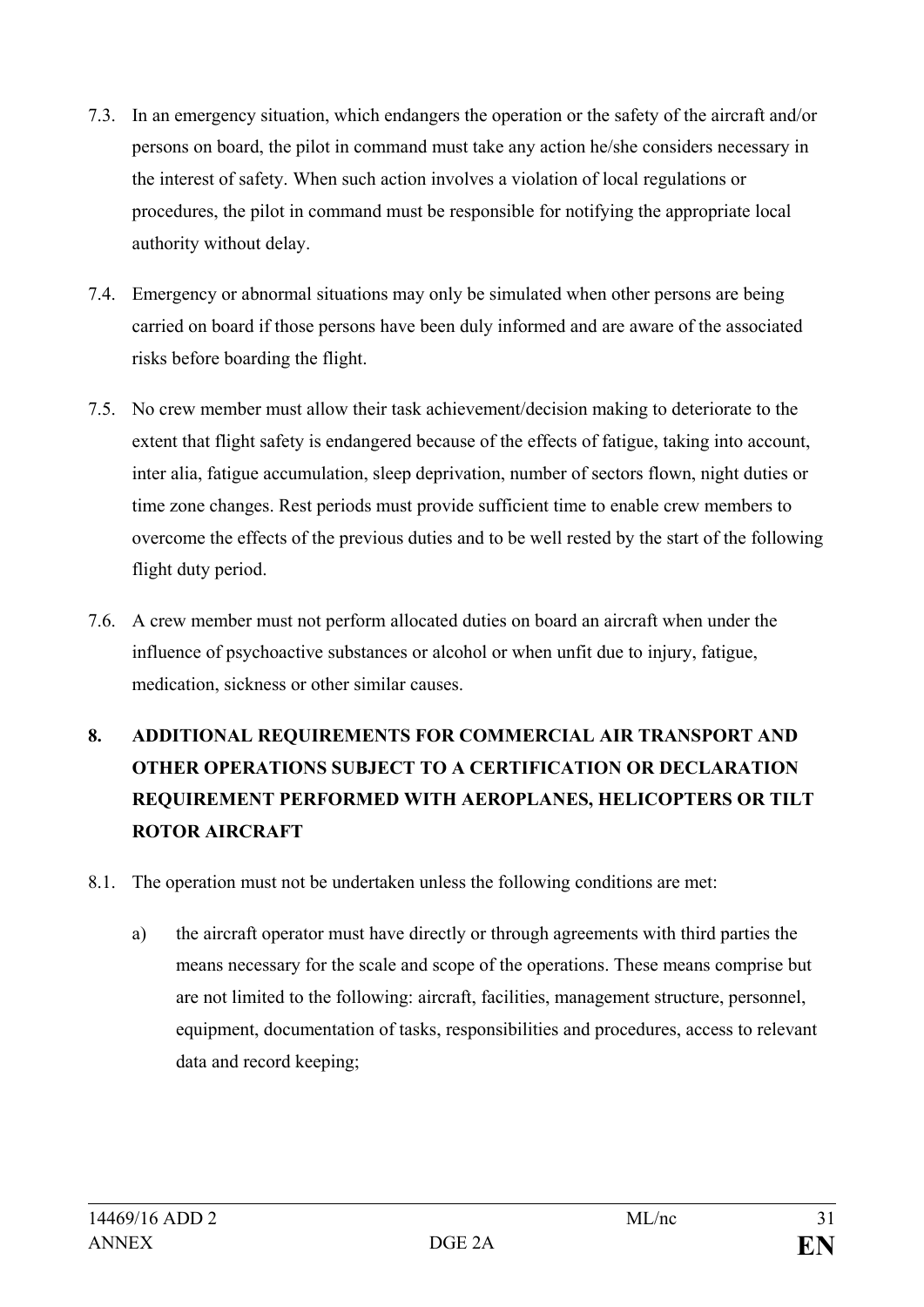- 7.3. In an emergency situation, which endangers the operation or the safety of the aircraft and/or persons on board, the pilot in command must take any action he/she considers necessary in the interest of safety. When such action involves a violation of local regulations or procedures, the pilot in command must be responsible for notifying the appropriate local authority without delay.
- 7.4. Emergency or abnormal situations may only be simulated when other persons are being carried on board if those persons have been duly informed and are aware of the associated risks before boarding the flight.
- 7.5. No crew member must allow their task achievement/decision making to deteriorate to the extent that flight safety is endangered because of the effects of fatigue, taking into account, inter alia, fatigue accumulation, sleep deprivation, number of sectors flown, night duties or time zone changes. Rest periods must provide sufficient time to enable crew members to overcome the effects of the previous duties and to be well rested by the start of the following flight duty period.
- 7.6. A crew member must not perform allocated duties on board an aircraft when under the influence of psychoactive substances or alcohol or when unfit due to injury, fatigue, medication, sickness or other similar causes.

# **8. ADDITIONAL REQUIREMENTS FOR COMMERCIAL AIR TRANSPORT AND OTHER OPERATIONS SUBJECT TO A CERTIFICATION OR DECLARATION REQUIREMENT PERFORMED WITH AEROPLANES, HELICOPTERS OR TILT ROTOR AIRCRAFT**

- 8.1. The operation must not be undertaken unless the following conditions are met:
	- a) the aircraft operator must have directly or through agreements with third parties the means necessary for the scale and scope of the operations. These means comprise but are not limited to the following: aircraft, facilities, management structure, personnel, equipment, documentation of tasks, responsibilities and procedures, access to relevant data and record keeping;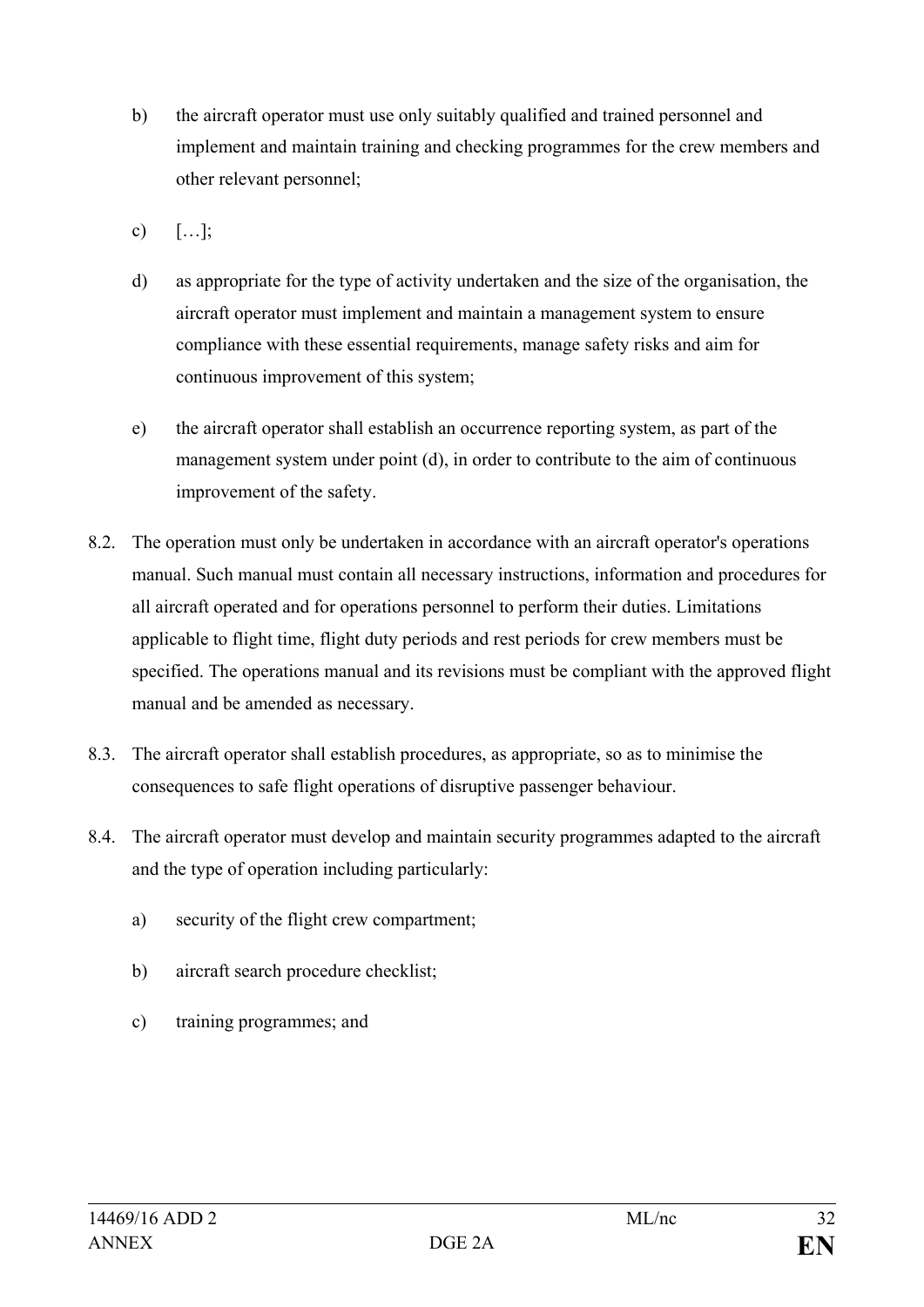- b) the aircraft operator must use only suitably qualified and trained personnel and implement and maintain training and checking programmes for the crew members and other relevant personnel;
- c)  $[\ldots]$ ;
- d) as appropriate for the type of activity undertaken and the size of the organisation, the aircraft operator must implement and maintain a management system to ensure compliance with these essential requirements, manage safety risks and aim for continuous improvement of this system;
- e) the aircraft operator shall establish an occurrence reporting system, as part of the management system under point (d), in order to contribute to the aim of continuous improvement of the safety.
- 8.2. The operation must only be undertaken in accordance with an aircraft operator's operations manual. Such manual must contain all necessary instructions, information and procedures for all aircraft operated and for operations personnel to perform their duties. Limitations applicable to flight time, flight duty periods and rest periods for crew members must be specified. The operations manual and its revisions must be compliant with the approved flight manual and be amended as necessary.
- 8.3. The aircraft operator shall establish procedures, as appropriate, so as to minimise the consequences to safe flight operations of disruptive passenger behaviour.
- 8.4. The aircraft operator must develop and maintain security programmes adapted to the aircraft and the type of operation including particularly:
	- a) security of the flight crew compartment;
	- b) aircraft search procedure checklist;
	- c) training programmes; and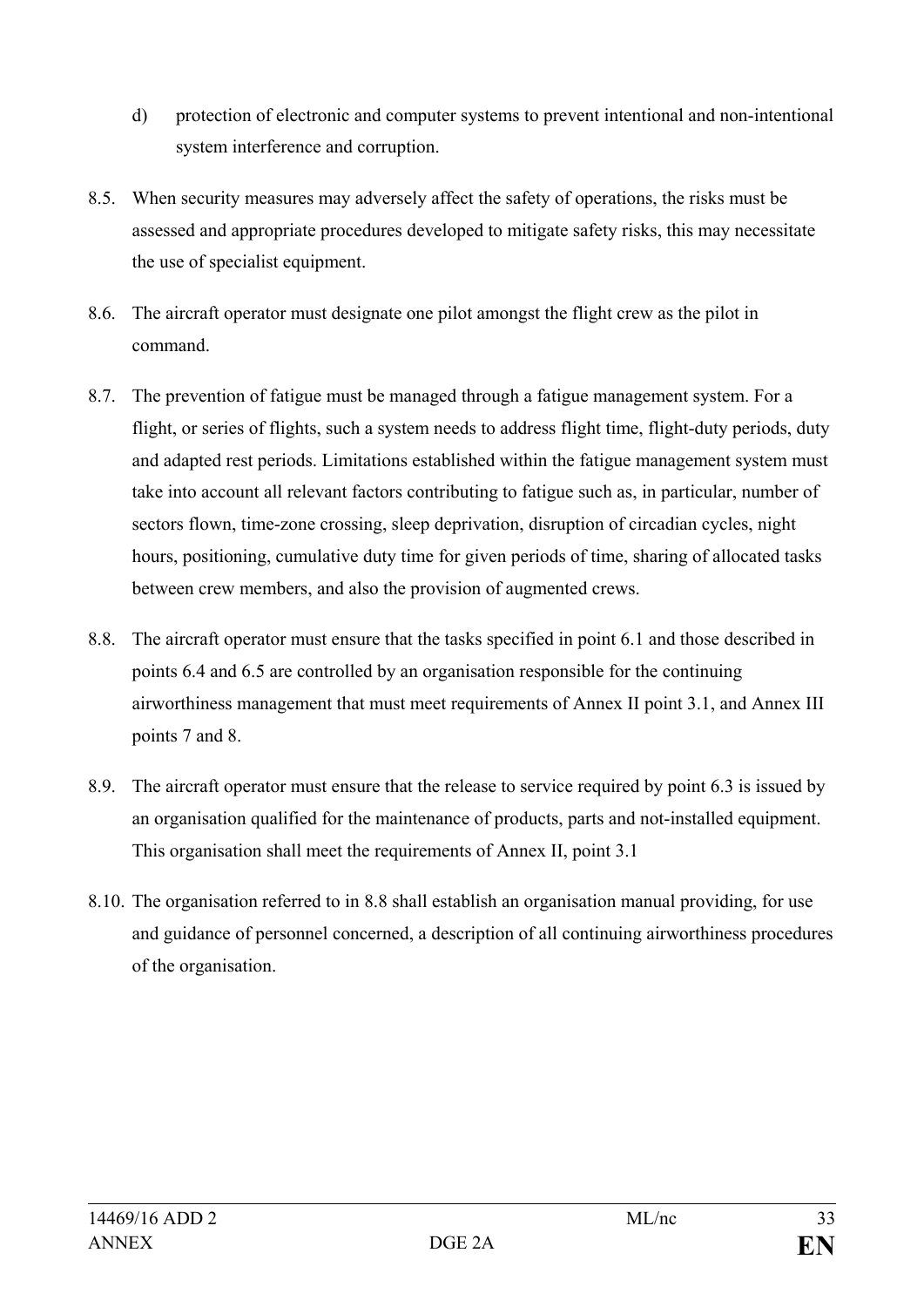- d) protection of electronic and computer systems to prevent intentional and non-intentional system interference and corruption.
- 8.5. When security measures may adversely affect the safety of operations, the risks must be assessed and appropriate procedures developed to mitigate safety risks, this may necessitate the use of specialist equipment.
- 8.6. The aircraft operator must designate one pilot amongst the flight crew as the pilot in command.
- 8.7. The prevention of fatigue must be managed through a fatigue management system. For a flight, or series of flights, such a system needs to address flight time, flight-duty periods, duty and adapted rest periods. Limitations established within the fatigue management system must take into account all relevant factors contributing to fatigue such as, in particular, number of sectors flown, time-zone crossing, sleep deprivation, disruption of circadian cycles, night hours, positioning, cumulative duty time for given periods of time, sharing of allocated tasks between crew members, and also the provision of augmented crews.
- 8.8. The aircraft operator must ensure that the tasks specified in point 6.1 and those described in points 6.4 and 6.5 are controlled by an organisation responsible for the continuing airworthiness management that must meet requirements of Annex II point 3.1, and Annex III points 7 and 8.
- 8.9. The aircraft operator must ensure that the release to service required by point 6.3 is issued by an organisation qualified for the maintenance of products, parts and not-installed equipment. This organisation shall meet the requirements of Annex II, point 3.1
- 8.10. The organisation referred to in 8.8 shall establish an organisation manual providing, for use and guidance of personnel concerned, a description of all continuing airworthiness procedures of the organisation.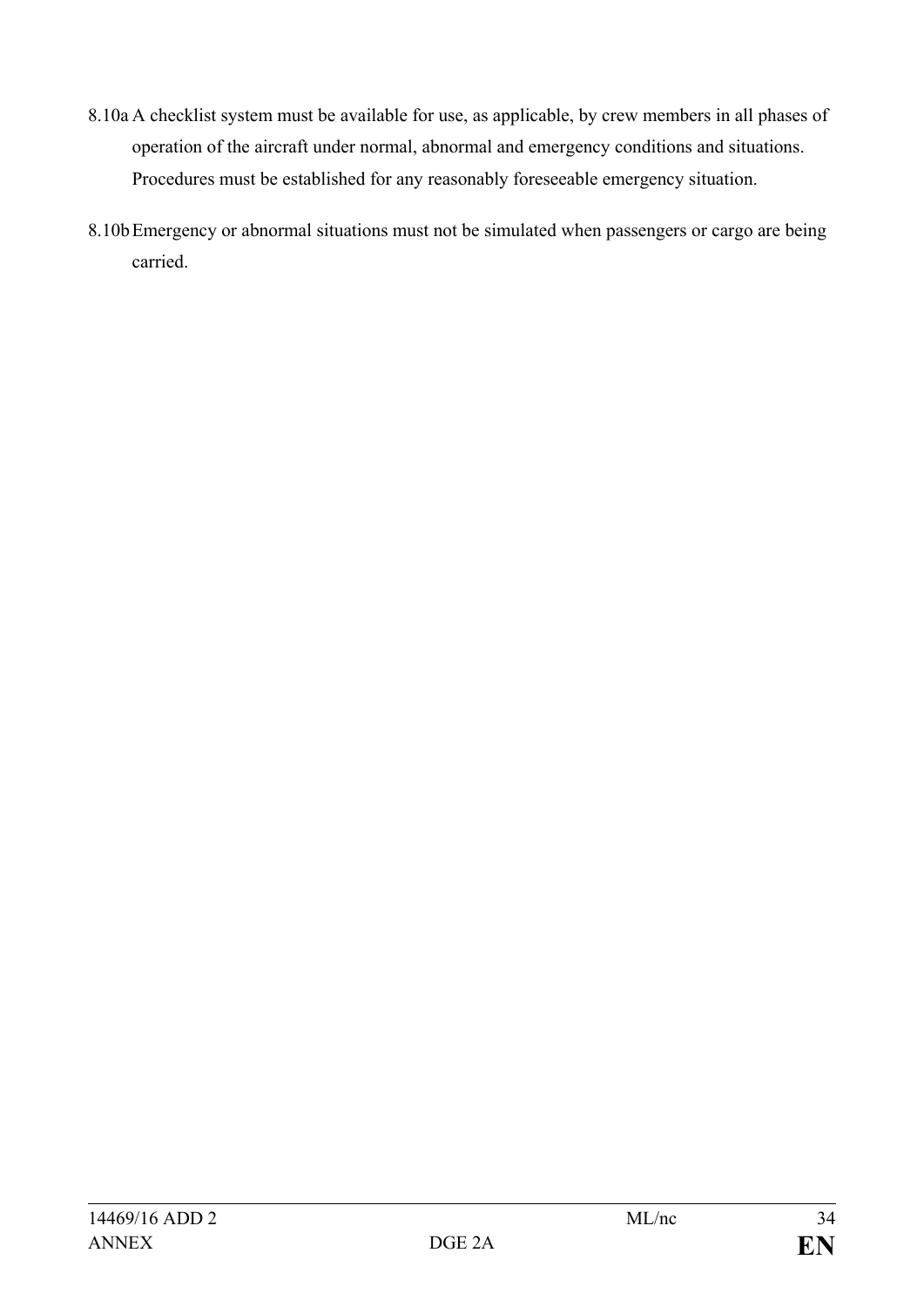- 8.10a A checklist system must be available for use, as applicable, by crew members in all phases of operation of the aircraft under normal, abnormal and emergency conditions and situations. Procedures must be established for any reasonably foreseeable emergency situation.
- 8.10bEmergency or abnormal situations must not be simulated when passengers or cargo are being carried.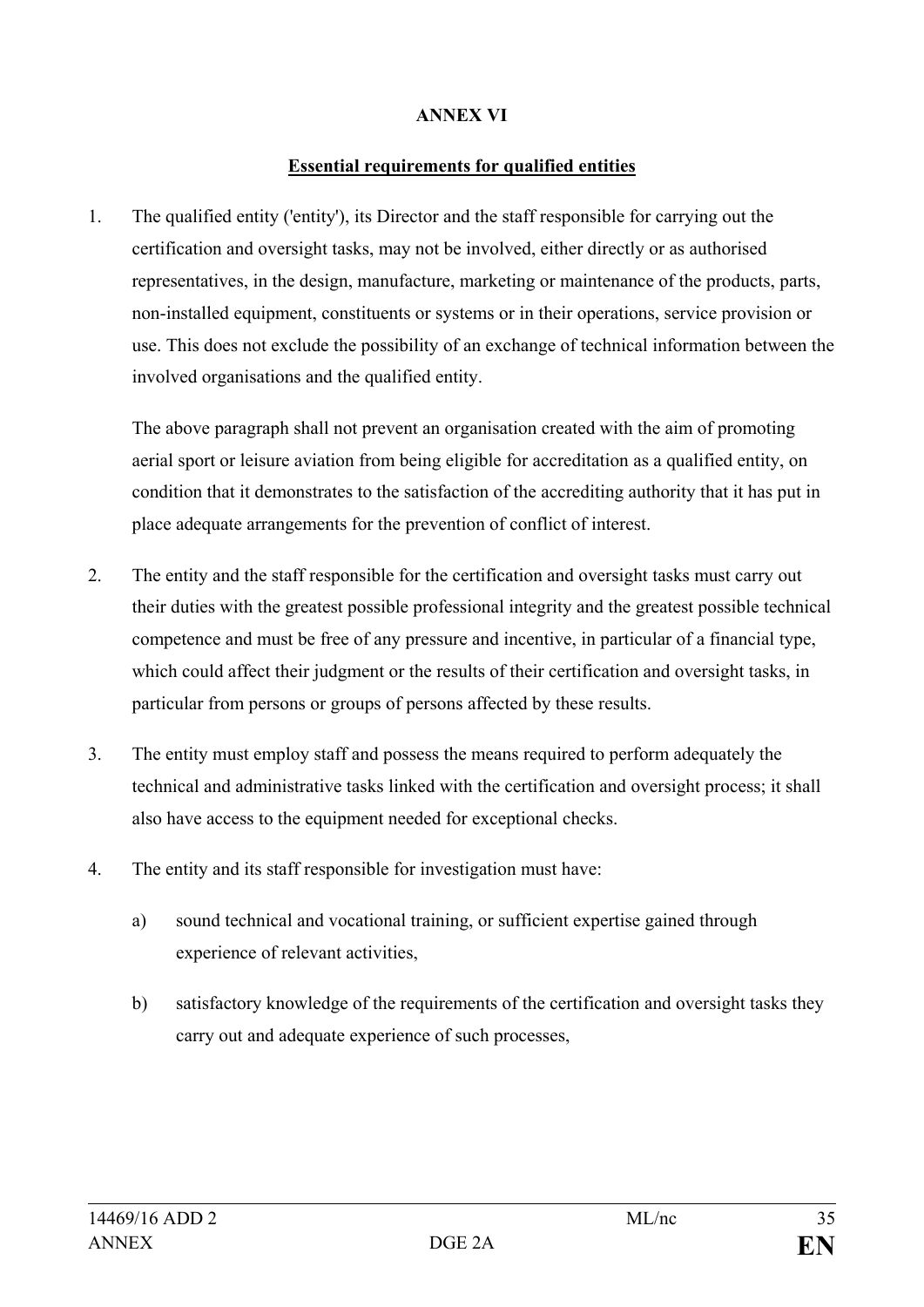#### **ANNEX VI**

#### **Essential requirements for qualified entities**

1. The qualified entity ('entity'), its Director and the staff responsible for carrying out the certification and oversight tasks, may not be involved, either directly or as authorised representatives, in the design, manufacture, marketing or maintenance of the products, parts, non-installed equipment, constituents or systems or in their operations, service provision or use. This does not exclude the possibility of an exchange of technical information between the involved organisations and the qualified entity.

The above paragraph shall not prevent an organisation created with the aim of promoting aerial sport or leisure aviation from being eligible for accreditation as a qualified entity, on condition that it demonstrates to the satisfaction of the accrediting authority that it has put in place adequate arrangements for the prevention of conflict of interest.

- 2. The entity and the staff responsible for the certification and oversight tasks must carry out their duties with the greatest possible professional integrity and the greatest possible technical competence and must be free of any pressure and incentive, in particular of a financial type, which could affect their judgment or the results of their certification and oversight tasks, in particular from persons or groups of persons affected by these results.
- 3. The entity must employ staff and possess the means required to perform adequately the technical and administrative tasks linked with the certification and oversight process; it shall also have access to the equipment needed for exceptional checks.
- 4. The entity and its staff responsible for investigation must have:
	- a) sound technical and vocational training, or sufficient expertise gained through experience of relevant activities,
	- b) satisfactory knowledge of the requirements of the certification and oversight tasks they carry out and adequate experience of such processes,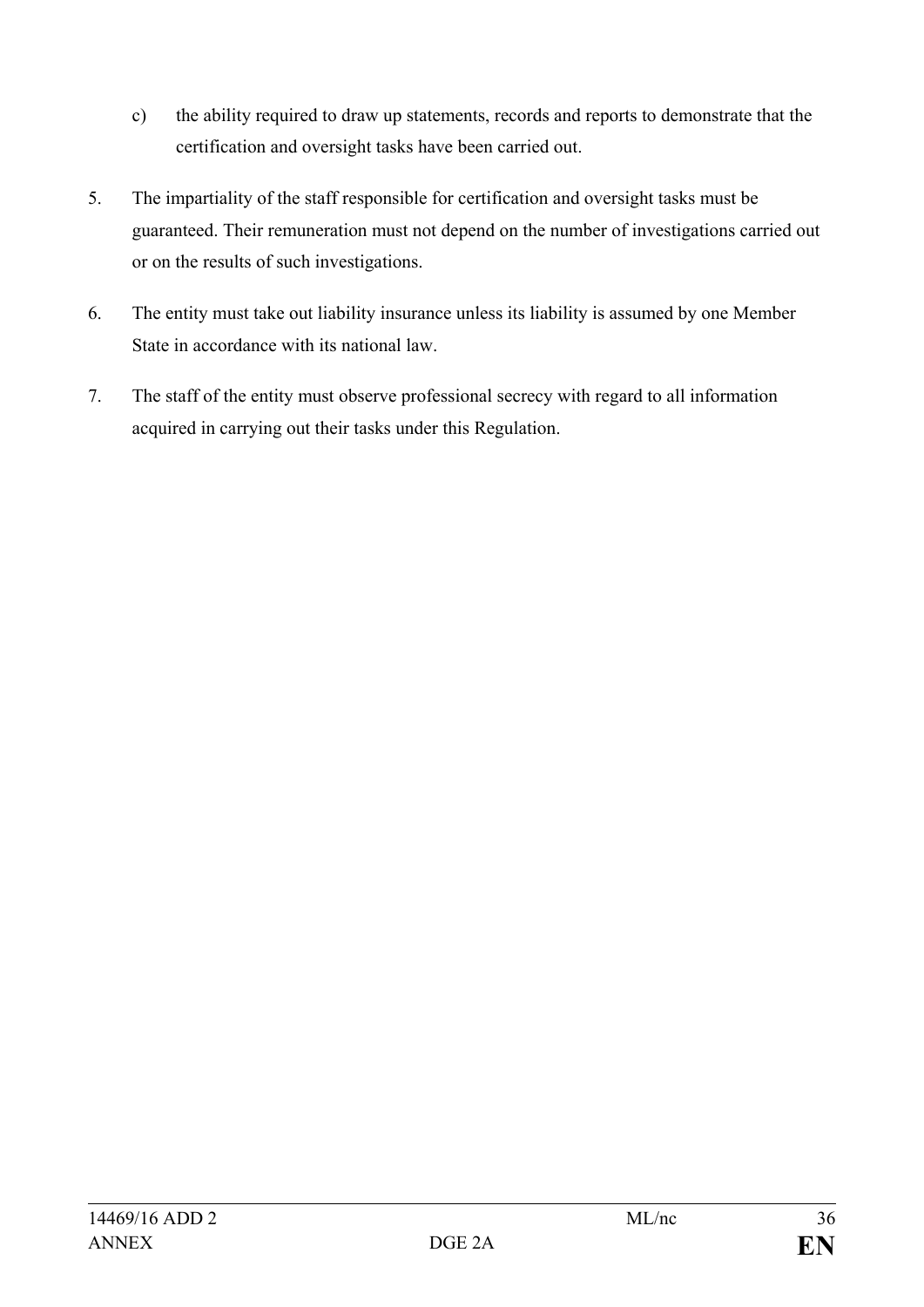- c) the ability required to draw up statements, records and reports to demonstrate that the certification and oversight tasks have been carried out.
- 5. The impartiality of the staff responsible for certification and oversight tasks must be guaranteed. Their remuneration must not depend on the number of investigations carried out or on the results of such investigations.
- 6. The entity must take out liability insurance unless its liability is assumed by one Member State in accordance with its national law.
- 7. The staff of the entity must observe professional secrecy with regard to all information acquired in carrying out their tasks under this Regulation.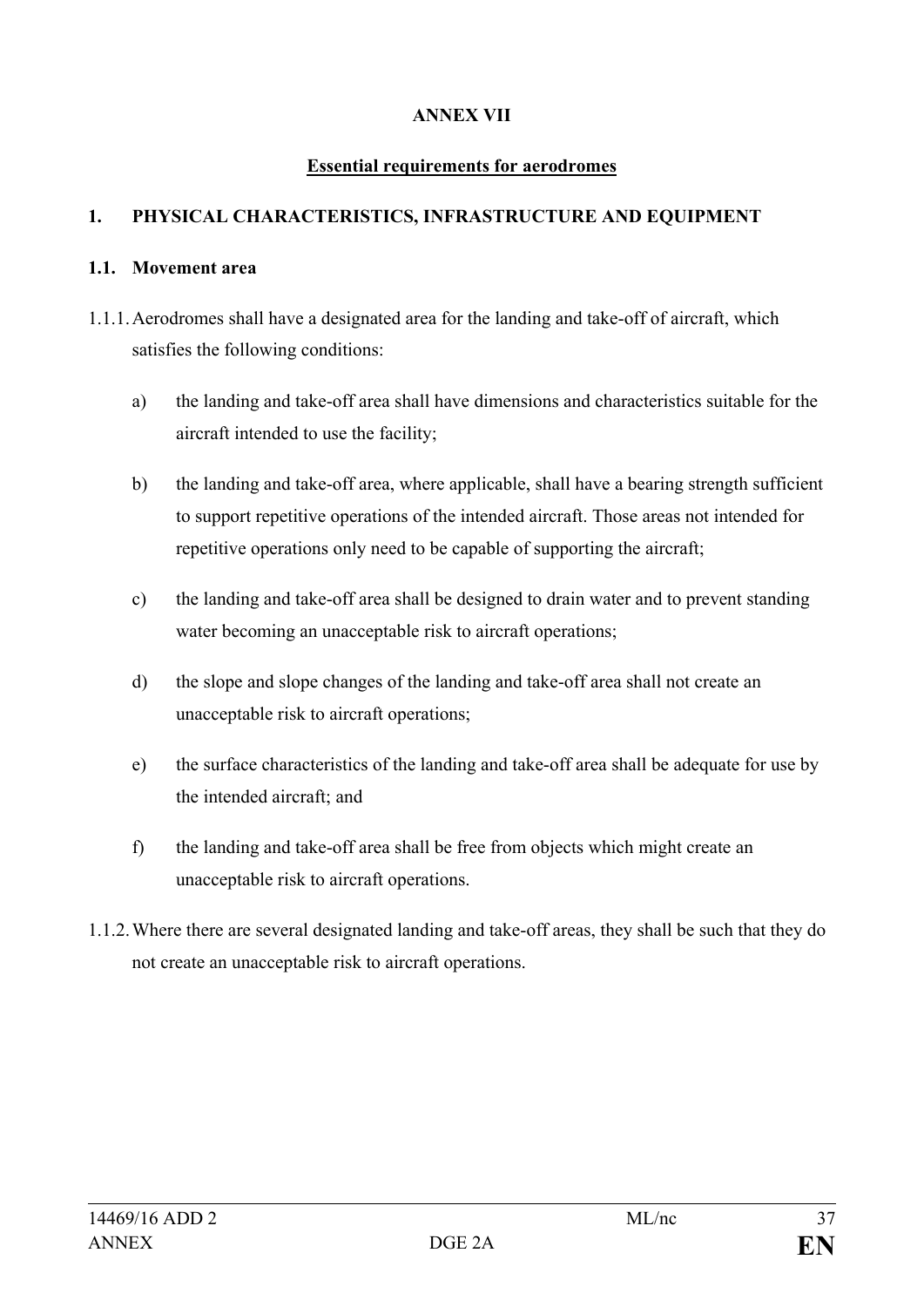# **ANNEX VII**

### **Essential requirements for aerodromes**

# **1. PHYSICAL CHARACTERISTICS, INFRASTRUCTURE AND EQUIPMENT**

#### **1.1. Movement area**

- 1.1.1.Aerodromes shall have a designated area for the landing and take-off of aircraft, which satisfies the following conditions:
	- a) the landing and take-off area shall have dimensions and characteristics suitable for the aircraft intended to use the facility;
	- b) the landing and take-off area, where applicable, shall have a bearing strength sufficient to support repetitive operations of the intended aircraft. Those areas not intended for repetitive operations only need to be capable of supporting the aircraft;
	- c) the landing and take-off area shall be designed to drain water and to prevent standing water becoming an unacceptable risk to aircraft operations;
	- d) the slope and slope changes of the landing and take-off area shall not create an unacceptable risk to aircraft operations;
	- e) the surface characteristics of the landing and take-off area shall be adequate for use by the intended aircraft; and
	- f) the landing and take-off area shall be free from objects which might create an unacceptable risk to aircraft operations.
- 1.1.2.Where there are several designated landing and take-off areas, they shall be such that they do not create an unacceptable risk to aircraft operations.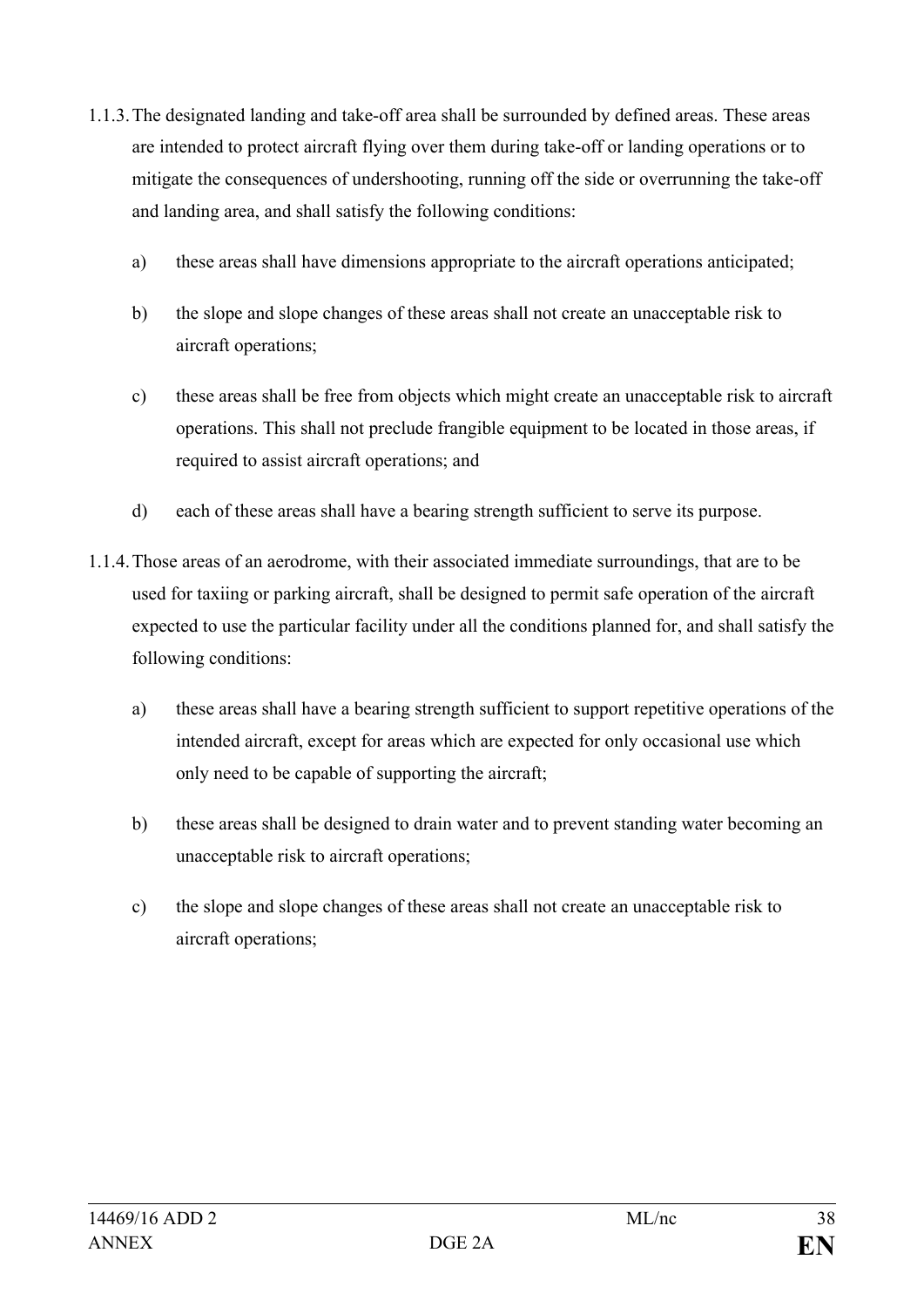- 1.1.3.The designated landing and take-off area shall be surrounded by defined areas. These areas are intended to protect aircraft flying over them during take-off or landing operations or to mitigate the consequences of undershooting, running off the side or overrunning the take-off and landing area, and shall satisfy the following conditions:
	- a) these areas shall have dimensions appropriate to the aircraft operations anticipated;
	- b) the slope and slope changes of these areas shall not create an unacceptable risk to aircraft operations;
	- c) these areas shall be free from objects which might create an unacceptable risk to aircraft operations. This shall not preclude frangible equipment to be located in those areas, if required to assist aircraft operations; and
	- d) each of these areas shall have a bearing strength sufficient to serve its purpose.
- 1.1.4.Those areas of an aerodrome, with their associated immediate surroundings, that are to be used for taxiing or parking aircraft, shall be designed to permit safe operation of the aircraft expected to use the particular facility under all the conditions planned for, and shall satisfy the following conditions:
	- a) these areas shall have a bearing strength sufficient to support repetitive operations of the intended aircraft, except for areas which are expected for only occasional use which only need to be capable of supporting the aircraft;
	- b) these areas shall be designed to drain water and to prevent standing water becoming an unacceptable risk to aircraft operations;
	- c) the slope and slope changes of these areas shall not create an unacceptable risk to aircraft operations;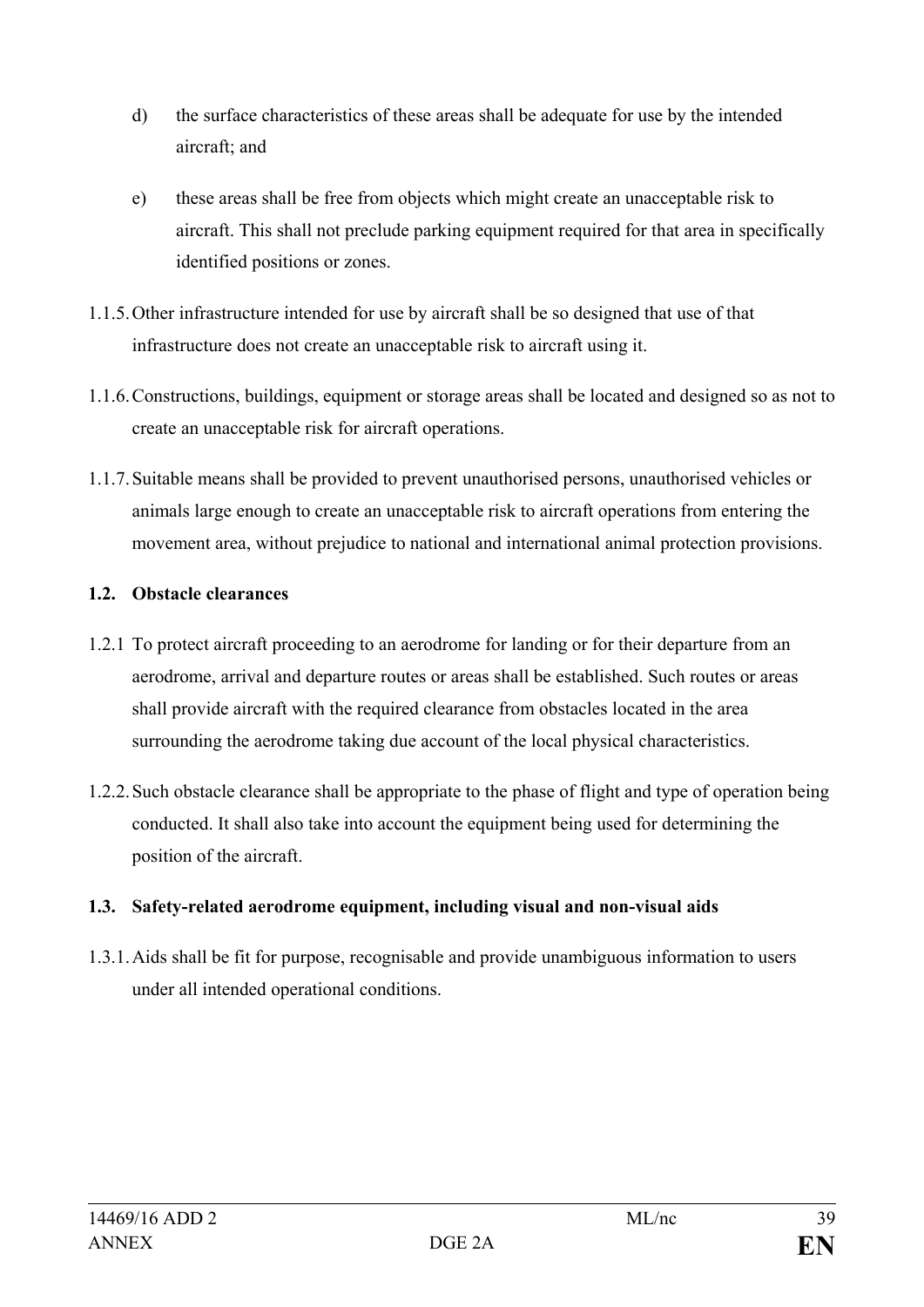- d) the surface characteristics of these areas shall be adequate for use by the intended aircraft; and
- e) these areas shall be free from objects which might create an unacceptable risk to aircraft. This shall not preclude parking equipment required for that area in specifically identified positions or zones.
- 1.1.5.Other infrastructure intended for use by aircraft shall be so designed that use of that infrastructure does not create an unacceptable risk to aircraft using it.
- 1.1.6.Constructions, buildings, equipment or storage areas shall be located and designed so as not to create an unacceptable risk for aircraft operations.
- 1.1.7.Suitable means shall be provided to prevent unauthorised persons, unauthorised vehicles or animals large enough to create an unacceptable risk to aircraft operations from entering the movement area, without prejudice to national and international animal protection provisions.

# **1.2. Obstacle clearances**

- 1.2.1 To protect aircraft proceeding to an aerodrome for landing or for their departure from an aerodrome, arrival and departure routes or areas shall be established. Such routes or areas shall provide aircraft with the required clearance from obstacles located in the area surrounding the aerodrome taking due account of the local physical characteristics.
- 1.2.2.Such obstacle clearance shall be appropriate to the phase of flight and type of operation being conducted. It shall also take into account the equipment being used for determining the position of the aircraft.

# **1.3. Safety-related aerodrome equipment, including visual and non-visual aids**

1.3.1.Aids shall be fit for purpose, recognisable and provide unambiguous information to users under all intended operational conditions.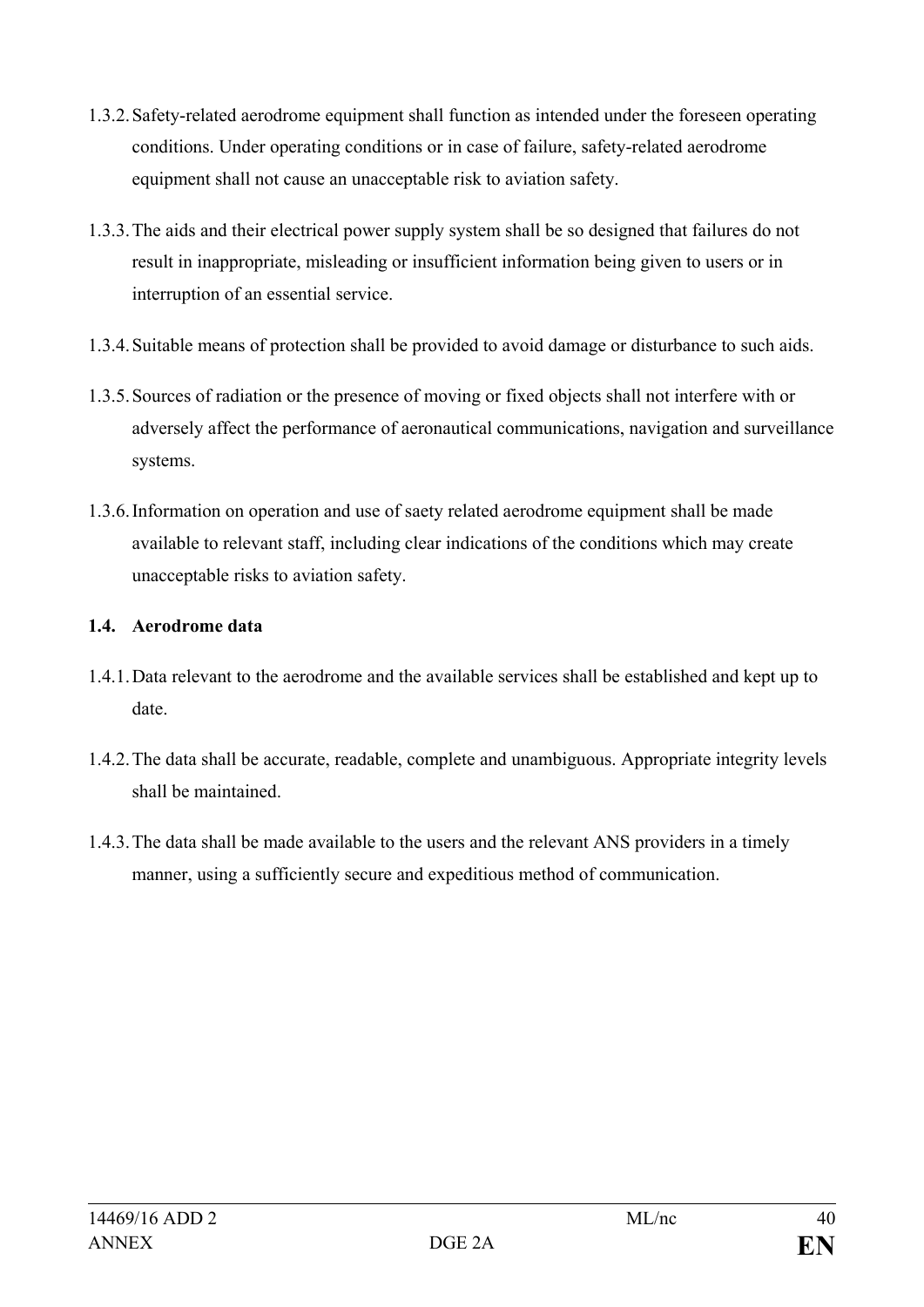- 1.3.2.Safety-related aerodrome equipment shall function as intended under the foreseen operating conditions. Under operating conditions or in case of failure, safety-related aerodrome equipment shall not cause an unacceptable risk to aviation safety.
- 1.3.3.The aids and their electrical power supply system shall be so designed that failures do not result in inappropriate, misleading or insufficient information being given to users or in interruption of an essential service.
- 1.3.4.Suitable means of protection shall be provided to avoid damage or disturbance to such aids.
- 1.3.5.Sources of radiation or the presence of moving or fixed objects shall not interfere with or adversely affect the performance of aeronautical communications, navigation and surveillance systems.
- 1.3.6.Information on operation and use of saety related aerodrome equipment shall be made available to relevant staff, including clear indications of the conditions which may create unacceptable risks to aviation safety.

# **1.4. Aerodrome data**

- 1.4.1.Data relevant to the aerodrome and the available services shall be established and kept up to date.
- 1.4.2.The data shall be accurate, readable, complete and unambiguous. Appropriate integrity levels shall be maintained.
- 1.4.3.The data shall be made available to the users and the relevant ANS providers in a timely manner, using a sufficiently secure and expeditious method of communication.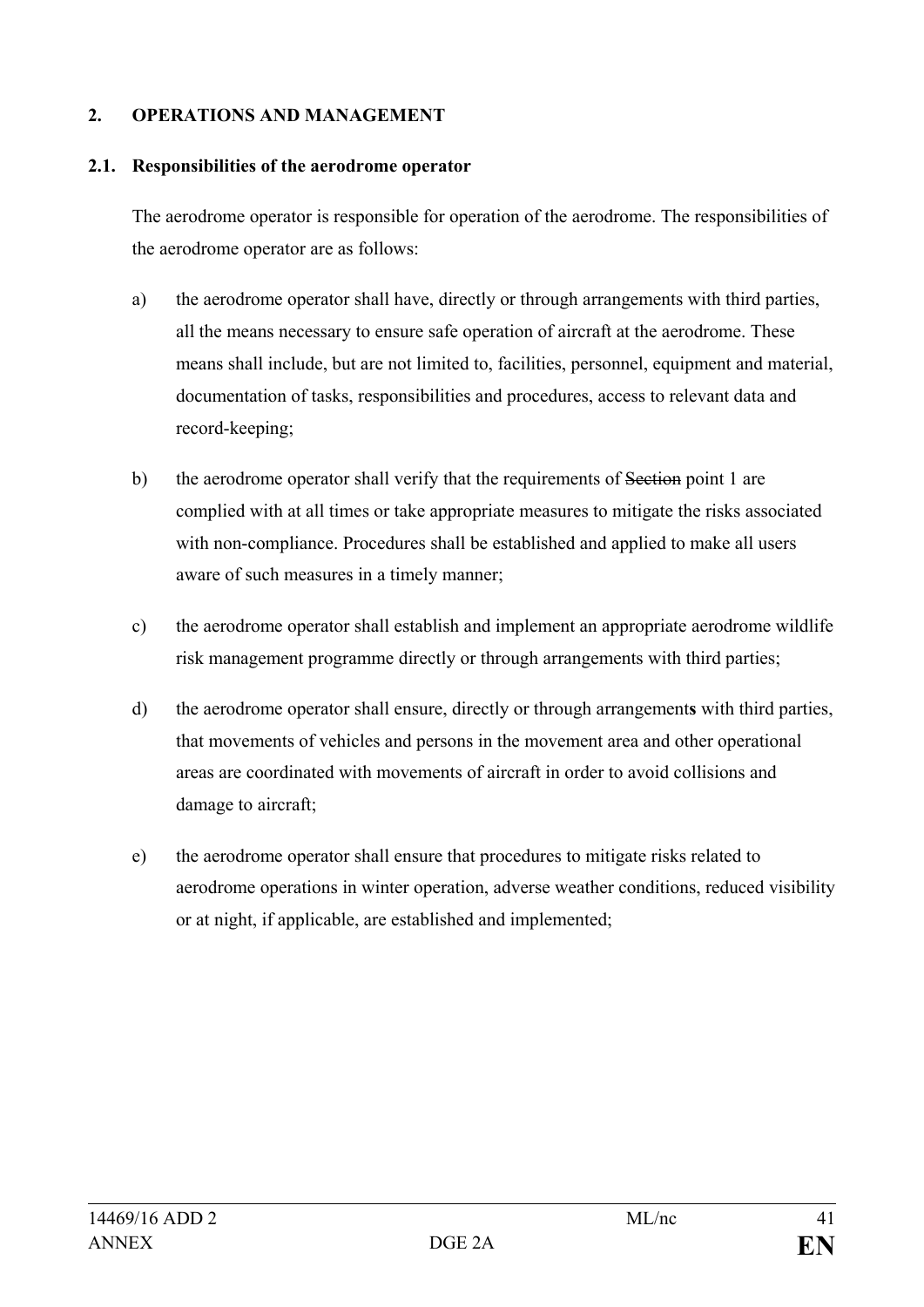### **2. OPERATIONS AND MANAGEMENT**

#### **2.1. Responsibilities of the aerodrome operator**

The aerodrome operator is responsible for operation of the aerodrome. The responsibilities of the aerodrome operator are as follows:

- a) the aerodrome operator shall have, directly or through arrangements with third parties, all the means necessary to ensure safe operation of aircraft at the aerodrome. These means shall include, but are not limited to, facilities, personnel, equipment and material, documentation of tasks, responsibilities and procedures, access to relevant data and record-keeping;
- b) the aerodrome operator shall verify that the requirements of Section point 1 are complied with at all times or take appropriate measures to mitigate the risks associated with non-compliance. Procedures shall be established and applied to make all users aware of such measures in a timely manner;
- c) the aerodrome operator shall establish and implement an appropriate aerodrome wildlife risk management programme directly or through arrangements with third parties;
- d) the aerodrome operator shall ensure, directly or through arrangement**s** with third parties, that movements of vehicles and persons in the movement area and other operational areas are coordinated with movements of aircraft in order to avoid collisions and damage to aircraft;
- e) the aerodrome operator shall ensure that procedures to mitigate risks related to aerodrome operations in winter operation, adverse weather conditions, reduced visibility or at night, if applicable, are established and implemented;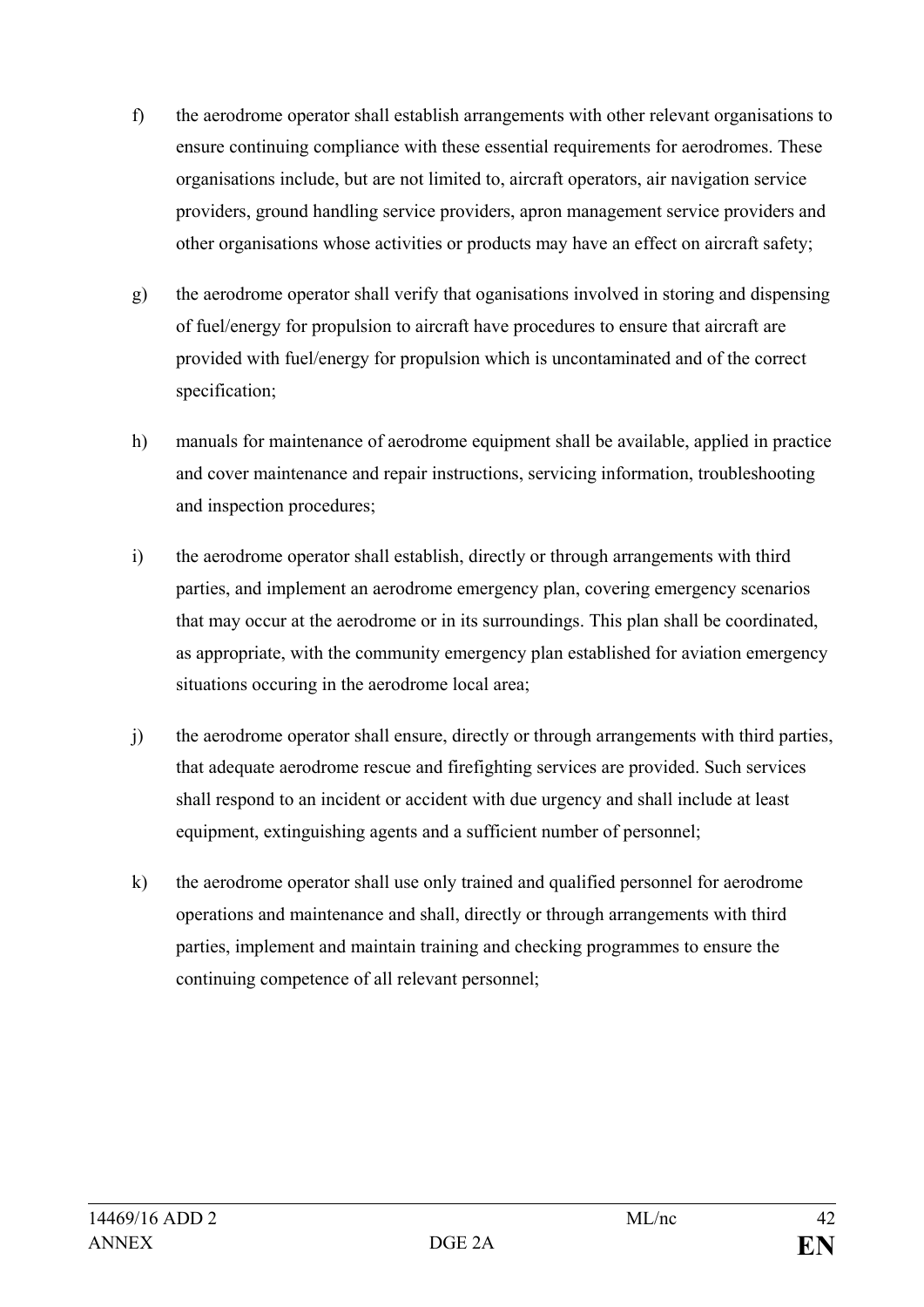- f) the aerodrome operator shall establish arrangements with other relevant organisations to ensure continuing compliance with these essential requirements for aerodromes. These organisations include, but are not limited to, aircraft operators, air navigation service providers, ground handling service providers, apron management service providers and other organisations whose activities or products may have an effect on aircraft safety;
- g) the aerodrome operator shall verify that oganisations involved in storing and dispensing of fuel/energy for propulsion to aircraft have procedures to ensure that aircraft are provided with fuel/energy for propulsion which is uncontaminated and of the correct specification;
- h) manuals for maintenance of aerodrome equipment shall be available, applied in practice and cover maintenance and repair instructions, servicing information, troubleshooting and inspection procedures;
- i) the aerodrome operator shall establish, directly or through arrangements with third parties, and implement an aerodrome emergency plan, covering emergency scenarios that may occur at the aerodrome or in its surroundings. This plan shall be coordinated, as appropriate, with the community emergency plan established for aviation emergency situations occuring in the aerodrome local area;
- j) the aerodrome operator shall ensure, directly or through arrangements with third parties, that adequate aerodrome rescue and firefighting services are provided. Such services shall respond to an incident or accident with due urgency and shall include at least equipment, extinguishing agents and a sufficient number of personnel;
- k) the aerodrome operator shall use only trained and qualified personnel for aerodrome operations and maintenance and shall, directly or through arrangements with third parties, implement and maintain training and checking programmes to ensure the continuing competence of all relevant personnel;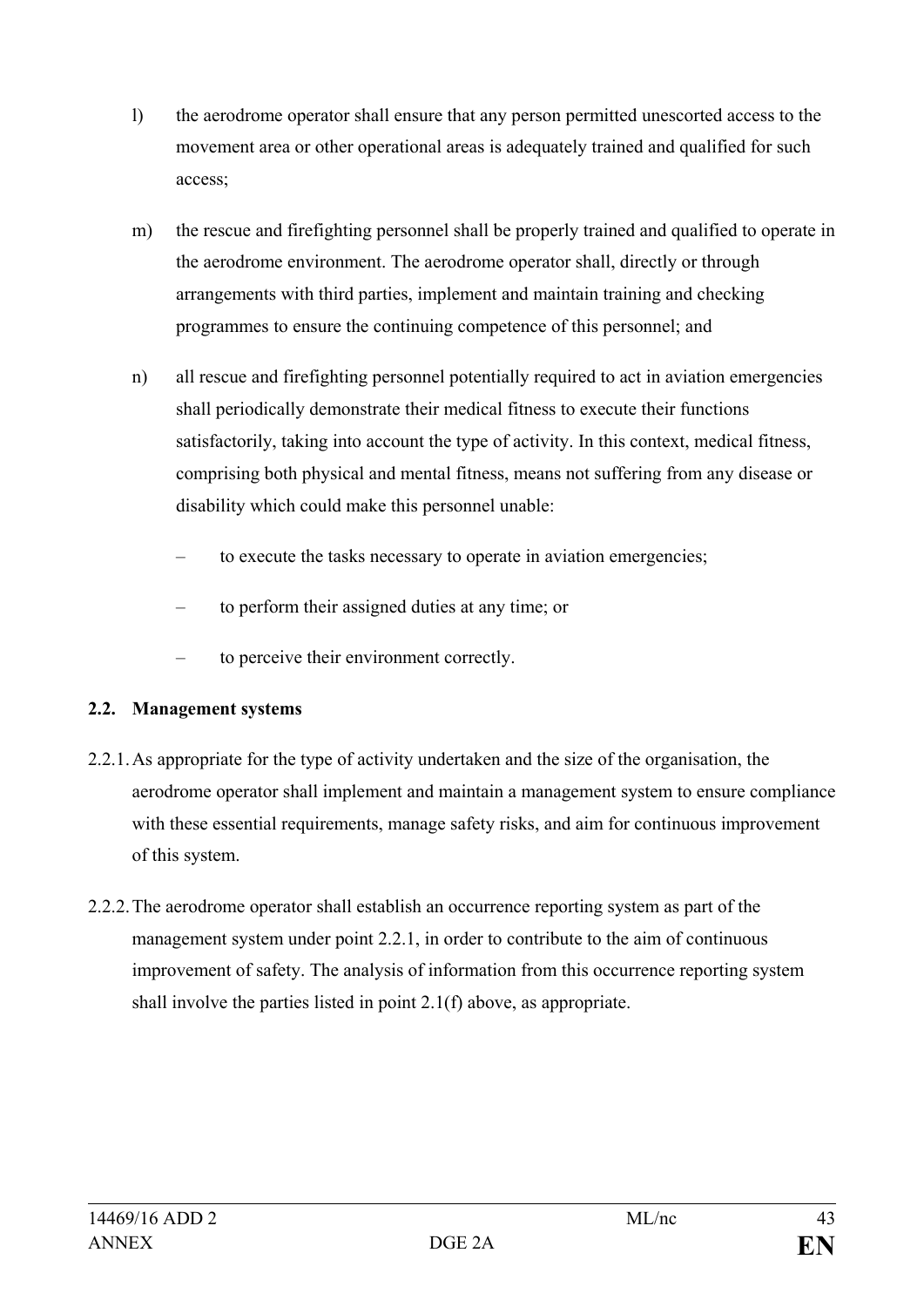- l) the aerodrome operator shall ensure that any person permitted unescorted access to the movement area or other operational areas is adequately trained and qualified for such access;
- m) the rescue and firefighting personnel shall be properly trained and qualified to operate in the aerodrome environment. The aerodrome operator shall, directly or through arrangements with third parties, implement and maintain training and checking programmes to ensure the continuing competence of this personnel; and
- n) all rescue and firefighting personnel potentially required to act in aviation emergencies shall periodically demonstrate their medical fitness to execute their functions satisfactorily, taking into account the type of activity. In this context, medical fitness, comprising both physical and mental fitness, means not suffering from any disease or disability which could make this personnel unable:
	- to execute the tasks necessary to operate in aviation emergencies;
	- to perform their assigned duties at any time; or
	- to perceive their environment correctly.

# **2.2. Management systems**

- 2.2.1.As appropriate for the type of activity undertaken and the size of the organisation, the aerodrome operator shall implement and maintain a management system to ensure compliance with these essential requirements, manage safety risks, and aim for continuous improvement of this system.
- 2.2.2.The aerodrome operator shall establish an occurrence reporting system as part of the management system under point 2.2.1, in order to contribute to the aim of continuous improvement of safety. The analysis of information from this occurrence reporting system shall involve the parties listed in point 2.1(f) above, as appropriate.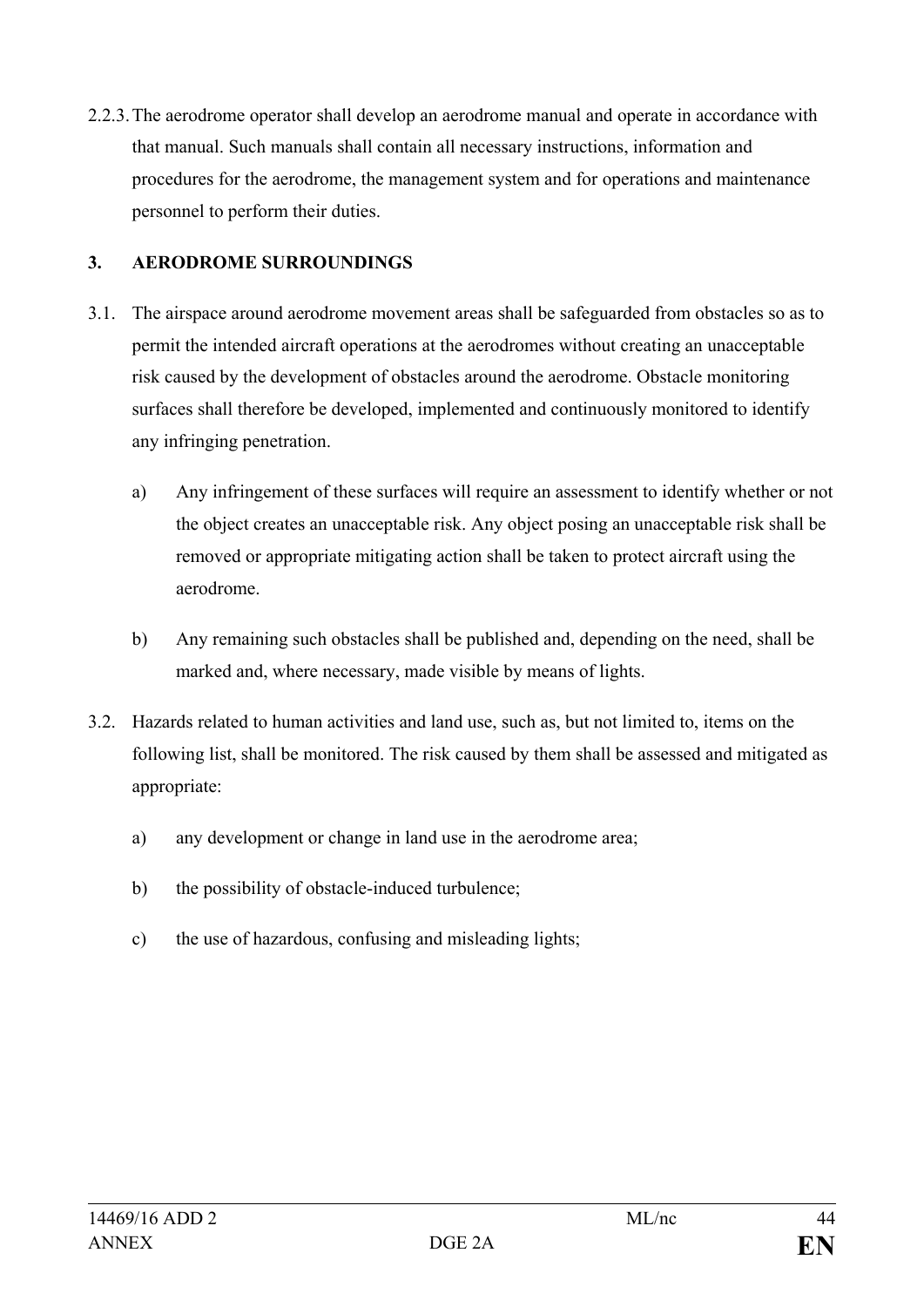2.2.3.The aerodrome operator shall develop an aerodrome manual and operate in accordance with that manual. Such manuals shall contain all necessary instructions, information and procedures for the aerodrome, the management system and for operations and maintenance personnel to perform their duties.

# **3. AERODROME SURROUNDINGS**

- 3.1. The airspace around aerodrome movement areas shall be safeguarded from obstacles so as to permit the intended aircraft operations at the aerodromes without creating an unacceptable risk caused by the development of obstacles around the aerodrome. Obstacle monitoring surfaces shall therefore be developed, implemented and continuously monitored to identify any infringing penetration.
	- a) Any infringement of these surfaces will require an assessment to identify whether or not the object creates an unacceptable risk. Any object posing an unacceptable risk shall be removed or appropriate mitigating action shall be taken to protect aircraft using the aerodrome.
	- b) Any remaining such obstacles shall be published and, depending on the need, shall be marked and, where necessary, made visible by means of lights.
- 3.2. Hazards related to human activities and land use, such as, but not limited to, items on the following list, shall be monitored. The risk caused by them shall be assessed and mitigated as appropriate:
	- a) any development or change in land use in the aerodrome area;
	- b) the possibility of obstacle-induced turbulence;
	- c) the use of hazardous, confusing and misleading lights;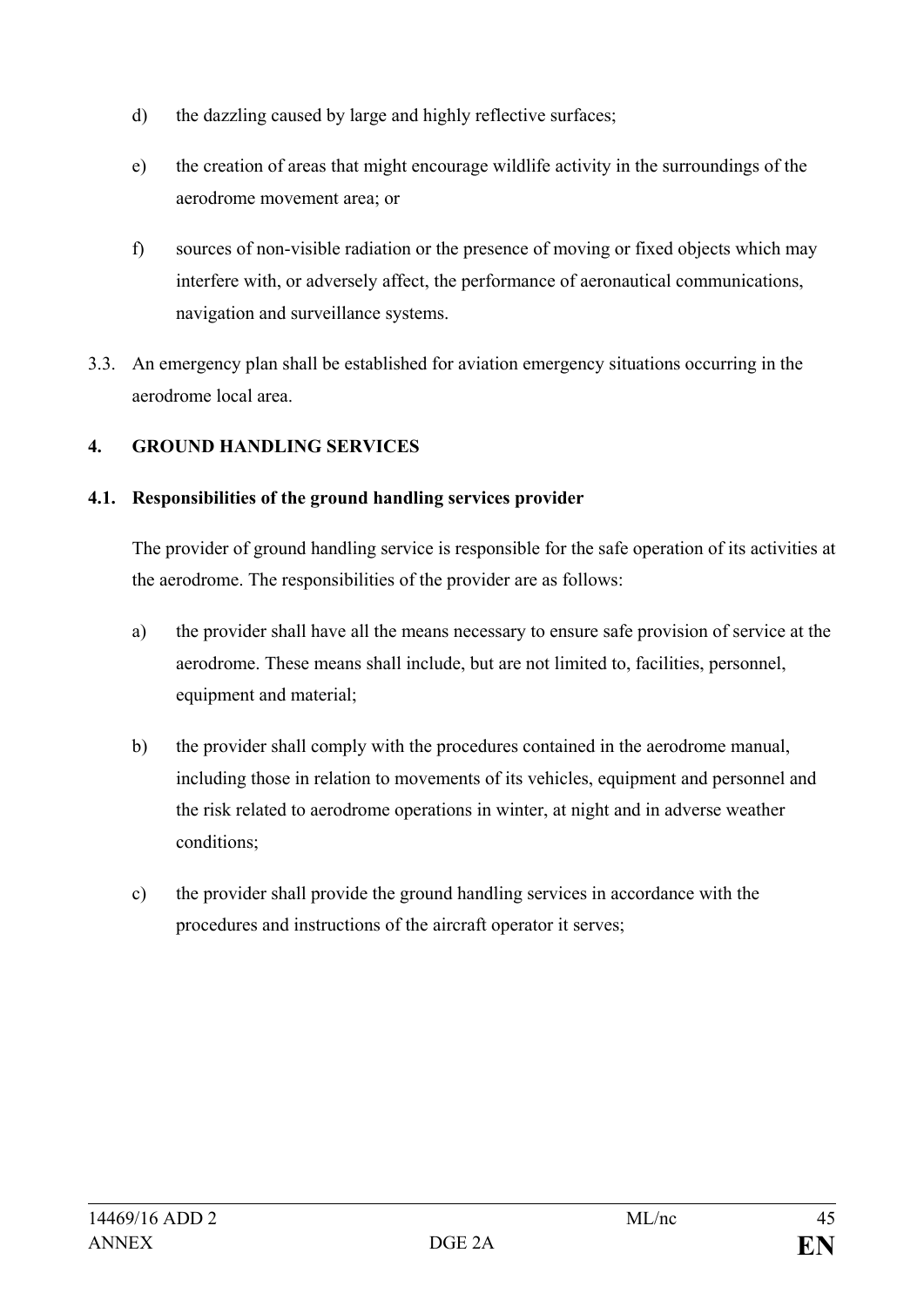- d) the dazzling caused by large and highly reflective surfaces;
- e) the creation of areas that might encourage wildlife activity in the surroundings of the aerodrome movement area; or
- f) sources of non-visible radiation or the presence of moving or fixed objects which may interfere with, or adversely affect, the performance of aeronautical communications, navigation and surveillance systems.
- 3.3. An emergency plan shall be established for aviation emergency situations occurring in the aerodrome local area.

# **4. GROUND HANDLING SERVICES**

# **4.1. Responsibilities of the ground handling services provider**

The provider of ground handling service is responsible for the safe operation of its activities at the aerodrome. The responsibilities of the provider are as follows:

- a) the provider shall have all the means necessary to ensure safe provision of service at the aerodrome. These means shall include, but are not limited to, facilities, personnel, equipment and material;
- b) the provider shall comply with the procedures contained in the aerodrome manual, including those in relation to movements of its vehicles, equipment and personnel and the risk related to aerodrome operations in winter, at night and in adverse weather conditions;
- c) the provider shall provide the ground handling services in accordance with the procedures and instructions of the aircraft operator it serves;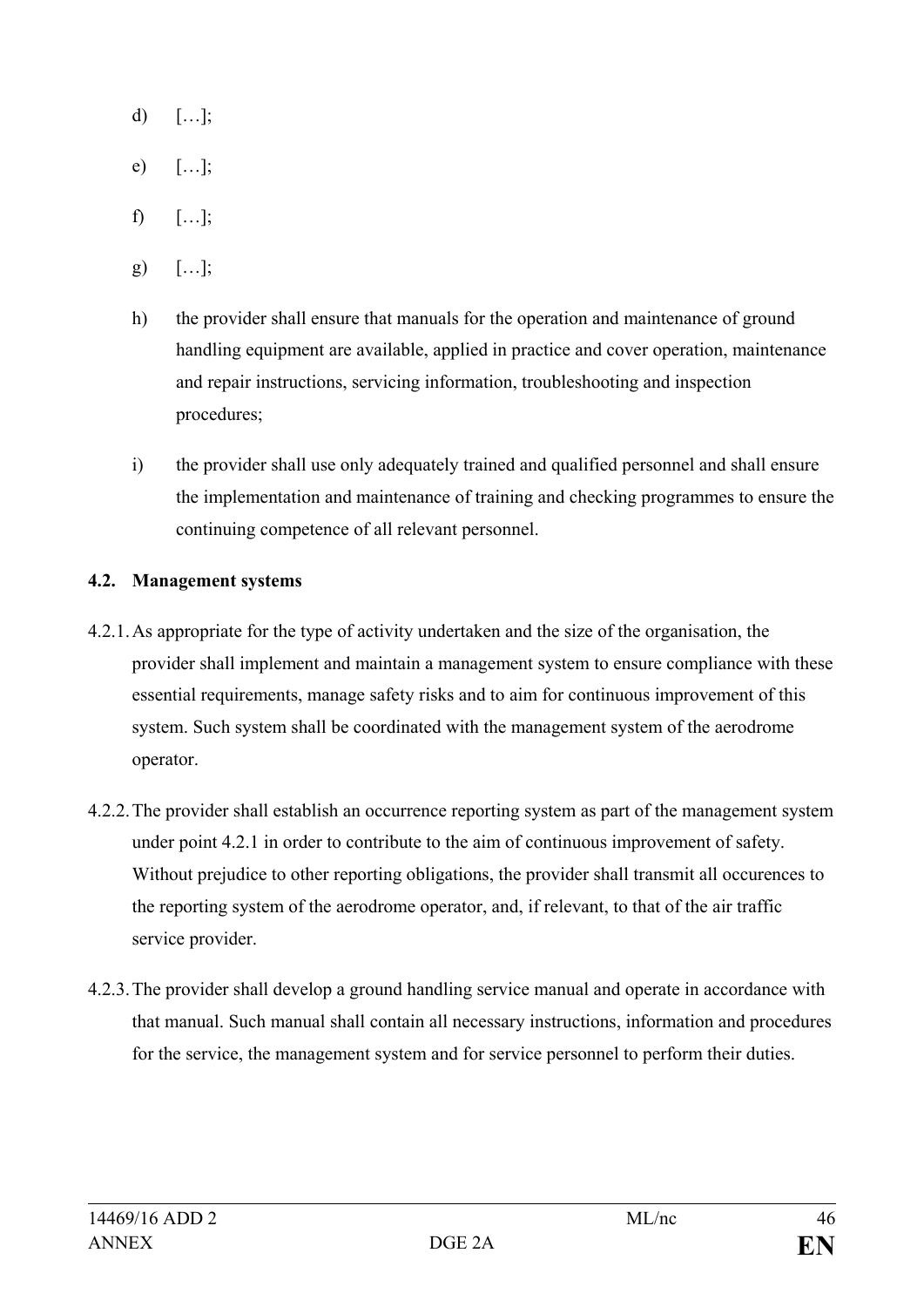- d)  $[\dots]$ ;
- e) […];
- $f$ )  $[...]$ ;
- g) […];
- h) the provider shall ensure that manuals for the operation and maintenance of ground handling equipment are available, applied in practice and cover operation, maintenance and repair instructions, servicing information, troubleshooting and inspection procedures;
- i) the provider shall use only adequately trained and qualified personnel and shall ensure the implementation and maintenance of training and checking programmes to ensure the continuing competence of all relevant personnel.

#### **4.2. Management systems**

- 4.2.1.As appropriate for the type of activity undertaken and the size of the organisation, the provider shall implement and maintain a management system to ensure compliance with these essential requirements, manage safety risks and to aim for continuous improvement of this system. Such system shall be coordinated with the management system of the aerodrome operator.
- 4.2.2.The provider shall establish an occurrence reporting system as part of the management system under point 4.2.1 in order to contribute to the aim of continuous improvement of safety. Without prejudice to other reporting obligations, the provider shall transmit all occurences to the reporting system of the aerodrome operator, and, if relevant, to that of the air traffic service provider.
- 4.2.3.The provider shall develop a ground handling service manual and operate in accordance with that manual. Such manual shall contain all necessary instructions, information and procedures for the service, the management system and for service personnel to perform their duties.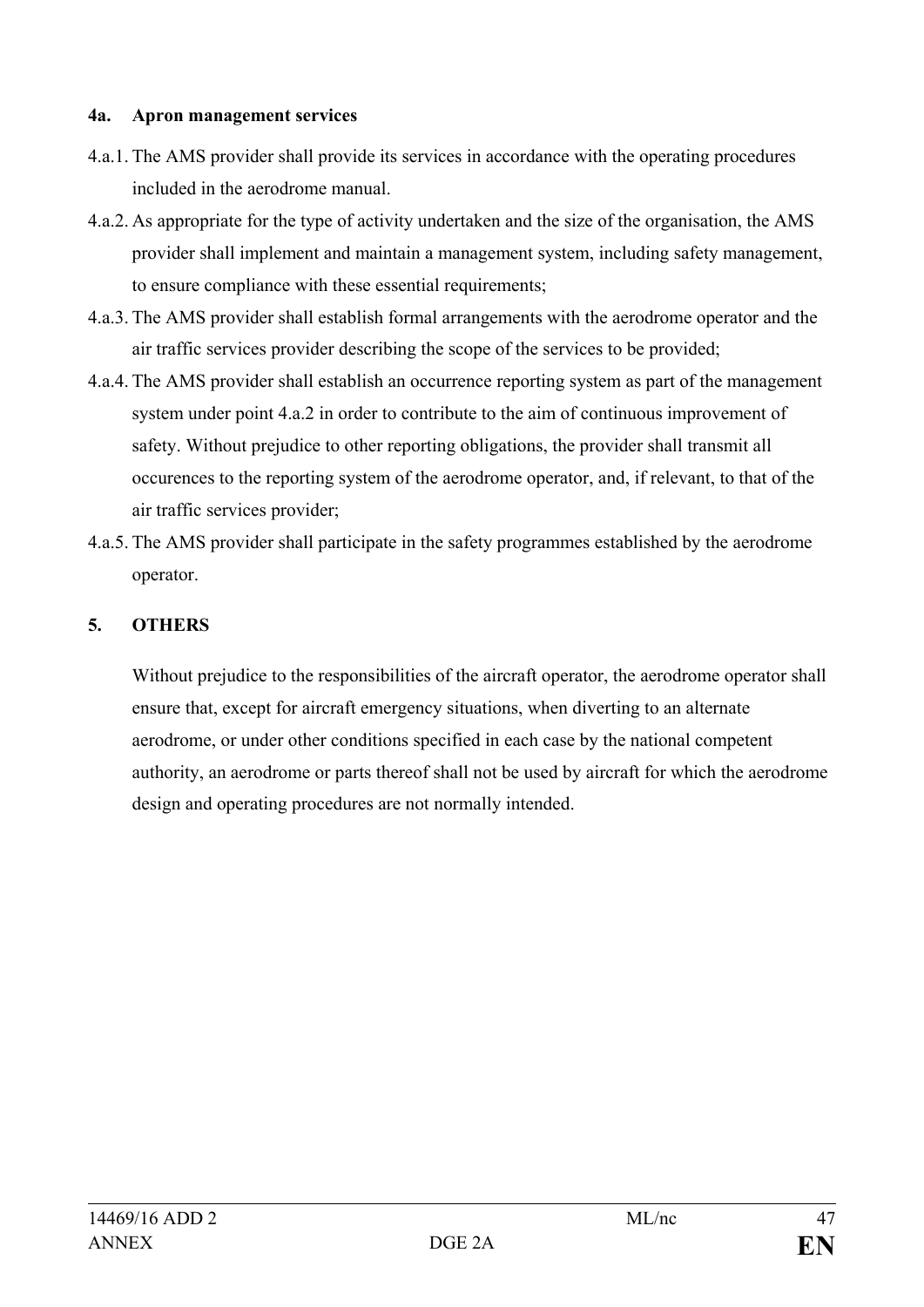#### **4a. Apron management services**

- 4.a.1. The AMS provider shall provide its services in accordance with the operating procedures included in the aerodrome manual.
- 4.a.2. As appropriate for the type of activity undertaken and the size of the organisation, the AMS provider shall implement and maintain a management system, including safety management, to ensure compliance with these essential requirements;
- 4.a.3. The AMS provider shall establish formal arrangements with the aerodrome operator and the air traffic services provider describing the scope of the services to be provided;
- 4.a.4. The AMS provider shall establish an occurrence reporting system as part of the management system under point 4.a.2 in order to contribute to the aim of continuous improvement of safety. Without prejudice to other reporting obligations, the provider shall transmit all occurences to the reporting system of the aerodrome operator, and, if relevant, to that of the air traffic services provider;
- 4.a.5. The AMS provider shall participate in the safety programmes established by the aerodrome operator.

# **5. OTHERS**

Without prejudice to the responsibilities of the aircraft operator, the aerodrome operator shall ensure that, except for aircraft emergency situations, when diverting to an alternate aerodrome, or under other conditions specified in each case by the national competent authority, an aerodrome or parts thereof shall not be used by aircraft for which the aerodrome design and operating procedures are not normally intended.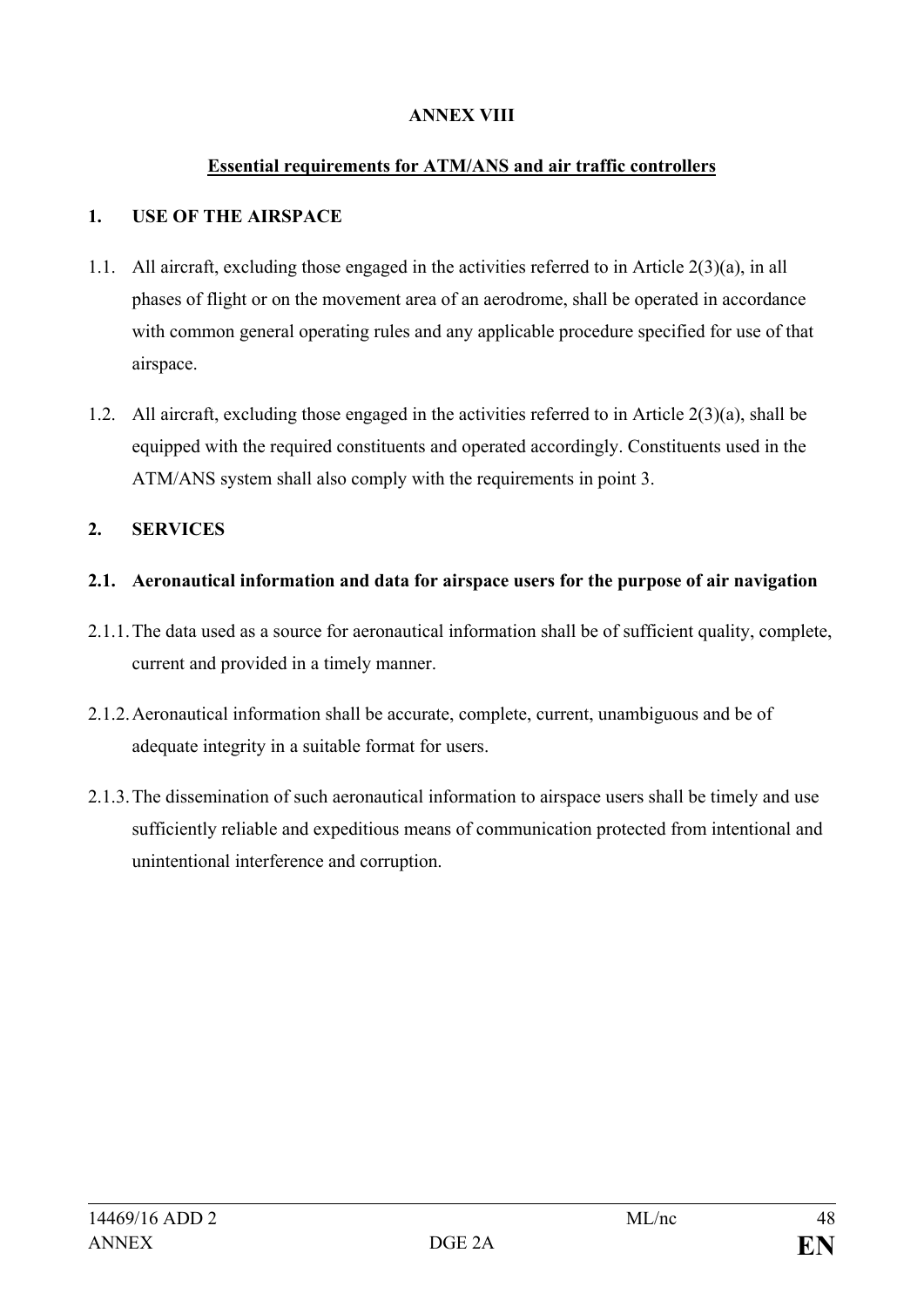### **ANNEX VIII**

#### **Essential requirements for ATM/ANS and air traffic controllers**

#### **1. USE OF THE AIRSPACE**

- 1.1. All aircraft, excluding those engaged in the activities referred to in Article 2(3)(a), in all phases of flight or on the movement area of an aerodrome, shall be operated in accordance with common general operating rules and any applicable procedure specified for use of that airspace.
- 1.2. All aircraft, excluding those engaged in the activities referred to in Article 2(3)(a), shall be equipped with the required constituents and operated accordingly. Constituents used in the ATM/ANS system shall also comply with the requirements in point 3.

#### **2. SERVICES**

#### **2.1. Aeronautical information and data for airspace users for the purpose of air navigation**

- 2.1.1.The data used as a source for aeronautical information shall be of sufficient quality, complete, current and provided in a timely manner.
- 2.1.2.Aeronautical information shall be accurate, complete, current, unambiguous and be of adequate integrity in a suitable format for users.
- 2.1.3.The dissemination of such aeronautical information to airspace users shall be timely and use sufficiently reliable and expeditious means of communication protected from intentional and unintentional interference and corruption.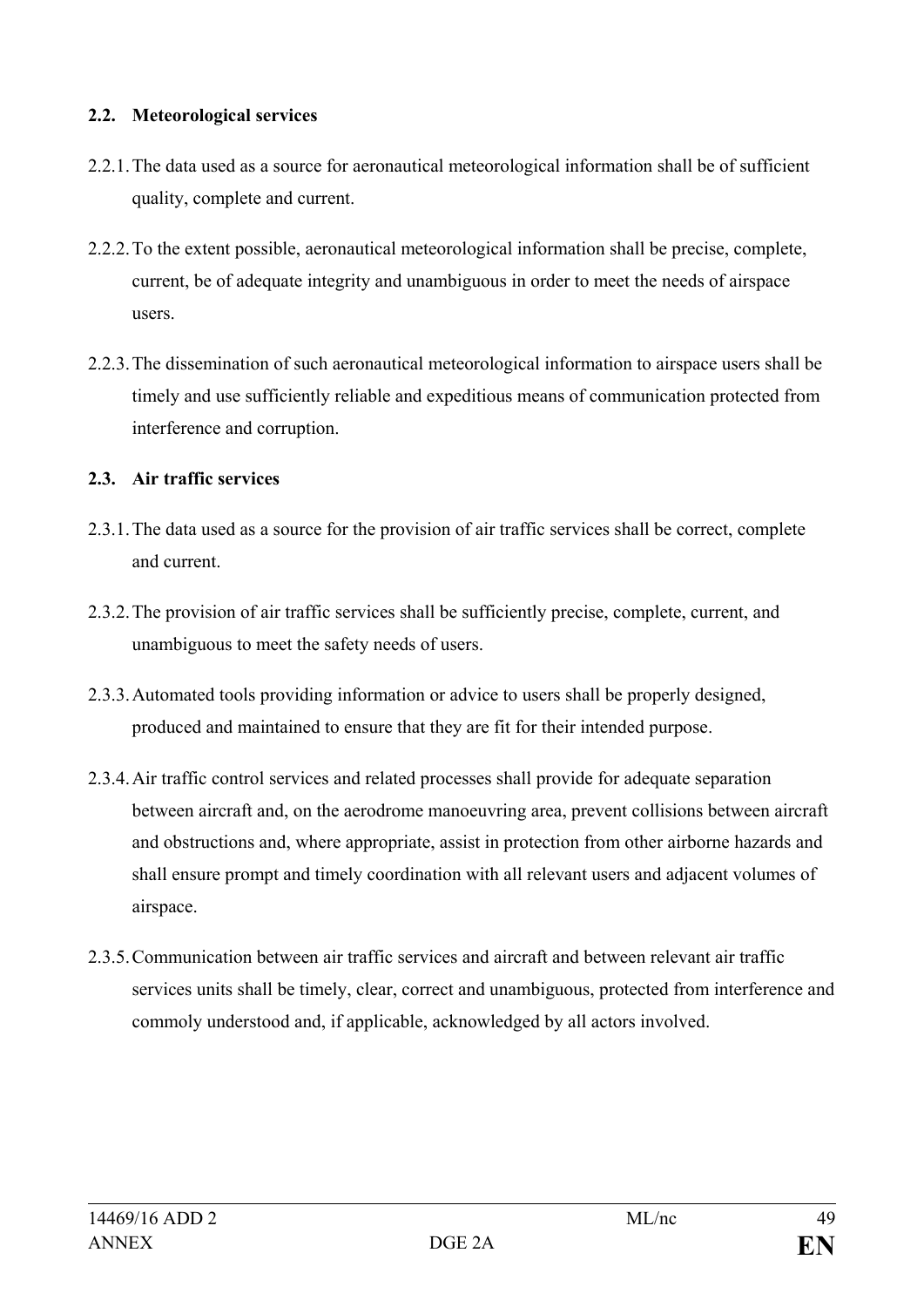#### **2.2. Meteorological services**

- 2.2.1.The data used as a source for aeronautical meteorological information shall be of sufficient quality, complete and current.
- 2.2.2.To the extent possible, aeronautical meteorological information shall be precise, complete, current, be of adequate integrity and unambiguous in order to meet the needs of airspace users.
- 2.2.3.The dissemination of such aeronautical meteorological information to airspace users shall be timely and use sufficiently reliable and expeditious means of communication protected from interference and corruption.

# **2.3. Air traffic services**

- 2.3.1.The data used as a source for the provision of air traffic services shall be correct, complete and current.
- 2.3.2.The provision of air traffic services shall be sufficiently precise, complete, current, and unambiguous to meet the safety needs of users.
- 2.3.3.Automated tools providing information or advice to users shall be properly designed, produced and maintained to ensure that they are fit for their intended purpose.
- 2.3.4.Air traffic control services and related processes shall provide for adequate separation between aircraft and, on the aerodrome manoeuvring area, prevent collisions between aircraft and obstructions and, where appropriate, assist in protection from other airborne hazards and shall ensure prompt and timely coordination with all relevant users and adjacent volumes of airspace.
- 2.3.5.Communication between air traffic services and aircraft and between relevant air traffic services units shall be timely, clear, correct and unambiguous, protected from interference and commoly understood and, if applicable, acknowledged by all actors involved.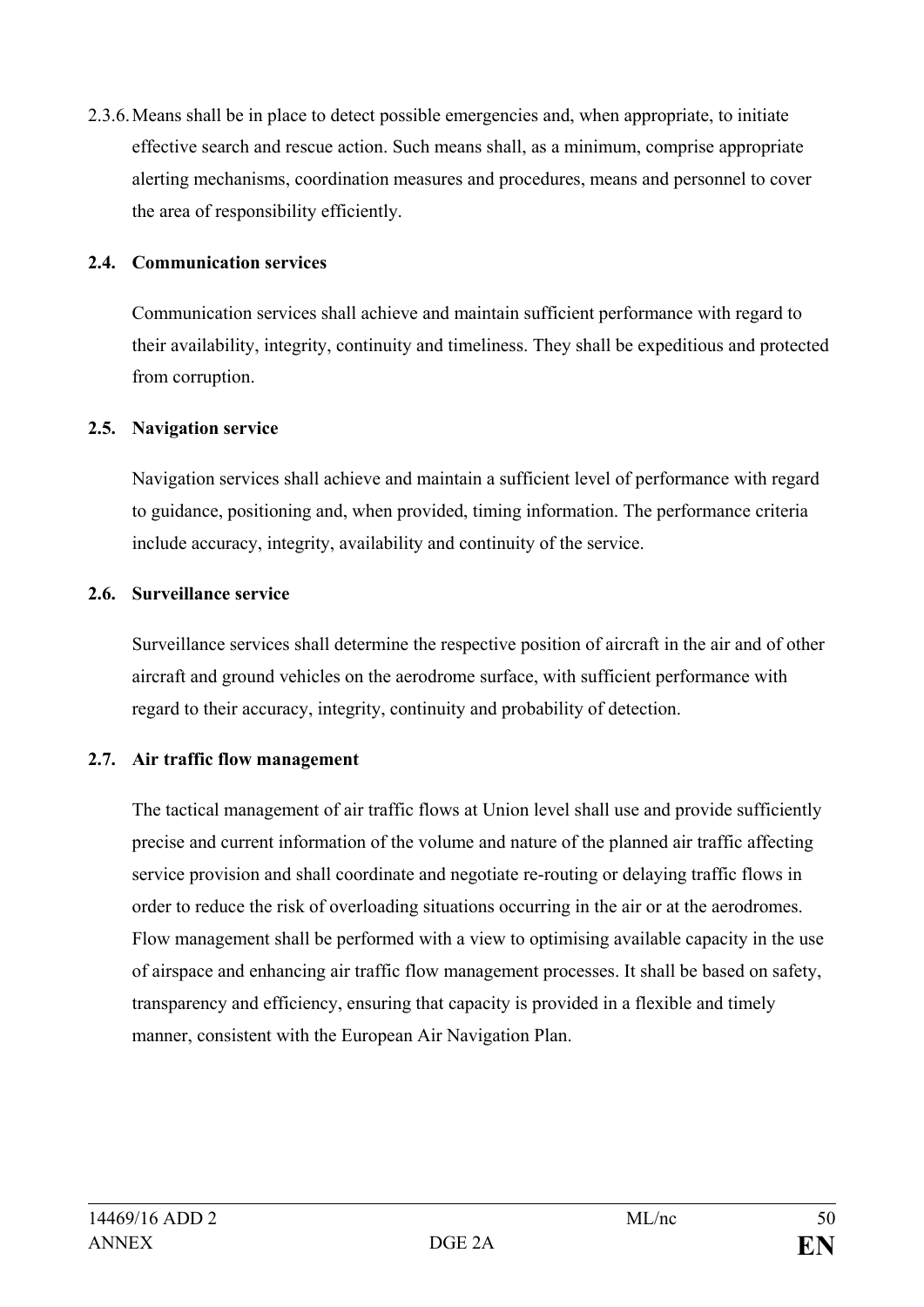2.3.6.Means shall be in place to detect possible emergencies and, when appropriate, to initiate effective search and rescue action. Such means shall, as a minimum, comprise appropriate alerting mechanisms, coordination measures and procedures, means and personnel to cover the area of responsibility efficiently.

#### **2.4. Communication services**

Communication services shall achieve and maintain sufficient performance with regard to their availability, integrity, continuity and timeliness. They shall be expeditious and protected from corruption.

#### **2.5. Navigation service**

Navigation services shall achieve and maintain a sufficient level of performance with regard to guidance, positioning and, when provided, timing information. The performance criteria include accuracy, integrity, availability and continuity of the service.

#### **2.6. Surveillance service**

Surveillance services shall determine the respective position of aircraft in the air and of other aircraft and ground vehicles on the aerodrome surface, with sufficient performance with regard to their accuracy, integrity, continuity and probability of detection.

# **2.7. Air traffic flow management**

The tactical management of air traffic flows at Union level shall use and provide sufficiently precise and current information of the volume and nature of the planned air traffic affecting service provision and shall coordinate and negotiate re-routing or delaying traffic flows in order to reduce the risk of overloading situations occurring in the air or at the aerodromes. Flow management shall be performed with a view to optimising available capacity in the use of airspace and enhancing air traffic flow management processes. It shall be based on safety, transparency and efficiency, ensuring that capacity is provided in a flexible and timely manner, consistent with the European Air Navigation Plan.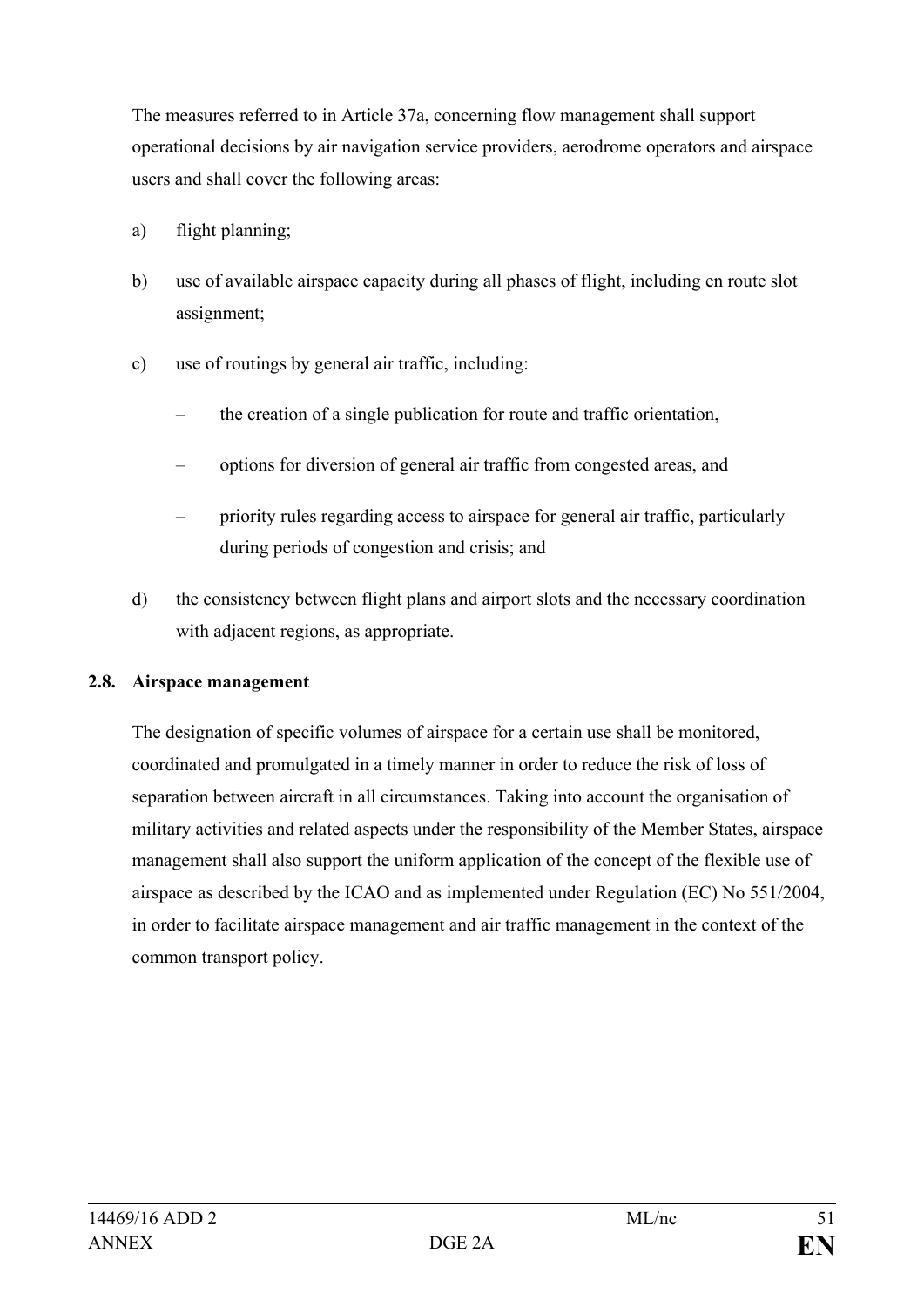The measures referred to in Article 37a, concerning flow management shall support operational decisions by air navigation service providers, aerodrome operators and airspace users and shall cover the following areas:

- a) flight planning;
- b) use of available airspace capacity during all phases of flight, including en route slot assignment;
- c) use of routings by general air traffic, including:
	- the creation of a single publication for route and traffic orientation,
	- options for diversion of general air traffic from congested areas, and
	- priority rules regarding access to airspace for general air traffic, particularly during periods of congestion and crisis; and
- d) the consistency between flight plans and airport slots and the necessary coordination with adjacent regions, as appropriate.

# **2.8. Airspace management**

The designation of specific volumes of airspace for a certain use shall be monitored, coordinated and promulgated in a timely manner in order to reduce the risk of loss of separation between aircraft in all circumstances. Taking into account the organisation of military activities and related aspects under the responsibility of the Member States, airspace management shall also support the uniform application of the concept of the flexible use of airspace as described by the ICAO and as implemented under Regulation (EC) No 551/2004, in order to facilitate airspace management and air traffic management in the context of the common transport policy.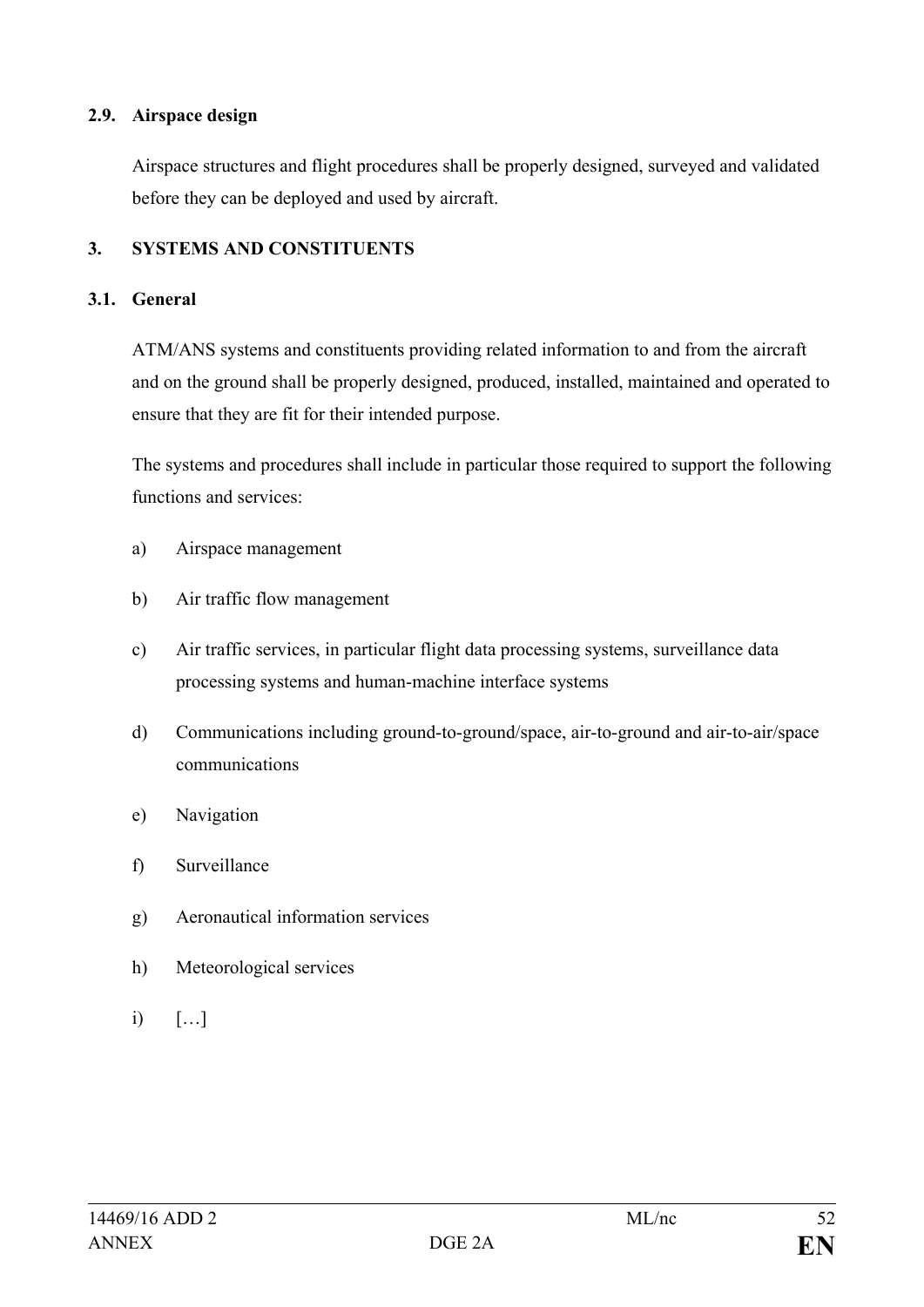#### **2.9. Airspace design**

Airspace structures and flight procedures shall be properly designed, surveyed and validated before they can be deployed and used by aircraft.

# **3. SYSTEMS AND CONSTITUENTS**

#### **3.1. General**

ATM/ANS systems and constituents providing related information to and from the aircraft and on the ground shall be properly designed, produced, installed, maintained and operated to ensure that they are fit for their intended purpose.

The systems and procedures shall include in particular those required to support the following functions and services:

- a) Airspace management
- b) Air traffic flow management
- c) Air traffic services, in particular flight data processing systems, surveillance data processing systems and human-machine interface systems
- d) Communications including ground-to-ground/space, air-to-ground and air-to-air/space communications
- e) Navigation
- f) Surveillance
- g) Aeronautical information services
- h) Meteorological services
- i) […]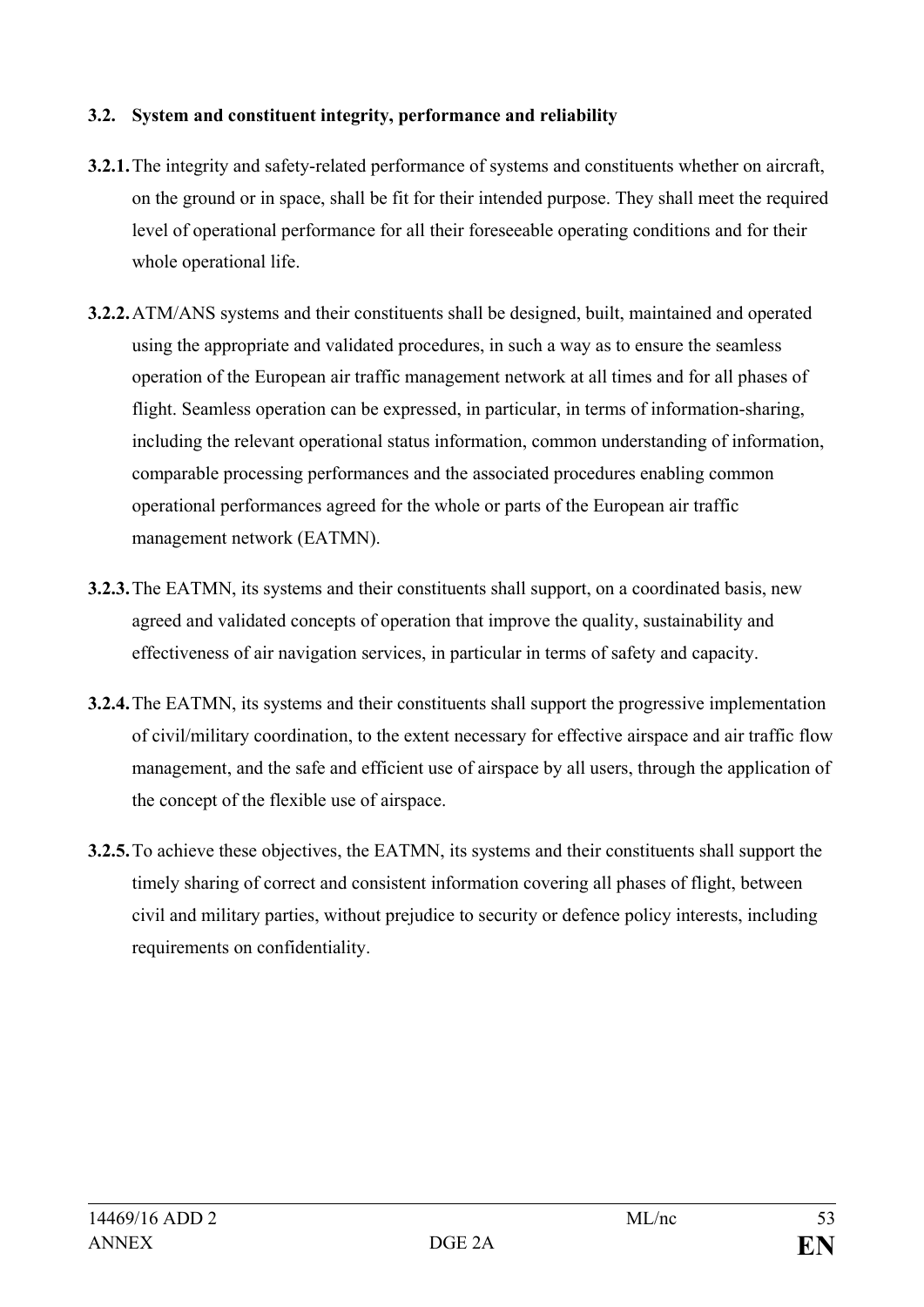### **3.2. System and constituent integrity, performance and reliability**

- **3.2.1.**The integrity and safety-related performance of systems and constituents whether on aircraft, on the ground or in space, shall be fit for their intended purpose. They shall meet the required level of operational performance for all their foreseeable operating conditions and for their whole operational life.
- **3.2.2.**ATM/ANS systems and their constituents shall be designed, built, maintained and operated using the appropriate and validated procedures, in such a way as to ensure the seamless operation of the European air traffic management network at all times and for all phases of flight. Seamless operation can be expressed, in particular, in terms of information-sharing, including the relevant operational status information, common understanding of information, comparable processing performances and the associated procedures enabling common operational performances agreed for the whole or parts of the European air traffic management network (EATMN).
- **3.2.3.**The EATMN, its systems and their constituents shall support, on a coordinated basis, new agreed and validated concepts of operation that improve the quality, sustainability and effectiveness of air navigation services, in particular in terms of safety and capacity.
- **3.2.4.**The EATMN, its systems and their constituents shall support the progressive implementation of civil/military coordination, to the extent necessary for effective airspace and air traffic flow management, and the safe and efficient use of airspace by all users, through the application of the concept of the flexible use of airspace.
- **3.2.5.**To achieve these objectives, the EATMN, its systems and their constituents shall support the timely sharing of correct and consistent information covering all phases of flight, between civil and military parties, without prejudice to security or defence policy interests, including requirements on confidentiality.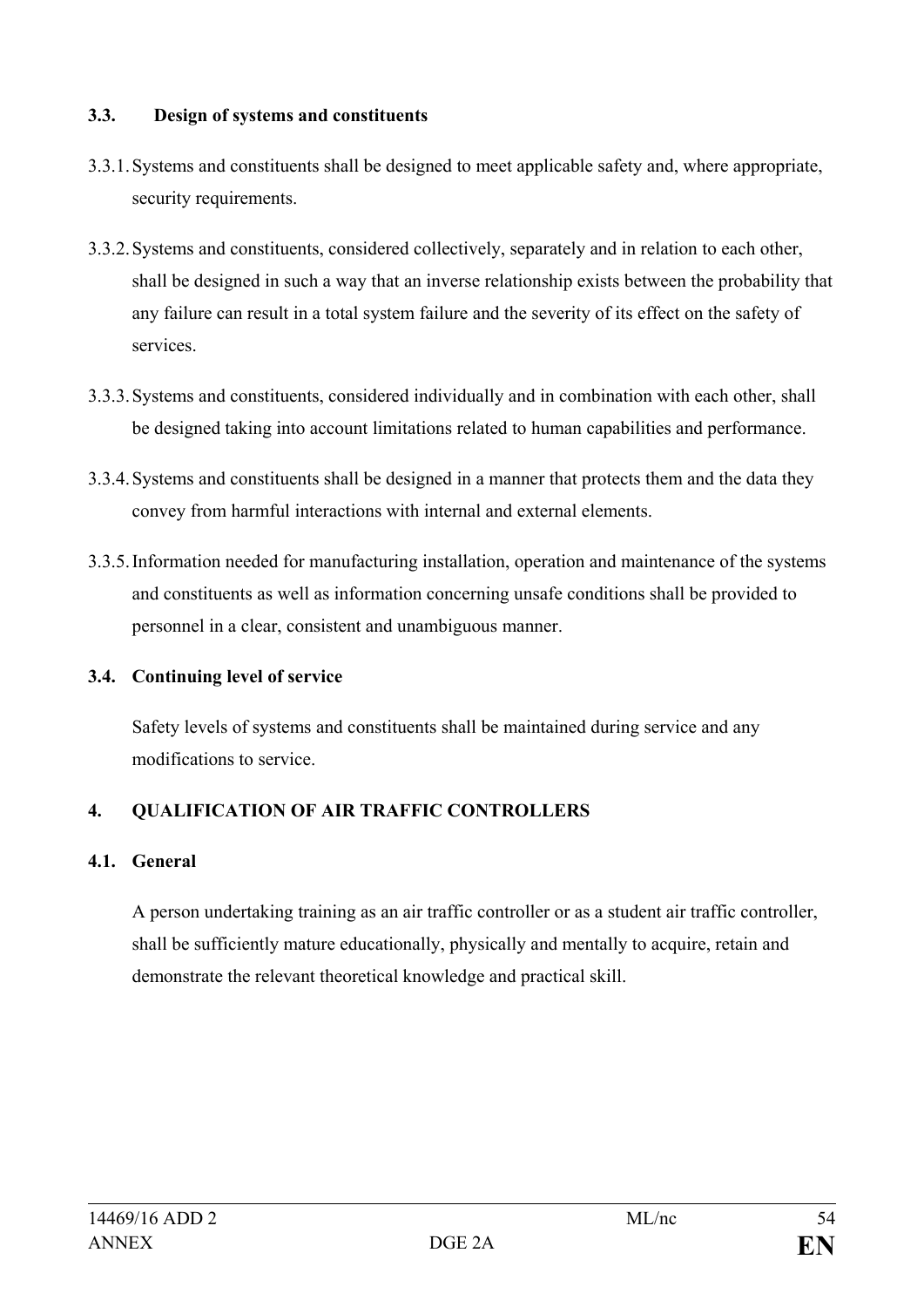#### **3.3. Design of systems and constituents**

- 3.3.1.Systems and constituents shall be designed to meet applicable safety and, where appropriate, security requirements.
- 3.3.2.Systems and constituents, considered collectively, separately and in relation to each other, shall be designed in such a way that an inverse relationship exists between the probability that any failure can result in a total system failure and the severity of its effect on the safety of services.
- 3.3.3.Systems and constituents, considered individually and in combination with each other, shall be designed taking into account limitations related to human capabilities and performance.
- 3.3.4.Systems and constituents shall be designed in a manner that protects them and the data they convey from harmful interactions with internal and external elements.
- 3.3.5.Information needed for manufacturing installation, operation and maintenance of the systems and constituents as well as information concerning unsafe conditions shall be provided to personnel in a clear, consistent and unambiguous manner.

# **3.4. Continuing level of service**

Safety levels of systems and constituents shall be maintained during service and any modifications to service.

# **4. QUALIFICATION OF AIR TRAFFIC CONTROLLERS**

# **4.1. General**

A person undertaking training as an air traffic controller or as a student air traffic controller, shall be sufficiently mature educationally, physically and mentally to acquire, retain and demonstrate the relevant theoretical knowledge and practical skill.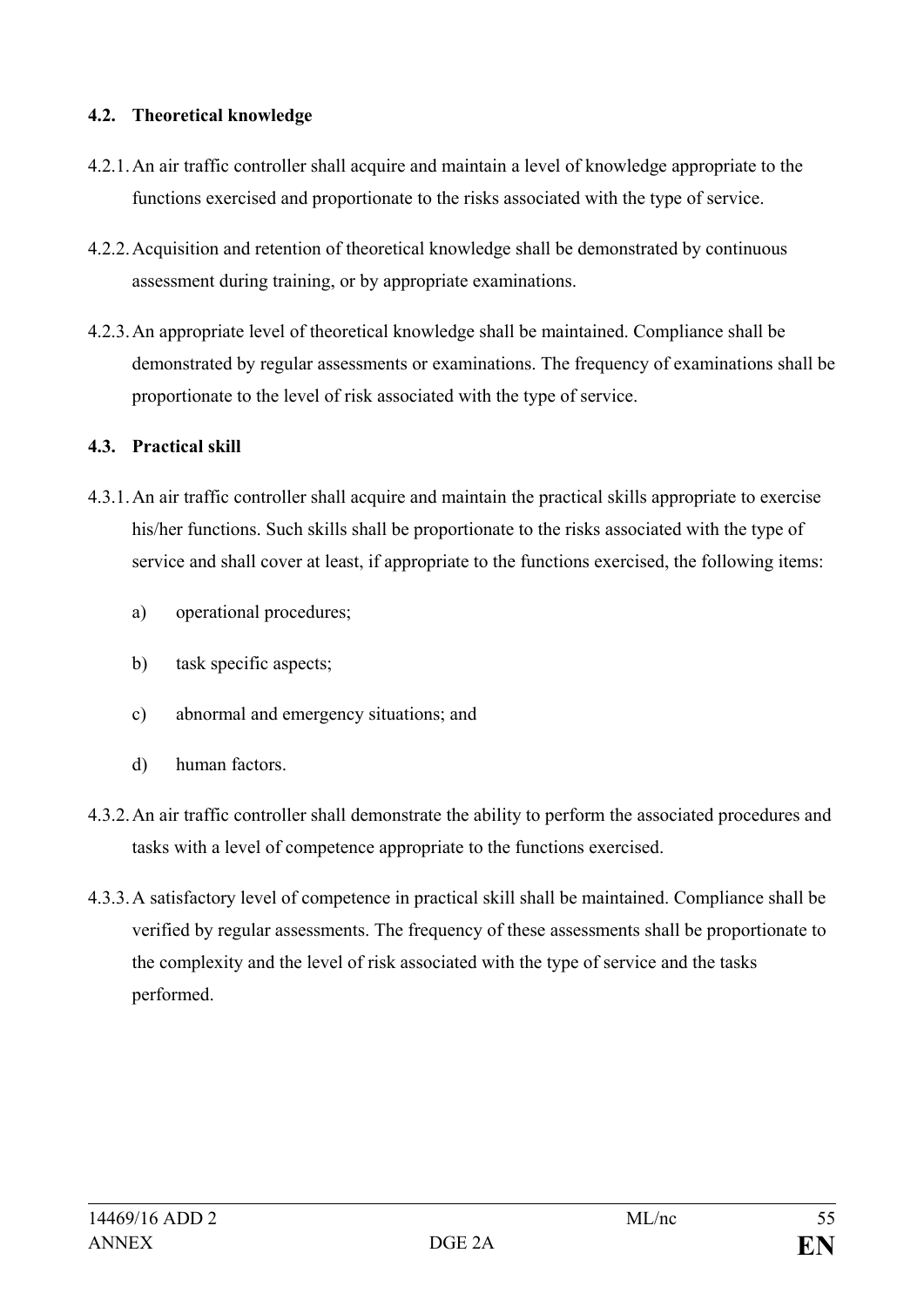### **4.2. Theoretical knowledge**

- 4.2.1.An air traffic controller shall acquire and maintain a level of knowledge appropriate to the functions exercised and proportionate to the risks associated with the type of service.
- 4.2.2.Acquisition and retention of theoretical knowledge shall be demonstrated by continuous assessment during training, or by appropriate examinations.
- 4.2.3.An appropriate level of theoretical knowledge shall be maintained. Compliance shall be demonstrated by regular assessments or examinations. The frequency of examinations shall be proportionate to the level of risk associated with the type of service.

#### **4.3. Practical skill**

- 4.3.1.An air traffic controller shall acquire and maintain the practical skills appropriate to exercise his/her functions. Such skills shall be proportionate to the risks associated with the type of service and shall cover at least, if appropriate to the functions exercised, the following items:
	- a) operational procedures;
	- b) task specific aspects;
	- c) abnormal and emergency situations; and
	- d) human factors.
- 4.3.2.An air traffic controller shall demonstrate the ability to perform the associated procedures and tasks with a level of competence appropriate to the functions exercised.
- 4.3.3.A satisfactory level of competence in practical skill shall be maintained. Compliance shall be verified by regular assessments. The frequency of these assessments shall be proportionate to the complexity and the level of risk associated with the type of service and the tasks performed.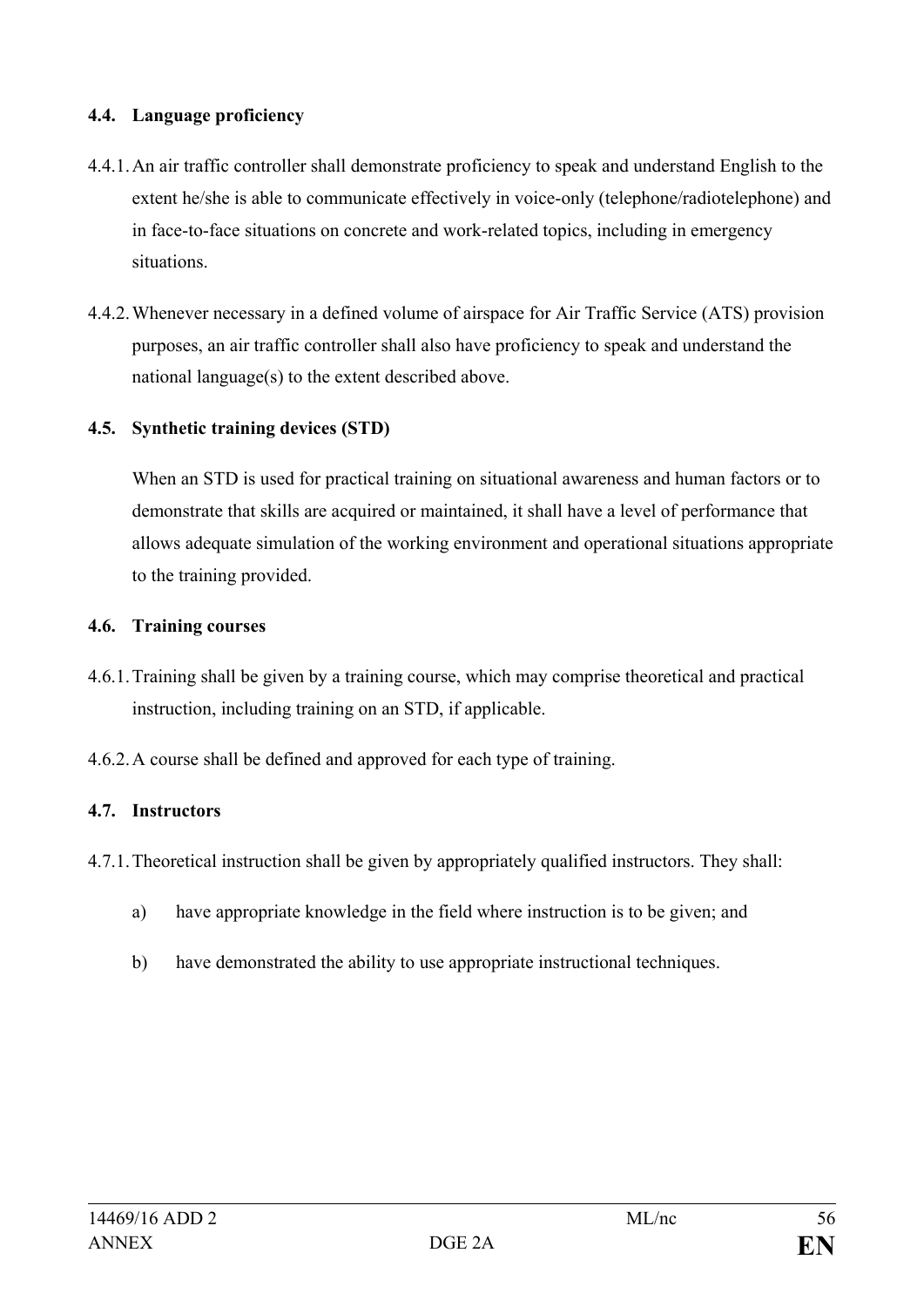#### **4.4. Language proficiency**

- 4.4.1.An air traffic controller shall demonstrate proficiency to speak and understand English to the extent he/she is able to communicate effectively in voice-only (telephone/radiotelephone) and in face-to-face situations on concrete and work-related topics, including in emergency situations.
- 4.4.2.Whenever necessary in a defined volume of airspace for Air Traffic Service (ATS) provision purposes, an air traffic controller shall also have proficiency to speak and understand the national language(s) to the extent described above.

# **4.5. Synthetic training devices (STD)**

When an STD is used for practical training on situational awareness and human factors or to demonstrate that skills are acquired or maintained, it shall have a level of performance that allows adequate simulation of the working environment and operational situations appropriate to the training provided.

#### **4.6. Training courses**

- 4.6.1.Training shall be given by a training course, which may comprise theoretical and practical instruction, including training on an STD, if applicable.
- 4.6.2.A course shall be defined and approved for each type of training.

# **4.7. Instructors**

- 4.7.1.Theoretical instruction shall be given by appropriately qualified instructors. They shall:
	- a) have appropriate knowledge in the field where instruction is to be given; and
	- b) have demonstrated the ability to use appropriate instructional techniques.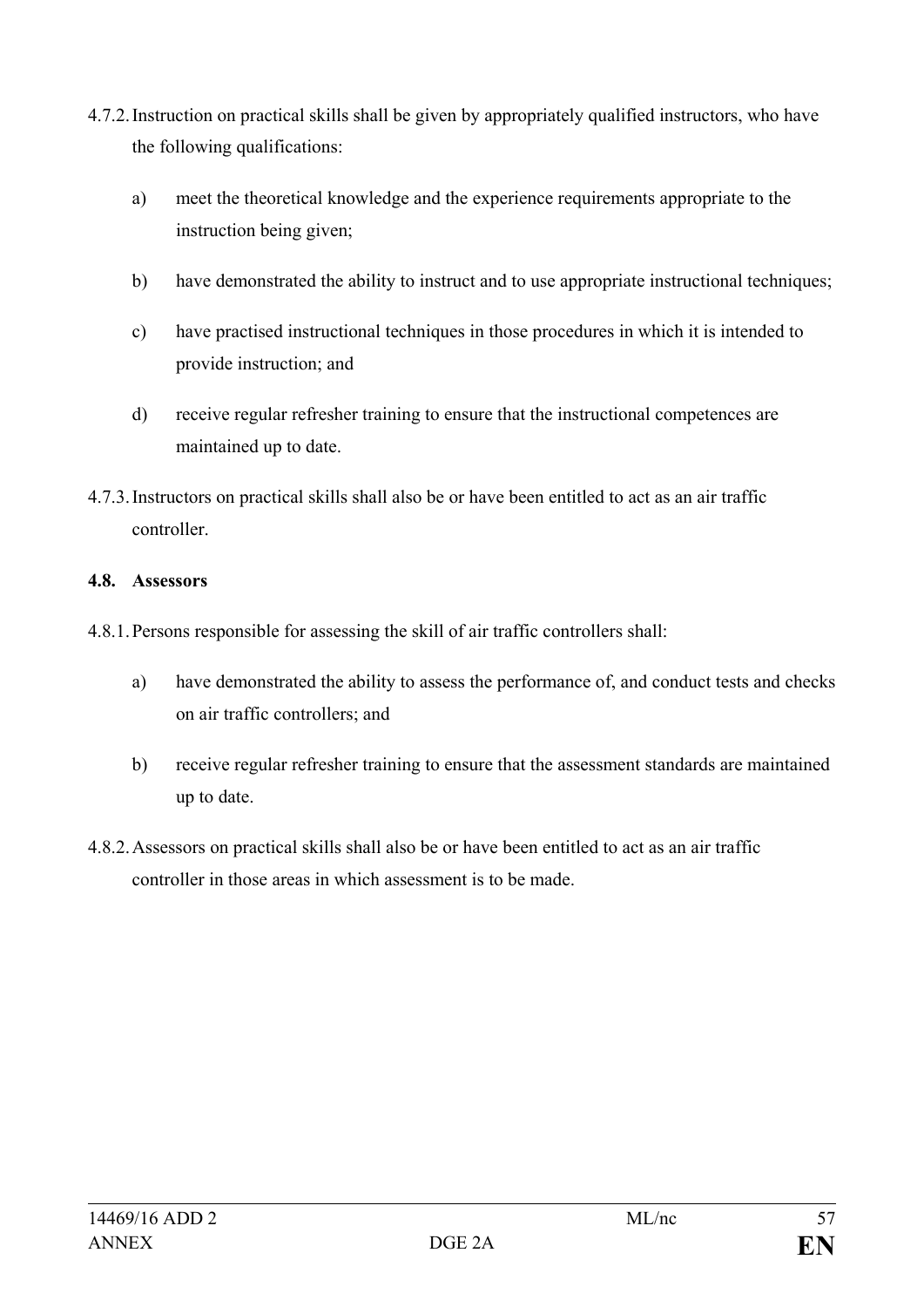- 4.7.2.Instruction on practical skills shall be given by appropriately qualified instructors, who have the following qualifications:
	- a) meet the theoretical knowledge and the experience requirements appropriate to the instruction being given;
	- b) have demonstrated the ability to instruct and to use appropriate instructional techniques;
	- c) have practised instructional techniques in those procedures in which it is intended to provide instruction; and
	- d) receive regular refresher training to ensure that the instructional competences are maintained up to date.
- 4.7.3.Instructors on practical skills shall also be or have been entitled to act as an air traffic controller.

# **4.8. Assessors**

- 4.8.1.Persons responsible for assessing the skill of air traffic controllers shall:
	- a) have demonstrated the ability to assess the performance of, and conduct tests and checks on air traffic controllers; and
	- b) receive regular refresher training to ensure that the assessment standards are maintained up to date.
- 4.8.2.Assessors on practical skills shall also be or have been entitled to act as an air traffic controller in those areas in which assessment is to be made.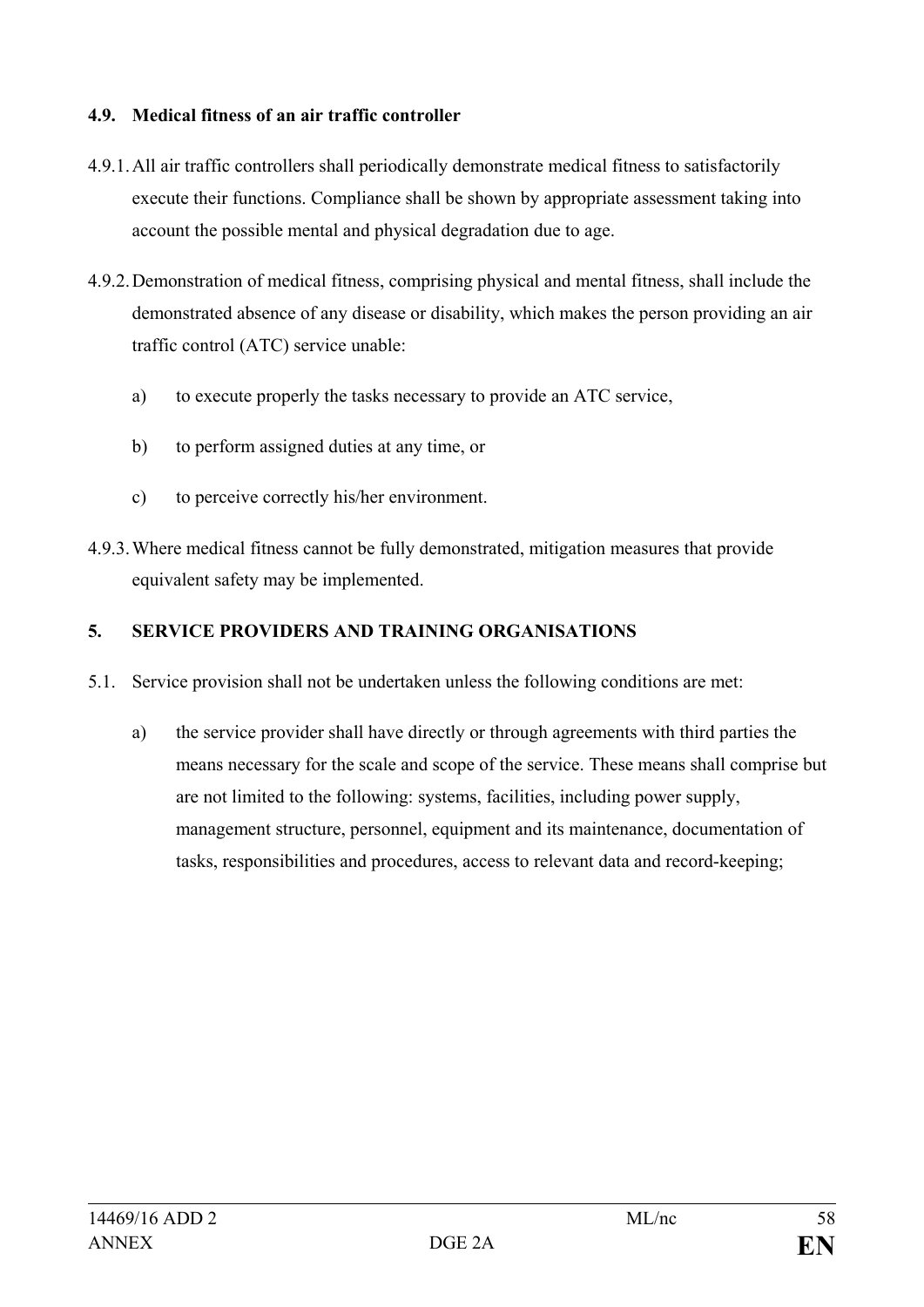#### **4.9. Medical fitness of an air traffic controller**

- 4.9.1.All air traffic controllers shall periodically demonstrate medical fitness to satisfactorily execute their functions. Compliance shall be shown by appropriate assessment taking into account the possible mental and physical degradation due to age.
- 4.9.2.Demonstration of medical fitness, comprising physical and mental fitness, shall include the demonstrated absence of any disease or disability, which makes the person providing an air traffic control (ATC) service unable:
	- a) to execute properly the tasks necessary to provide an ATC service,
	- b) to perform assigned duties at any time, or
	- c) to perceive correctly his/her environment.
- 4.9.3.Where medical fitness cannot be fully demonstrated, mitigation measures that provide equivalent safety may be implemented.

# **5. SERVICE PROVIDERS AND TRAINING ORGANISATIONS**

- 5.1. Service provision shall not be undertaken unless the following conditions are met:
	- a) the service provider shall have directly or through agreements with third parties the means necessary for the scale and scope of the service. These means shall comprise but are not limited to the following: systems, facilities, including power supply, management structure, personnel, equipment and its maintenance, documentation of tasks, responsibilities and procedures, access to relevant data and record-keeping;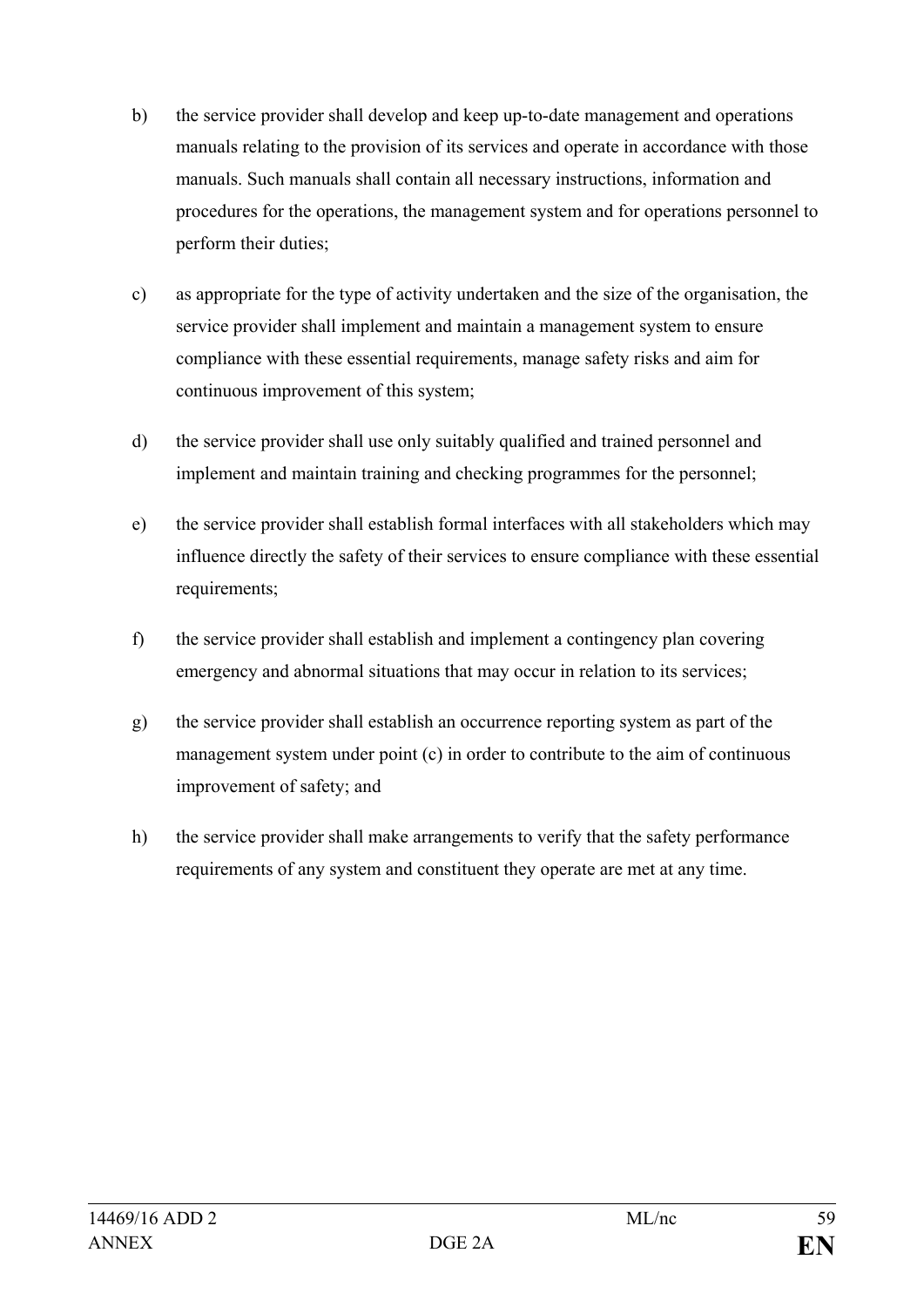- b) the service provider shall develop and keep up-to-date management and operations manuals relating to the provision of its services and operate in accordance with those manuals. Such manuals shall contain all necessary instructions, information and procedures for the operations, the management system and for operations personnel to perform their duties;
- c) as appropriate for the type of activity undertaken and the size of the organisation, the service provider shall implement and maintain a management system to ensure compliance with these essential requirements, manage safety risks and aim for continuous improvement of this system;
- d) the service provider shall use only suitably qualified and trained personnel and implement and maintain training and checking programmes for the personnel;
- e) the service provider shall establish formal interfaces with all stakeholders which may influence directly the safety of their services to ensure compliance with these essential requirements;
- f) the service provider shall establish and implement a contingency plan covering emergency and abnormal situations that may occur in relation to its services;
- g) the service provider shall establish an occurrence reporting system as part of the management system under point (c) in order to contribute to the aim of continuous improvement of safety; and
- h) the service provider shall make arrangements to verify that the safety performance requirements of any system and constituent they operate are met at any time.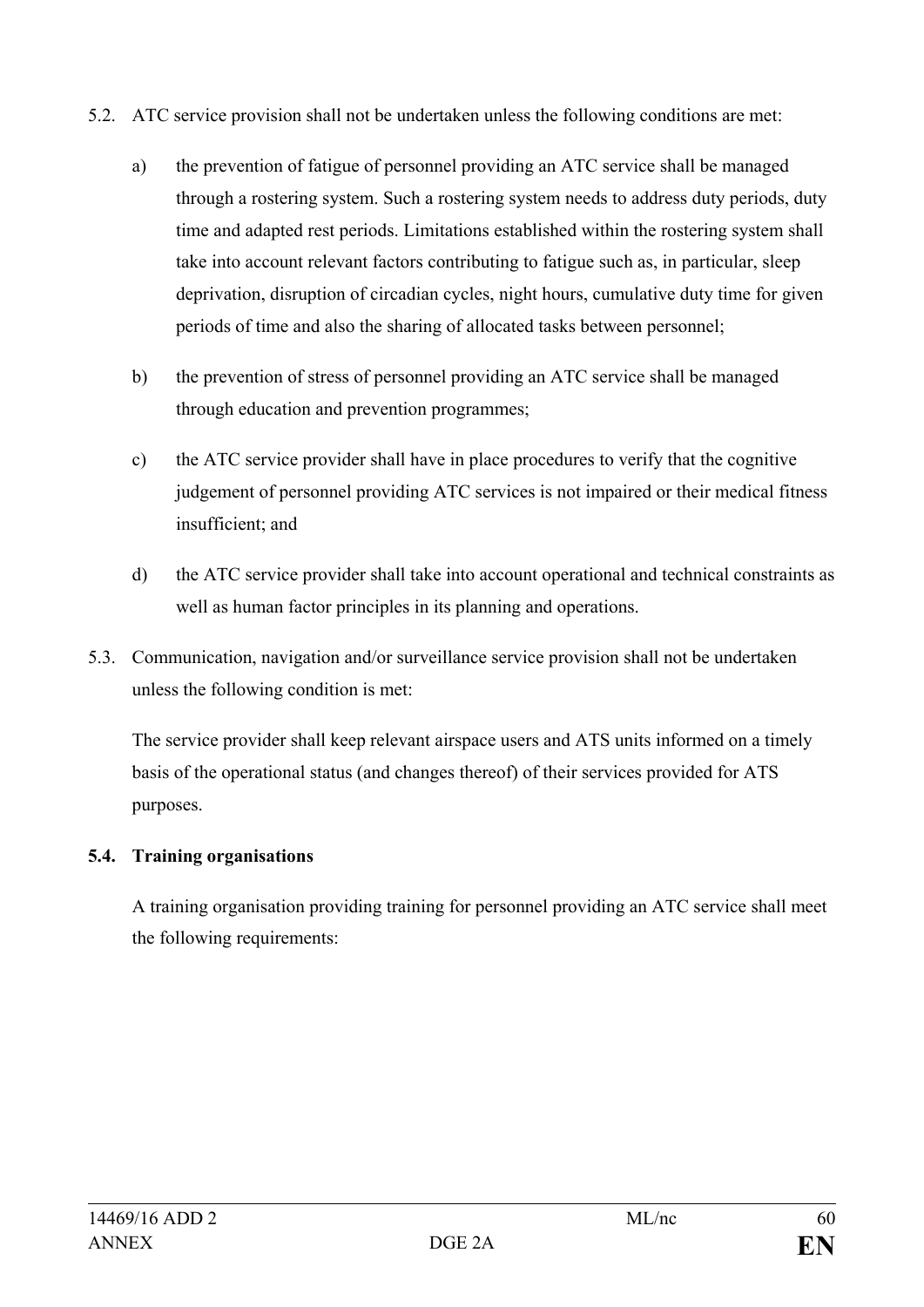- 5.2. ATC service provision shall not be undertaken unless the following conditions are met:
	- a) the prevention of fatigue of personnel providing an ATC service shall be managed through a rostering system. Such a rostering system needs to address duty periods, duty time and adapted rest periods. Limitations established within the rostering system shall take into account relevant factors contributing to fatigue such as, in particular, sleep deprivation, disruption of circadian cycles, night hours, cumulative duty time for given periods of time and also the sharing of allocated tasks between personnel;
	- b) the prevention of stress of personnel providing an ATC service shall be managed through education and prevention programmes;
	- c) the ATC service provider shall have in place procedures to verify that the cognitive judgement of personnel providing ATC services is not impaired or their medical fitness insufficient; and
	- d) the ATC service provider shall take into account operational and technical constraints as well as human factor principles in its planning and operations.
- 5.3. Communication, navigation and/or surveillance service provision shall not be undertaken unless the following condition is met:

The service provider shall keep relevant airspace users and ATS units informed on a timely basis of the operational status (and changes thereof) of their services provided for ATS purposes.

# **5.4. Training organisations**

A training organisation providing training for personnel providing an ATC service shall meet the following requirements: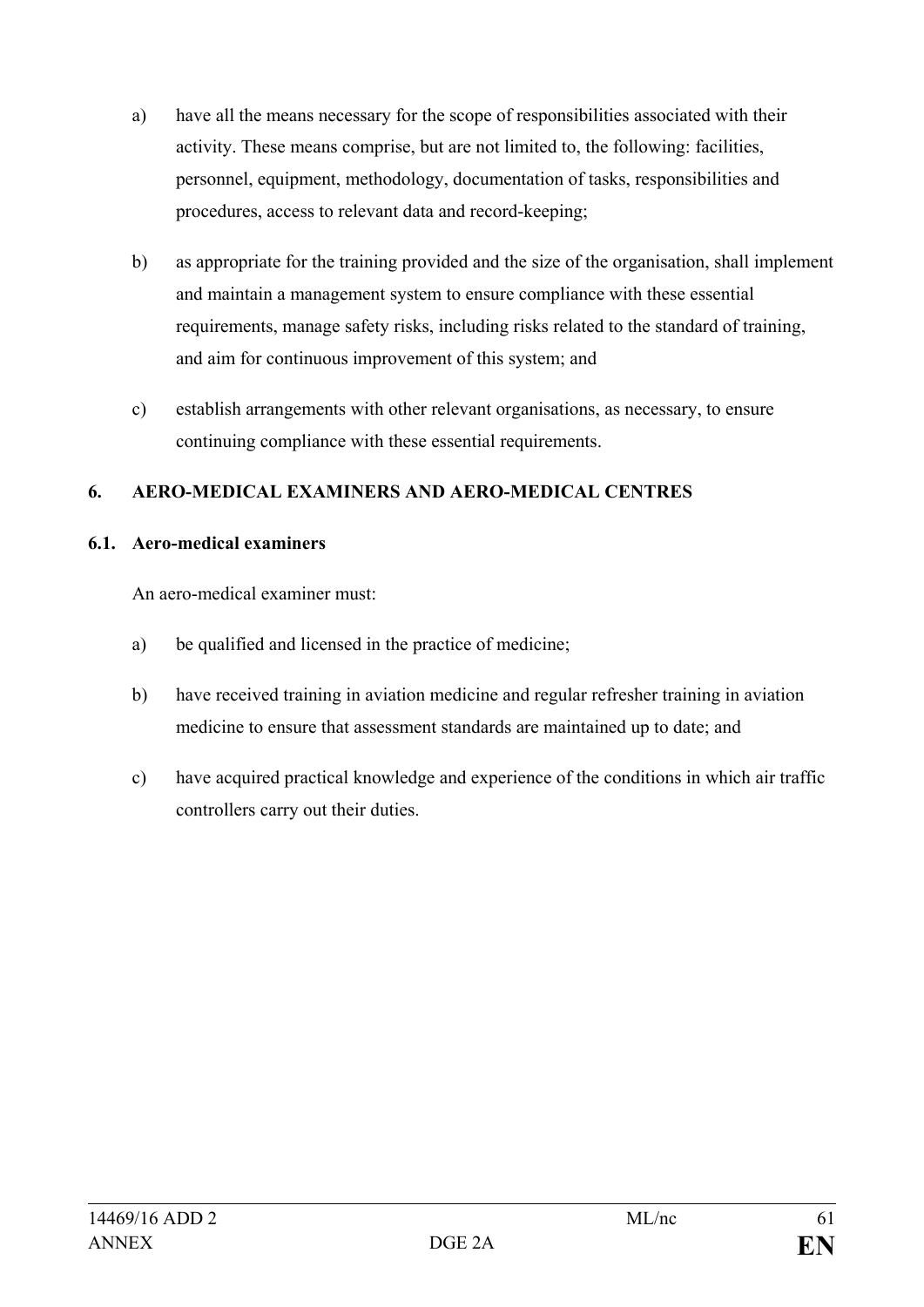- a) have all the means necessary for the scope of responsibilities associated with their activity. These means comprise, but are not limited to, the following: facilities, personnel, equipment, methodology, documentation of tasks, responsibilities and procedures, access to relevant data and record-keeping;
- b) as appropriate for the training provided and the size of the organisation, shall implement and maintain a management system to ensure compliance with these essential requirements, manage safety risks, including risks related to the standard of training, and aim for continuous improvement of this system; and
- c) establish arrangements with other relevant organisations, as necessary, to ensure continuing compliance with these essential requirements.

# **6. AERO-MEDICAL EXAMINERS AND AERO-MEDICAL CENTRES**

# **6.1. Aero-medical examiners**

An aero-medical examiner must:

- a) be qualified and licensed in the practice of medicine;
- b) have received training in aviation medicine and regular refresher training in aviation medicine to ensure that assessment standards are maintained up to date; and
- c) have acquired practical knowledge and experience of the conditions in which air traffic controllers carry out their duties.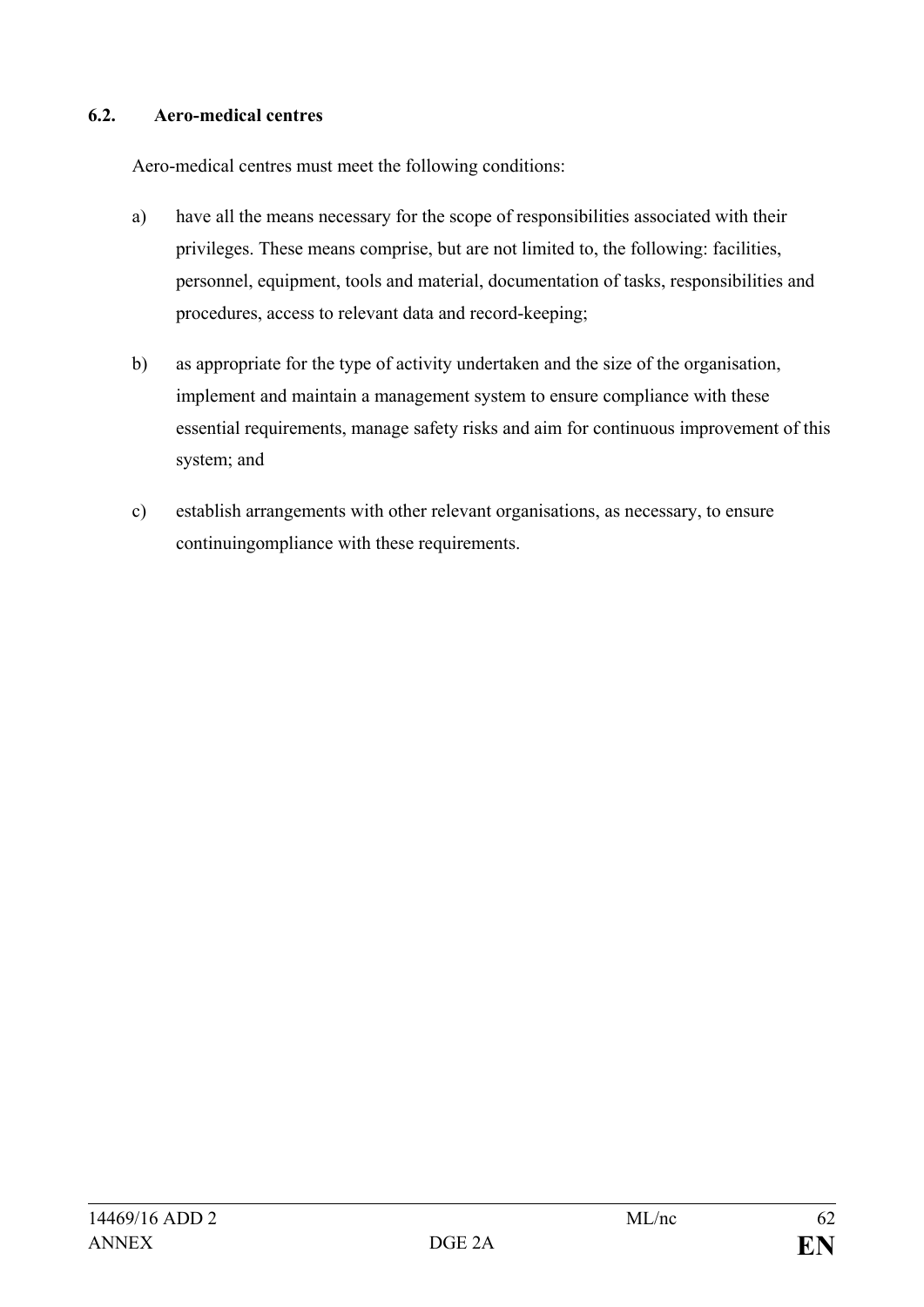#### **6.2. Aero-medical centres**

Aero-medical centres must meet the following conditions:

- a) have all the means necessary for the scope of responsibilities associated with their privileges. These means comprise, but are not limited to, the following: facilities, personnel, equipment, tools and material, documentation of tasks, responsibilities and procedures, access to relevant data and record-keeping;
- b) as appropriate for the type of activity undertaken and the size of the organisation, implement and maintain a management system to ensure compliance with these essential requirements, manage safety risks and aim for continuous improvement of this system; and
- c) establish arrangements with other relevant organisations, as necessary, to ensure continuingompliance with these requirements.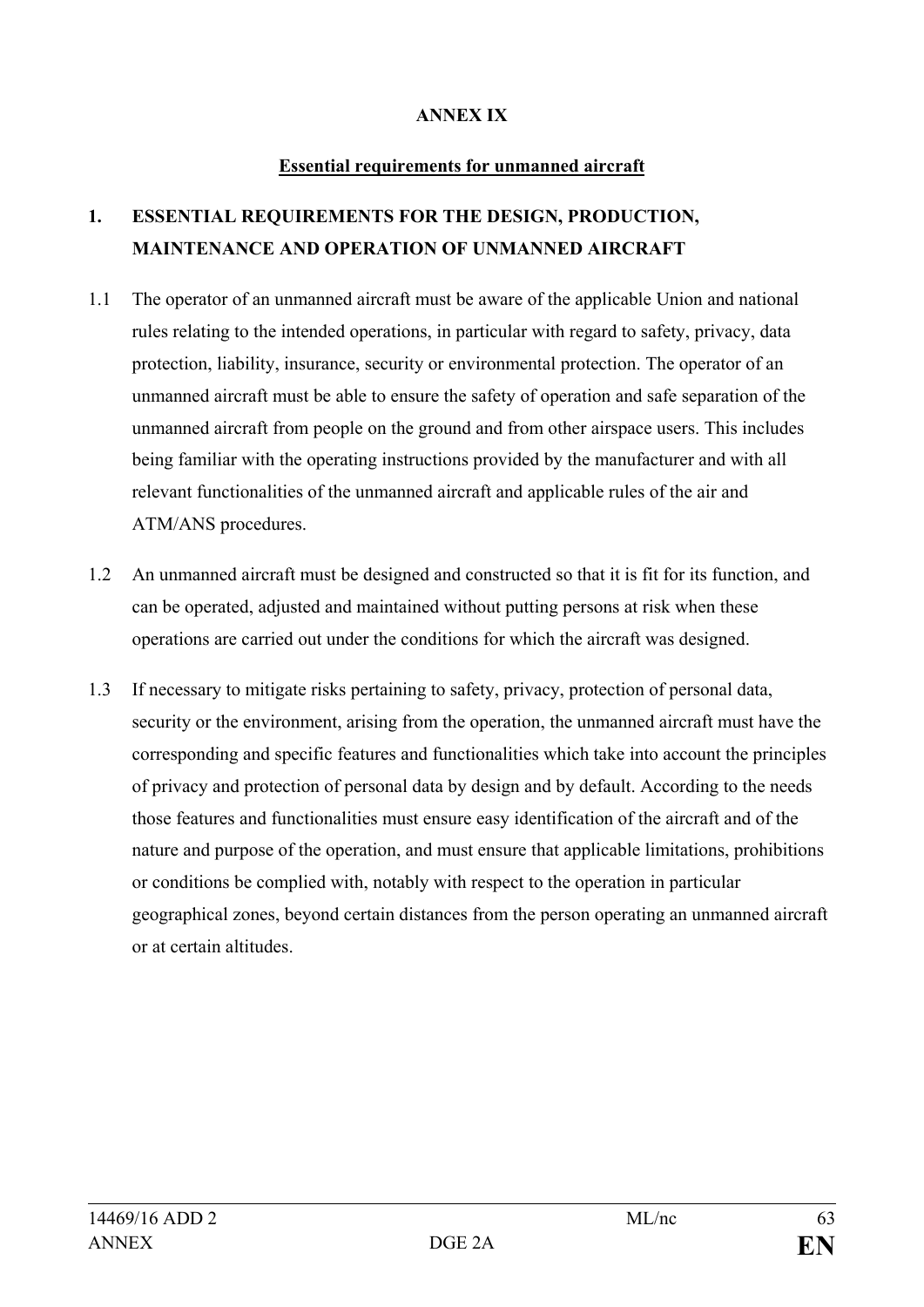#### **ANNEX IX**

#### **Essential requirements for unmanned aircraft**

# **1. ESSENTIAL REQUIREMENTS FOR THE DESIGN, PRODUCTION, MAINTENANCE AND OPERATION OF UNMANNED AIRCRAFT**

- 1.1 The operator of an unmanned aircraft must be aware of the applicable Union and national rules relating to the intended operations, in particular with regard to safety, privacy, data protection, liability, insurance, security or environmental protection. The operator of an unmanned aircraft must be able to ensure the safety of operation and safe separation of the unmanned aircraft from people on the ground and from other airspace users. This includes being familiar with the operating instructions provided by the manufacturer and with all relevant functionalities of the unmanned aircraft and applicable rules of the air and ATM/ANS procedures.
- 1.2 An unmanned aircraft must be designed and constructed so that it is fit for its function, and can be operated, adjusted and maintained without putting persons at risk when these operations are carried out under the conditions for which the aircraft was designed.
- 1.3 If necessary to mitigate risks pertaining to safety, privacy, protection of personal data, security or the environment, arising from the operation, the unmanned aircraft must have the corresponding and specific features and functionalities which take into account the principles of privacy and protection of personal data by design and by default. According to the needs those features and functionalities must ensure easy identification of the aircraft and of the nature and purpose of the operation, and must ensure that applicable limitations, prohibitions or conditions be complied with, notably with respect to the operation in particular geographical zones, beyond certain distances from the person operating an unmanned aircraft or at certain altitudes.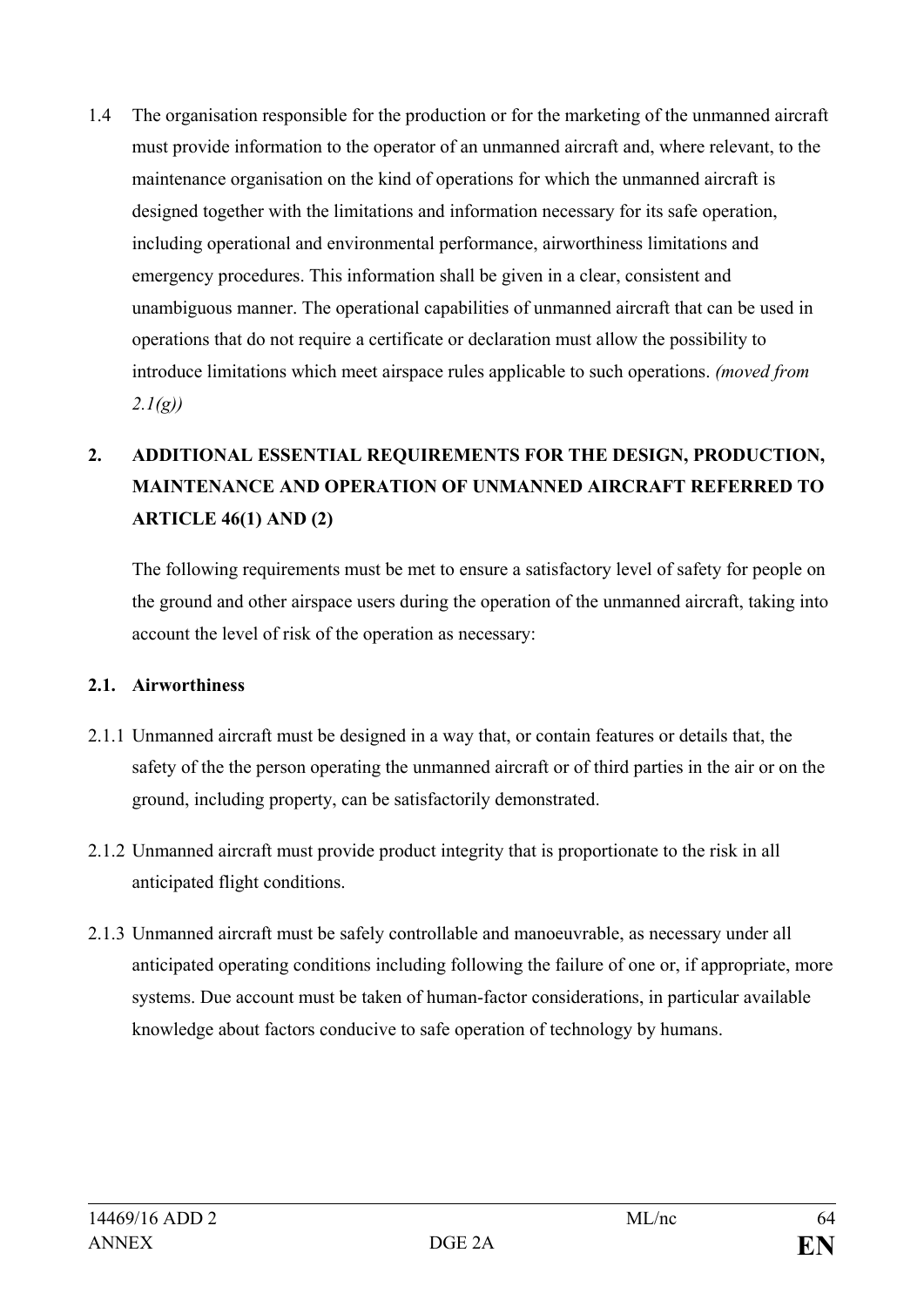1.4 The organisation responsible for the production or for the marketing of the unmanned aircraft must provide information to the operator of an unmanned aircraft and, where relevant, to the maintenance organisation on the kind of operations for which the unmanned aircraft is designed together with the limitations and information necessary for its safe operation, including operational and environmental performance, airworthiness limitations and emergency procedures. This information shall be given in a clear, consistent and unambiguous manner. The operational capabilities of unmanned aircraft that can be used in operations that do not require a certificate or declaration must allow the possibility to introduce limitations which meet airspace rules applicable to such operations. *(moved from 2.1(g))*

# **2. ADDITIONAL ESSENTIAL REQUIREMENTS FOR THE DESIGN, PRODUCTION, MAINTENANCE AND OPERATION OF UNMANNED AIRCRAFT REFERRED TO ARTICLE 46(1) AND (2)**

The following requirements must be met to ensure a satisfactory level of safety for people on the ground and other airspace users during the operation of the unmanned aircraft, taking into account the level of risk of the operation as necessary:

#### **2.1. Airworthiness**

- 2.1.1 Unmanned aircraft must be designed in a way that, or contain features or details that, the safety of the the person operating the unmanned aircraft or of third parties in the air or on the ground, including property, can be satisfactorily demonstrated.
- 2.1.2 Unmanned aircraft must provide product integrity that is proportionate to the risk in all anticipated flight conditions.
- 2.1.3 Unmanned aircraft must be safely controllable and manoeuvrable, as necessary under all anticipated operating conditions including following the failure of one or, if appropriate, more systems. Due account must be taken of human-factor considerations, in particular available knowledge about factors conducive to safe operation of technology by humans.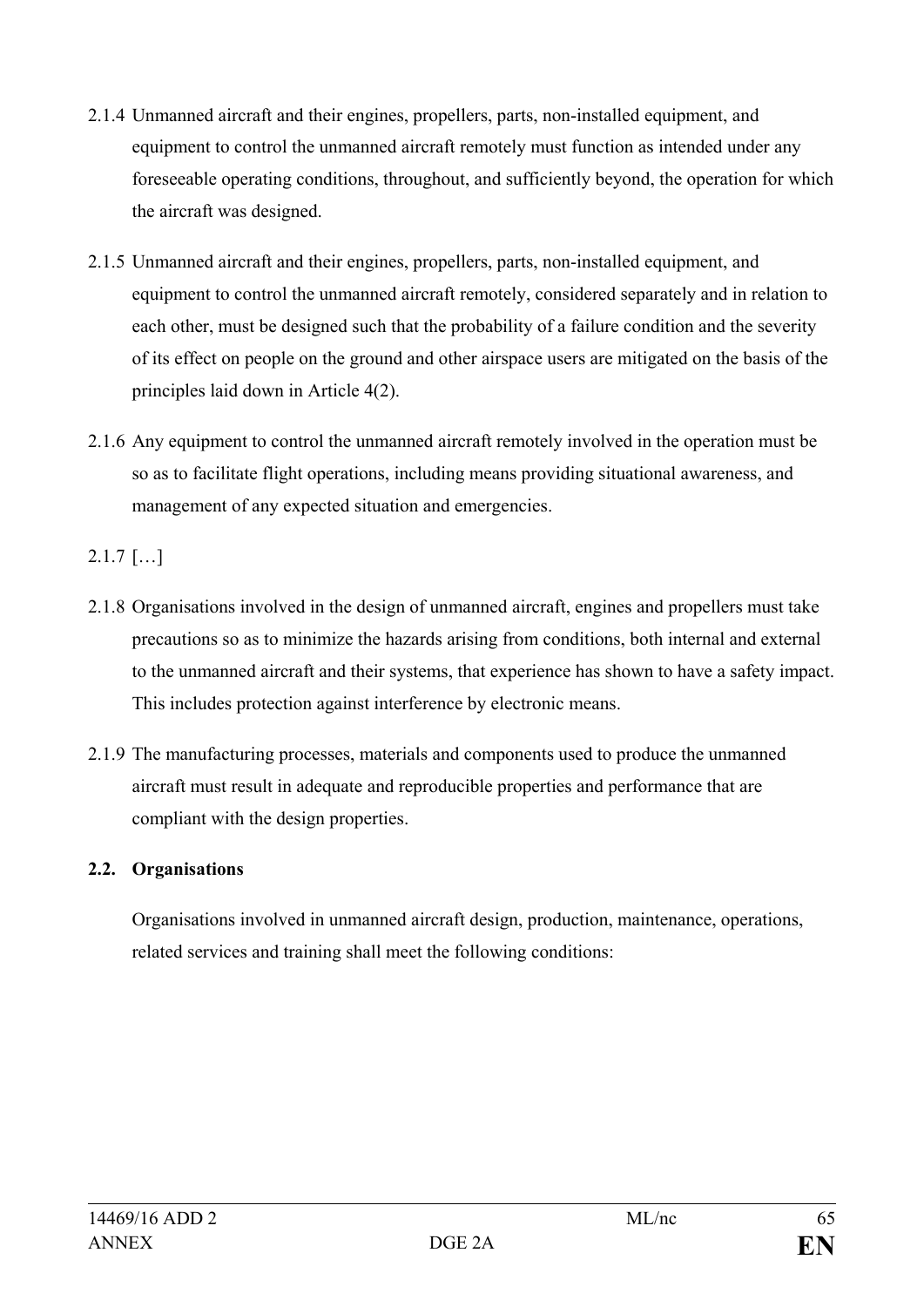- 2.1.4 Unmanned aircraft and their engines, propellers, parts, non-installed equipment, and equipment to control the unmanned aircraft remotely must function as intended under any foreseeable operating conditions, throughout, and sufficiently beyond, the operation for which the aircraft was designed.
- 2.1.5 Unmanned aircraft and their engines, propellers, parts, non-installed equipment, and equipment to control the unmanned aircraft remotely, considered separately and in relation to each other, must be designed such that the probability of a failure condition and the severity of its effect on people on the ground and other airspace users are mitigated on the basis of the principles laid down in Article 4(2).
- 2.1.6 Any equipment to control the unmanned aircraft remotely involved in the operation must be so as to facilitate flight operations, including means providing situational awareness, and management of any expected situation and emergencies.

2.1.7 […]

- 2.1.8 Organisations involved in the design of unmanned aircraft, engines and propellers must take precautions so as to minimize the hazards arising from conditions, both internal and external to the unmanned aircraft and their systems, that experience has shown to have a safety impact. This includes protection against interference by electronic means.
- 2.1.9 The manufacturing processes, materials and components used to produce the unmanned aircraft must result in adequate and reproducible properties and performance that are compliant with the design properties.

# **2.2. Organisations**

Organisations involved in unmanned aircraft design, production, maintenance, operations, related services and training shall meet the following conditions: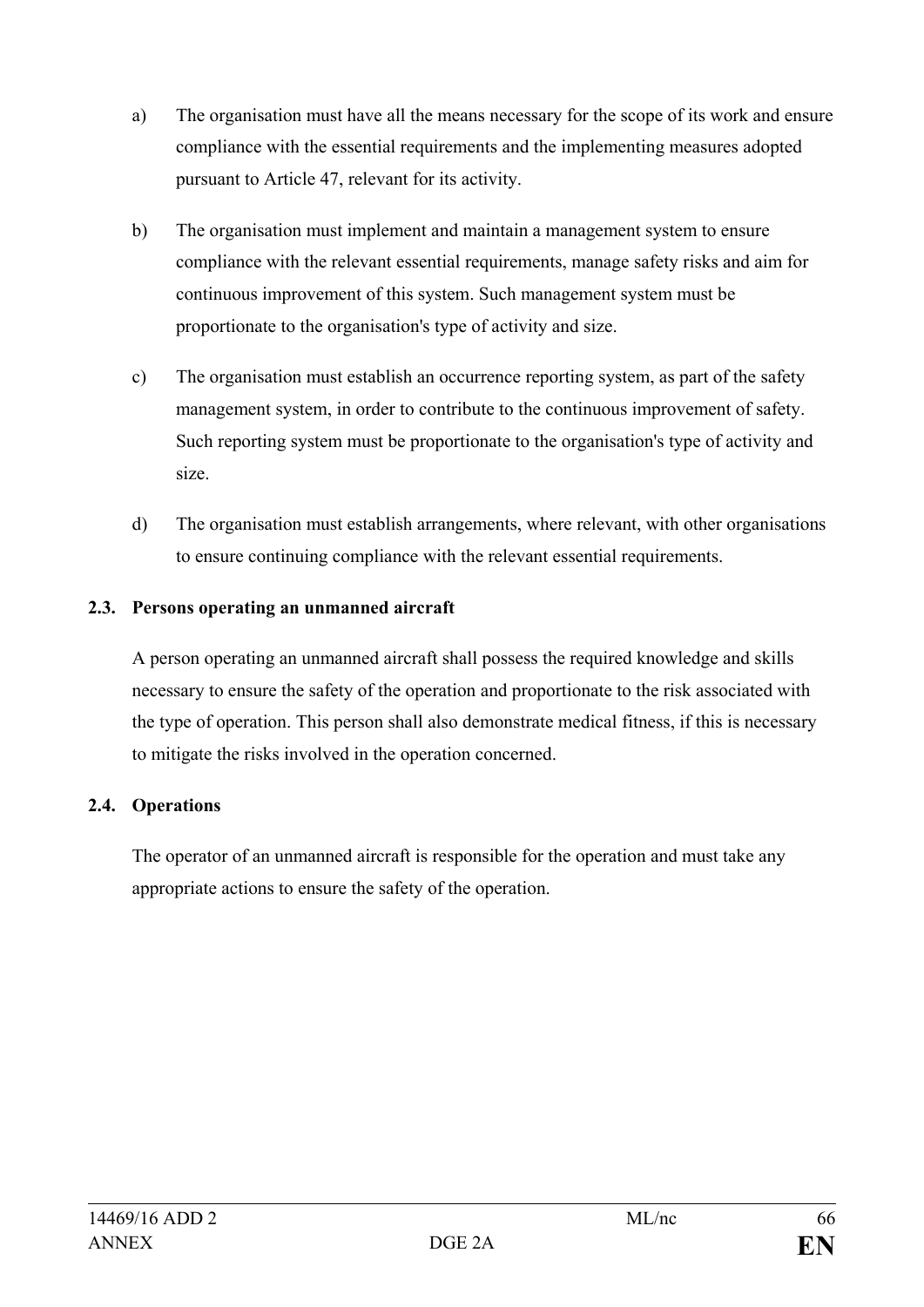- a) The organisation must have all the means necessary for the scope of its work and ensure compliance with the essential requirements and the implementing measures adopted pursuant to Article 47, relevant for its activity.
- b) The organisation must implement and maintain a management system to ensure compliance with the relevant essential requirements, manage safety risks and aim for continuous improvement of this system. Such management system must be proportionate to the organisation's type of activity and size.
- c) The organisation must establish an occurrence reporting system, as part of the safety management system, in order to contribute to the continuous improvement of safety. Such reporting system must be proportionate to the organisation's type of activity and size.
- d) The organisation must establish arrangements, where relevant, with other organisations to ensure continuing compliance with the relevant essential requirements.

# **2.3. Persons operating an unmanned aircraft**

A person operating an unmanned aircraft shall possess the required knowledge and skills necessary to ensure the safety of the operation and proportionate to the risk associated with the type of operation. This person shall also demonstrate medical fitness, if this is necessary to mitigate the risks involved in the operation concerned.

# **2.4. Operations**

The operator of an unmanned aircraft is responsible for the operation and must take any appropriate actions to ensure the safety of the operation.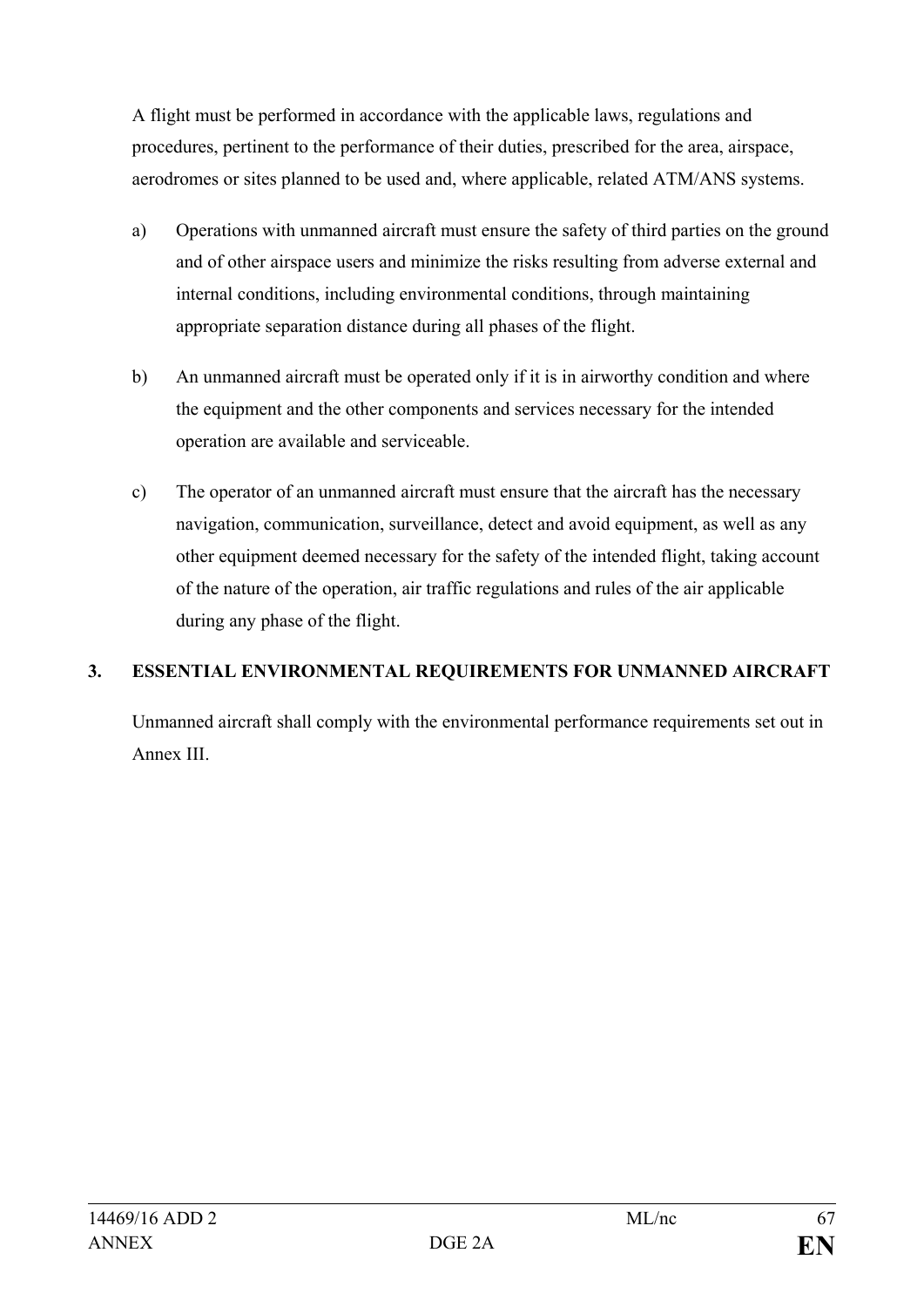A flight must be performed in accordance with the applicable laws, regulations and procedures, pertinent to the performance of their duties, prescribed for the area, airspace, aerodromes or sites planned to be used and, where applicable, related ATM/ANS systems.

- a) Operations with unmanned aircraft must ensure the safety of third parties on the ground and of other airspace users and minimize the risks resulting from adverse external and internal conditions, including environmental conditions, through maintaining appropriate separation distance during all phases of the flight.
- b) An unmanned aircraft must be operated only if it is in airworthy condition and where the equipment and the other components and services necessary for the intended operation are available and serviceable.
- c) The operator of an unmanned aircraft must ensure that the aircraft has the necessary navigation, communication, surveillance, detect and avoid equipment, as well as any other equipment deemed necessary for the safety of the intended flight, taking account of the nature of the operation, air traffic regulations and rules of the air applicable during any phase of the flight.

# **3. ESSENTIAL ENVIRONMENTAL REQUIREMENTS FOR UNMANNED AIRCRAFT**

Unmanned aircraft shall comply with the environmental performance requirements set out in Annex III.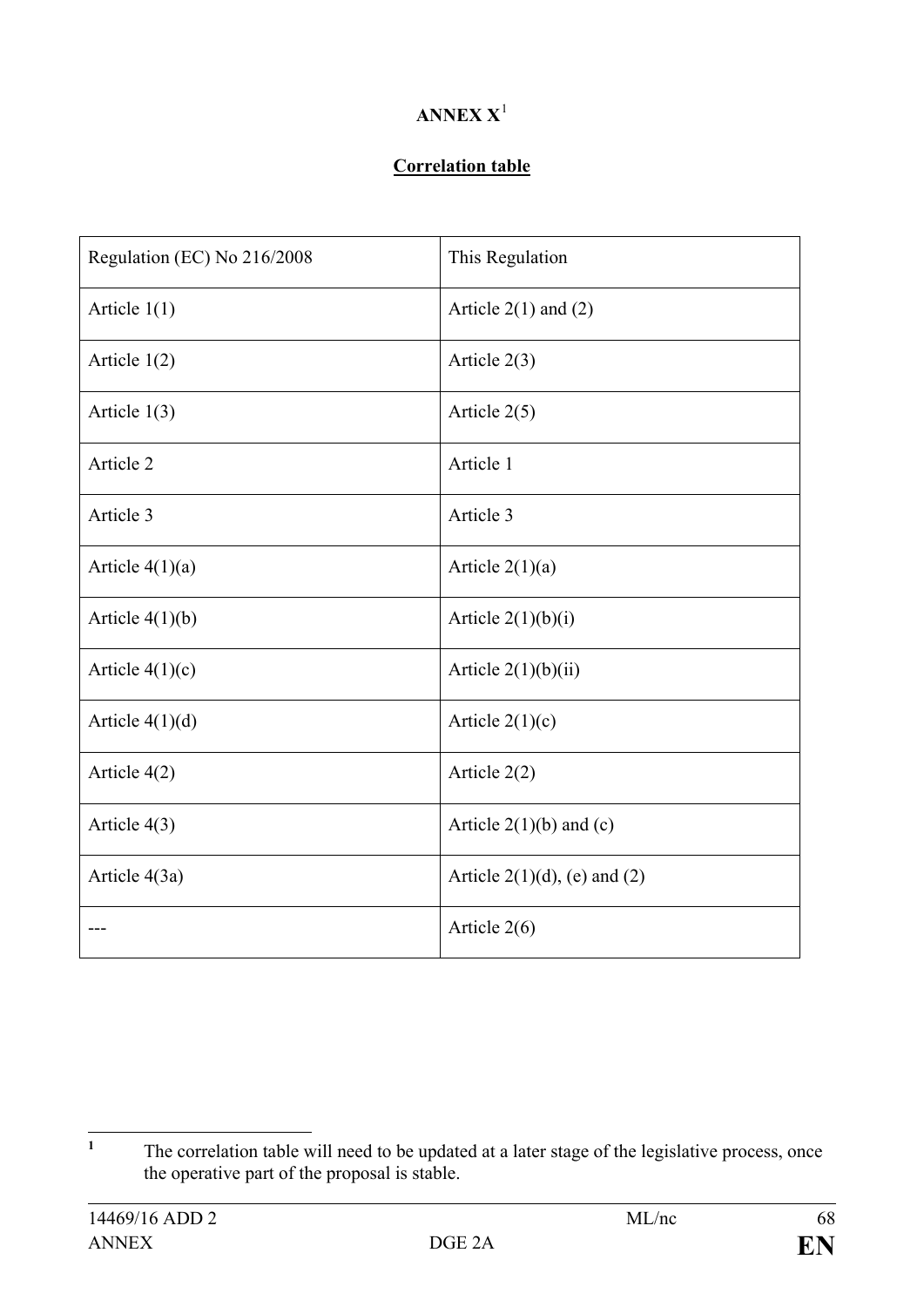# **ANNEX X**[1](#page-67-0)

#### **Correlation table**

| Regulation (EC) No 216/2008 | This Regulation                 |
|-----------------------------|---------------------------------|
| Article $1(1)$              | Article $2(1)$ and $(2)$        |
| Article $1(2)$              | Article $2(3)$                  |
| Article $1(3)$              | Article $2(5)$                  |
| Article 2                   | Article 1                       |
| Article 3                   | Article 3                       |
| Article $4(1)(a)$           | Article $2(1)(a)$               |
| Article $4(1)(b)$           | Article $2(1)(b)(i)$            |
| Article $4(1)(c)$           | Article $2(1)(b)(ii)$           |
| Article $4(1)(d)$           | Article $2(1)(c)$               |
| Article 4(2)                | Article $2(2)$                  |
| Article 4(3)                | Article $2(1)(b)$ and (c)       |
| Article 4(3a)               | Article $2(1)(d)$ , (e) and (2) |
|                             | Article $2(6)$                  |

<span id="page-67-0"></span><sup>&</sup>lt;sup>1</sup> The correlation table will need to be updated at a later stage of the legislative process, once the operative part of the proposal is stable.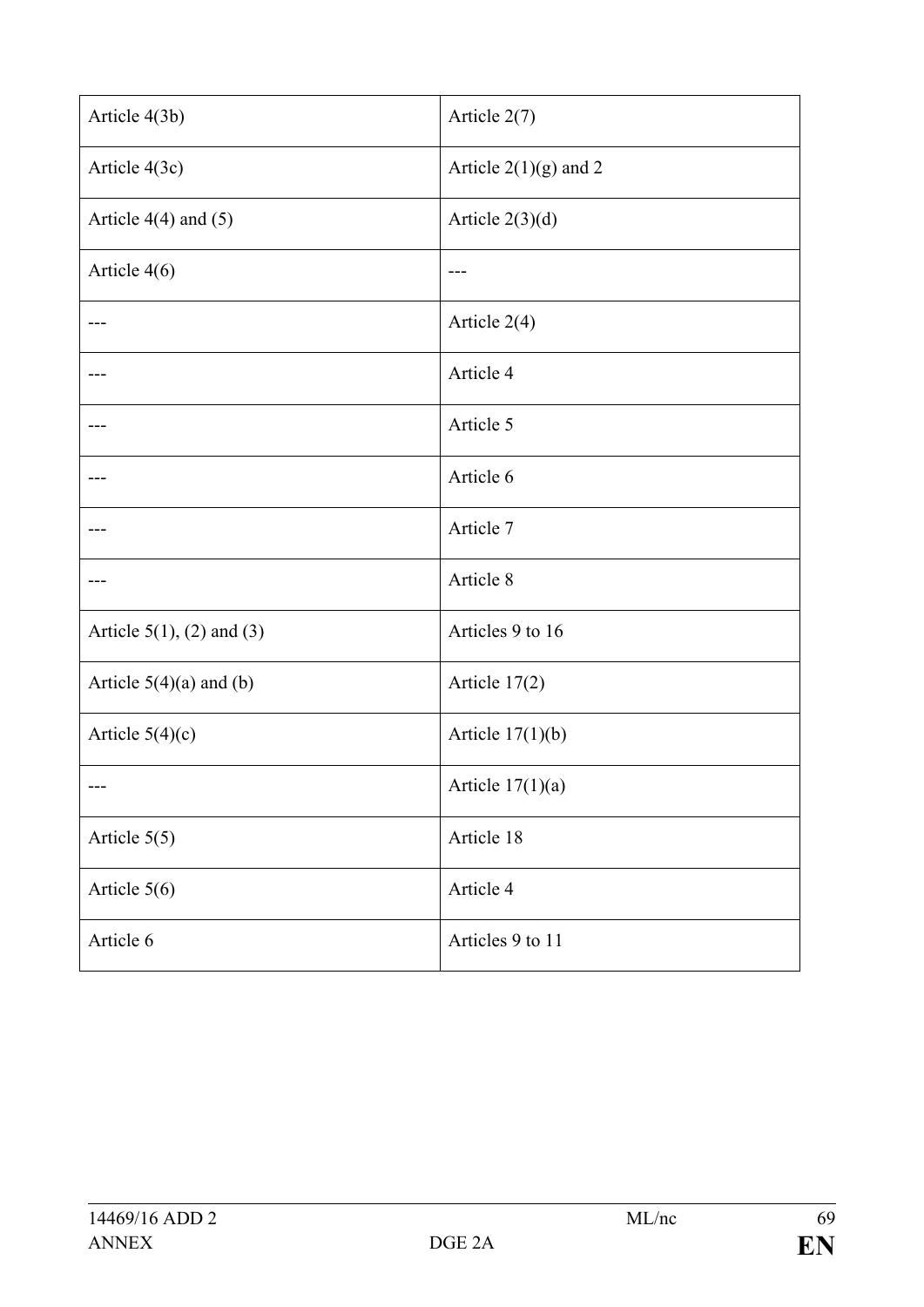| Article 4(3b)                | Article 2(7)            |
|------------------------------|-------------------------|
| Article 4(3c)                | Article $2(1)(g)$ and 2 |
| Article $4(4)$ and $(5)$     | Article $2(3)(d)$       |
| Article 4(6)                 |                         |
|                              | Article $2(4)$          |
|                              | Article 4               |
|                              | Article 5               |
|                              | Article 6               |
|                              | Article 7               |
|                              | Article 8               |
| Article $5(1)$ , (2) and (3) | Articles 9 to 16        |
| Article $5(4)(a)$ and $(b)$  | Article 17(2)           |
| Article $5(4)(c)$            | Article $17(1)(b)$      |
|                              | Article $17(1)(a)$      |
| Article $5(5)$               | Article 18              |
| Article $5(6)$               | Article 4               |
| Article 6                    | Articles 9 to 11        |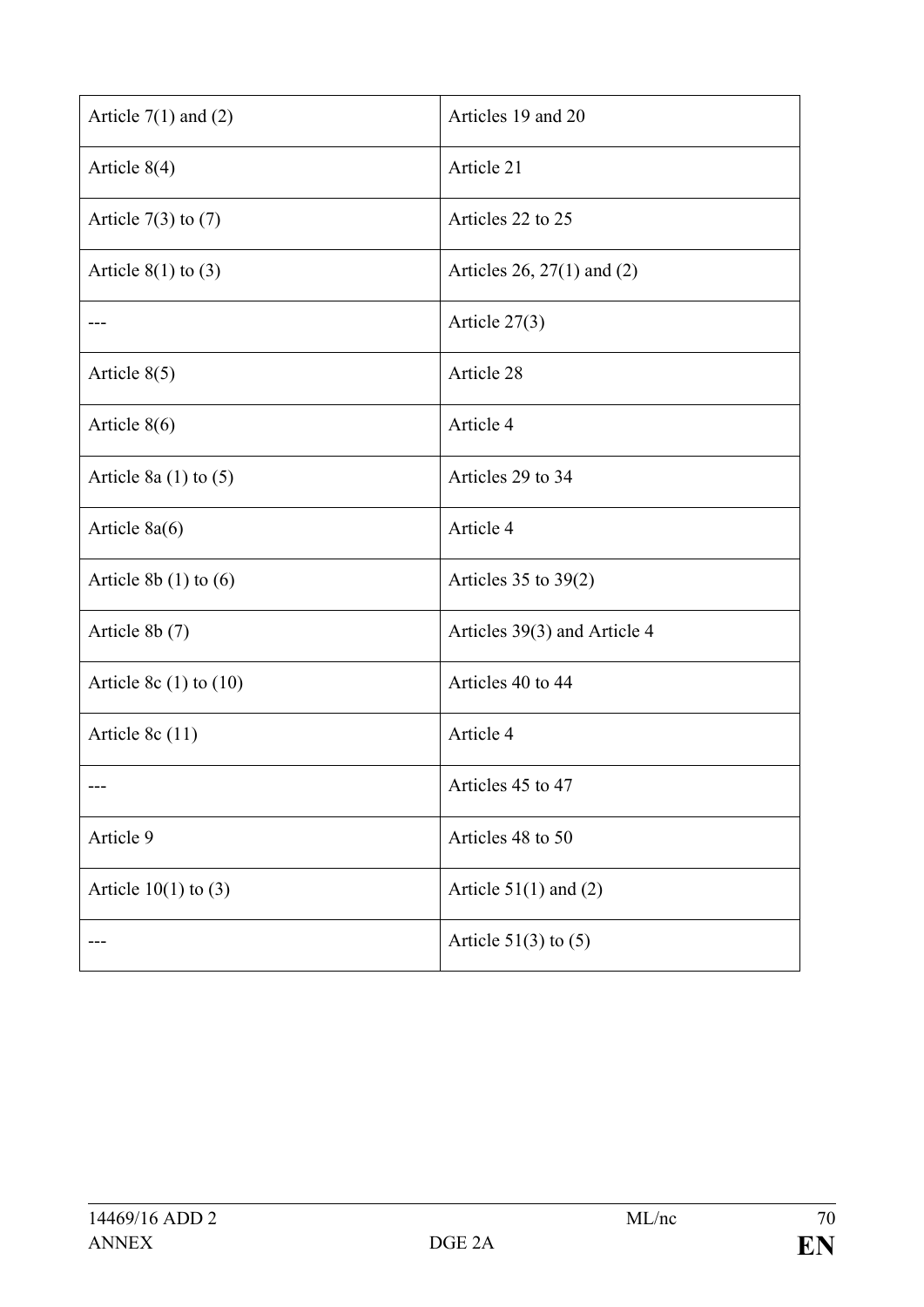| Article $7(1)$ and $(2)$   | Articles 19 and 20           |
|----------------------------|------------------------------|
| Article $8(4)$             | Article 21                   |
| Article $7(3)$ to $(7)$    | Articles 22 to 25            |
| Article $8(1)$ to $(3)$    | Articles 26, 27(1) and (2)   |
|                            | Article $27(3)$              |
| Article $8(5)$             | Article 28                   |
| Article $8(6)$             | Article 4                    |
| Article 8a $(1)$ to $(5)$  | Articles 29 to 34            |
| Article $8a(6)$            | Article 4                    |
| Article $8b(1)$ to $(6)$   | Articles $35$ to $39(2)$     |
| Article 8b (7)             | Articles 39(3) and Article 4 |
| Article 8c $(1)$ to $(10)$ | Articles 40 to 44            |
| Article 8 $c(11)$          | Article 4                    |
|                            | Articles 45 to 47            |
| Article 9                  | Articles 48 to 50            |
| Article $10(1)$ to $(3)$   | Article $51(1)$ and (2)      |
|                            | Article $51(3)$ to $(5)$     |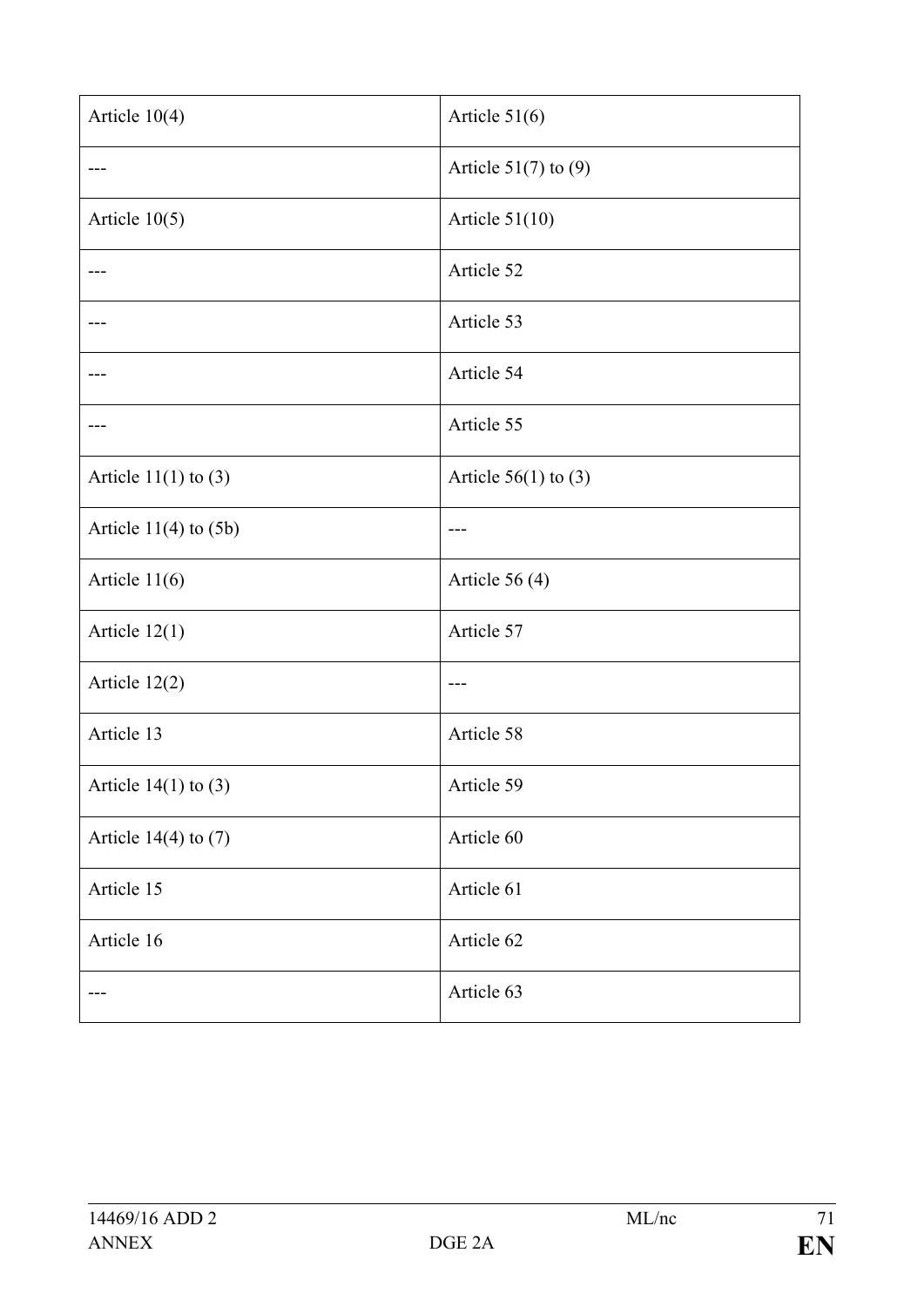| Article $10(4)$           | Article $51(6)$          |
|---------------------------|--------------------------|
|                           | Article $51(7)$ to $(9)$ |
| Article $10(5)$           | Article $51(10)$         |
|                           | Article 52               |
|                           | Article 53               |
|                           | Article 54               |
|                           | Article 55               |
| Article $11(1)$ to $(3)$  | Article $56(1)$ to $(3)$ |
| Article $11(4)$ to $(5b)$ |                          |
| Article $11(6)$           | Article $56(4)$          |
| Article $12(1)$           | Article 57               |
| Article 12(2)             |                          |
| Article 13                | Article 58               |
| Article $14(1)$ to (3)    | Article 59               |
| Article $14(4)$ to $(7)$  | Article 60               |
| Article 15                | Article 61               |
| Article 16                | Article 62               |
|                           | Article 63               |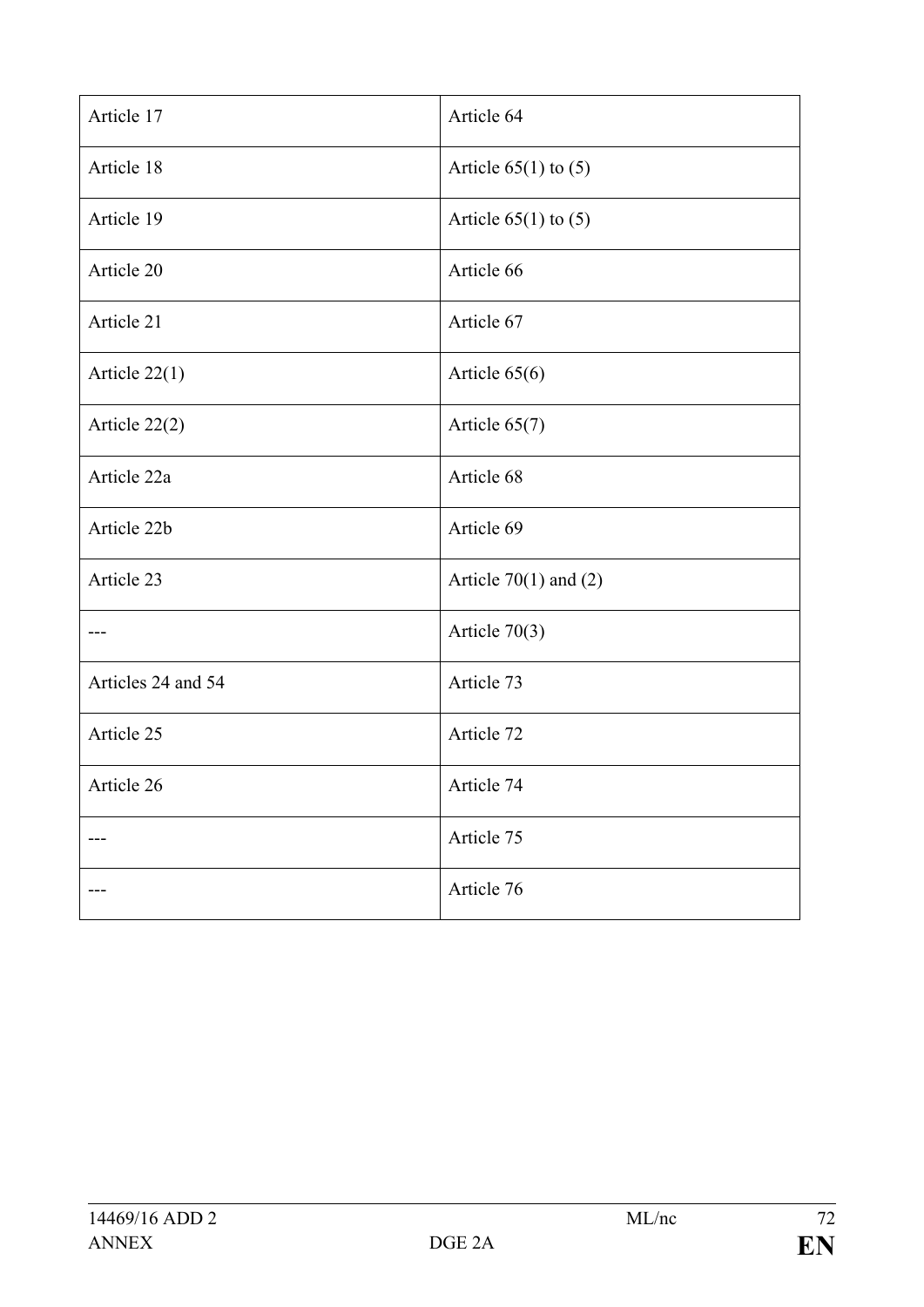| Article 17         | Article 64                |
|--------------------|---------------------------|
| Article 18         | Article $65(1)$ to $(5)$  |
| Article 19         | Article $65(1)$ to $(5)$  |
| Article 20         | Article 66                |
| Article 21         | Article 67                |
| Article $22(1)$    | Article $65(6)$           |
| Article 22(2)      | Article 65(7)             |
| Article 22a        | Article 68                |
| Article 22b        | Article 69                |
| Article 23         | Article $70(1)$ and $(2)$ |
|                    | Article $70(3)$           |
| Articles 24 and 54 | Article 73                |
| Article 25         | Article 72                |
| Article 26         | Article 74                |
|                    | Article 75                |
|                    | Article 76                |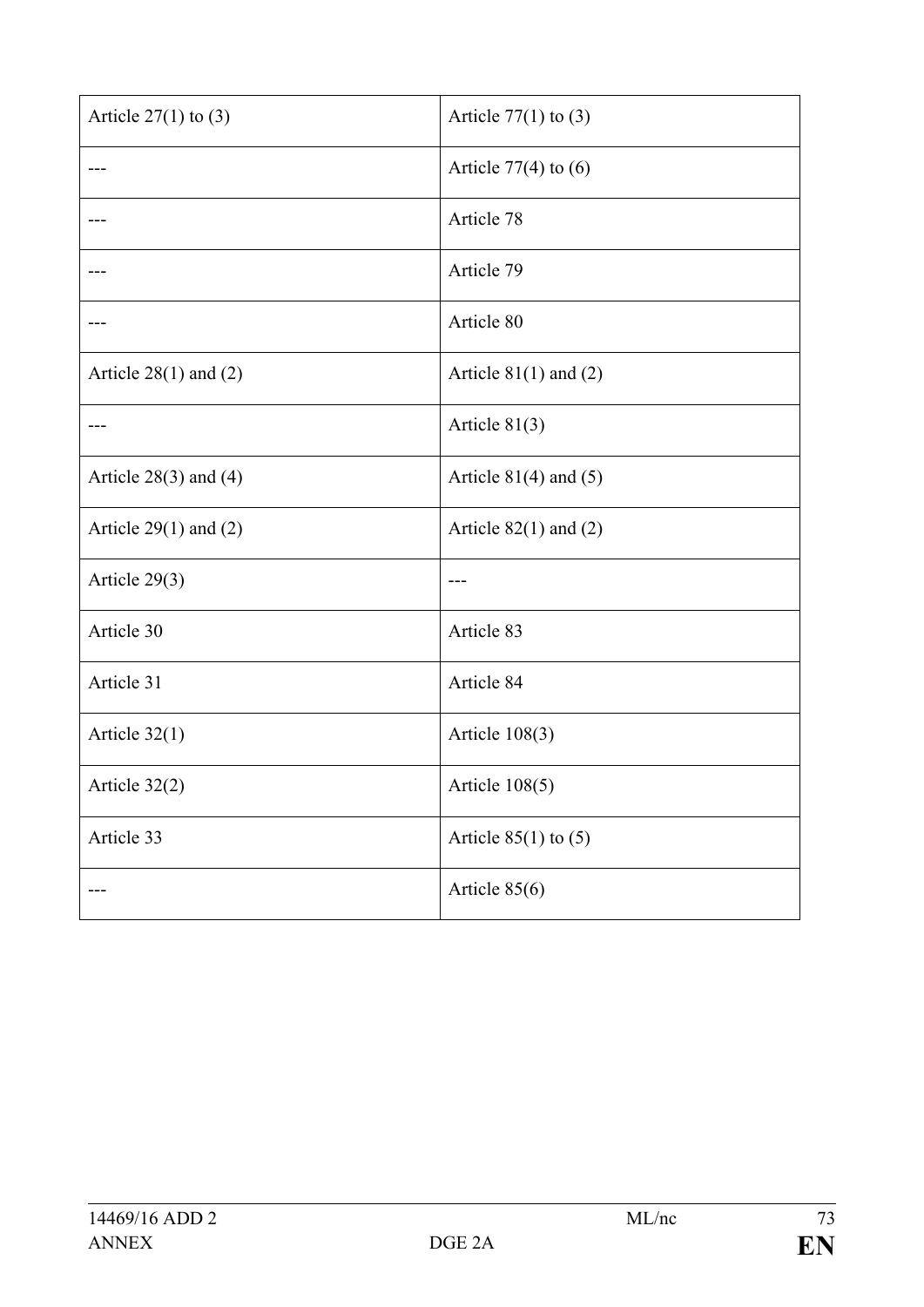| Article $27(1)$ to (3)    | Article $77(1)$ to $(3)$  |
|---------------------------|---------------------------|
|                           | Article $77(4)$ to $(6)$  |
|                           | Article 78                |
|                           | Article 79                |
|                           | Article 80                |
| Article $28(1)$ and $(2)$ | Article $81(1)$ and $(2)$ |
|                           | Article $81(3)$           |
| Article $28(3)$ and $(4)$ | Article $81(4)$ and $(5)$ |
| Article $29(1)$ and $(2)$ | Article $82(1)$ and $(2)$ |
| Article 29(3)             |                           |
| Article 30                | Article 83                |
| Article 31                | Article 84                |
| Article $32(1)$           | Article $108(3)$          |
| Article 32(2)             | Article $108(5)$          |
| Article 33                | Article $85(1)$ to $(5)$  |
|                           | Article 85(6)             |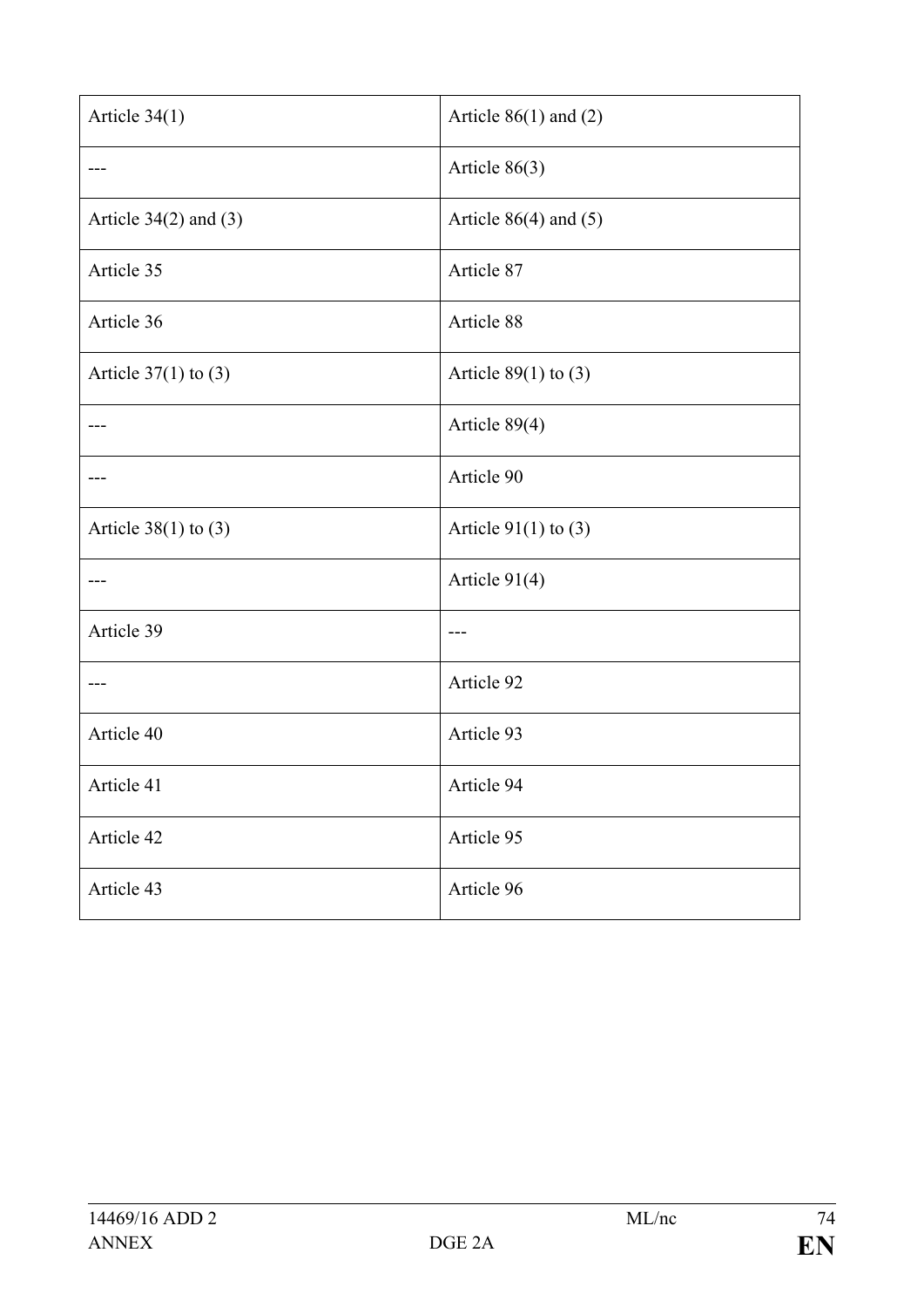| Article 34(1)             | Article $86(1)$ and $(2)$ |
|---------------------------|---------------------------|
|                           | Article 86(3)             |
| Article $34(2)$ and $(3)$ | Article $86(4)$ and $(5)$ |
| Article 35                | Article 87                |
| Article 36                | Article 88                |
| Article $37(1)$ to $(3)$  | Article $89(1)$ to (3)    |
|                           | Article 89(4)             |
|                           | Article 90                |
| Article $38(1)$ to $(3)$  | Article $91(1)$ to (3)    |
| $---$                     | Article 91(4)             |
| Article 39                |                           |
|                           | Article 92                |
| Article 40                | Article 93                |
| Article 41                | Article 94                |
| Article 42                | Article 95                |
| Article 43                | Article 96                |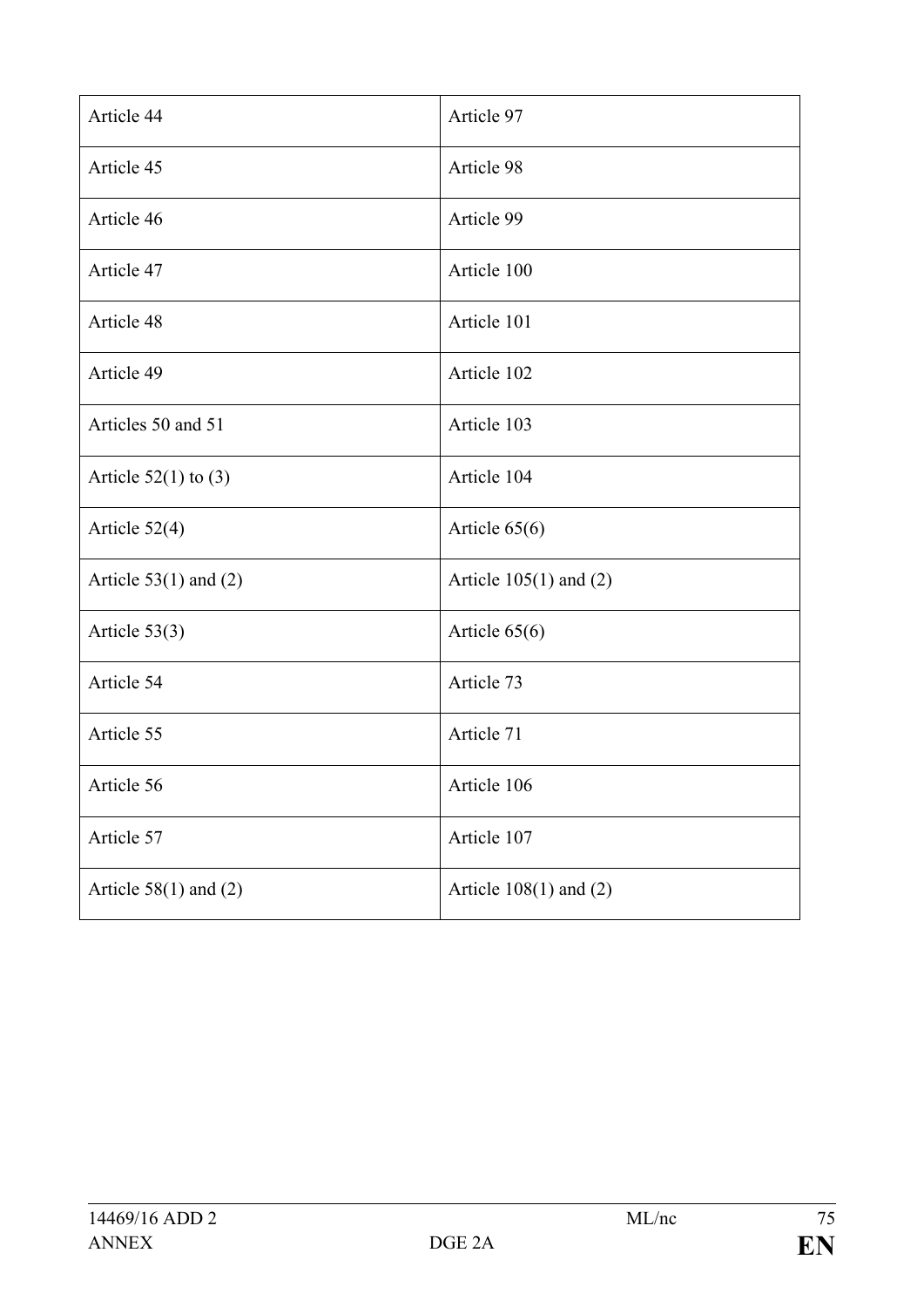| Article 44                | Article 97                 |
|---------------------------|----------------------------|
| Article 45                | Article 98                 |
| Article 46                | Article 99                 |
| Article 47                | Article 100                |
| Article 48                | Article 101                |
| Article 49                | Article 102                |
| Articles 50 and 51        | Article 103                |
| Article $52(1)$ to (3)    | Article 104                |
| Article $52(4)$           | Article $65(6)$            |
| Article $53(1)$ and $(2)$ | Article $105(1)$ and $(2)$ |
| Article $53(3)$           | Article 65(6)              |
| Article 54                | Article 73                 |
| Article 55                | Article 71                 |
| Article 56                | Article 106                |
| Article 57                | Article 107                |
| Article $58(1)$ and $(2)$ | Article $108(1)$ and $(2)$ |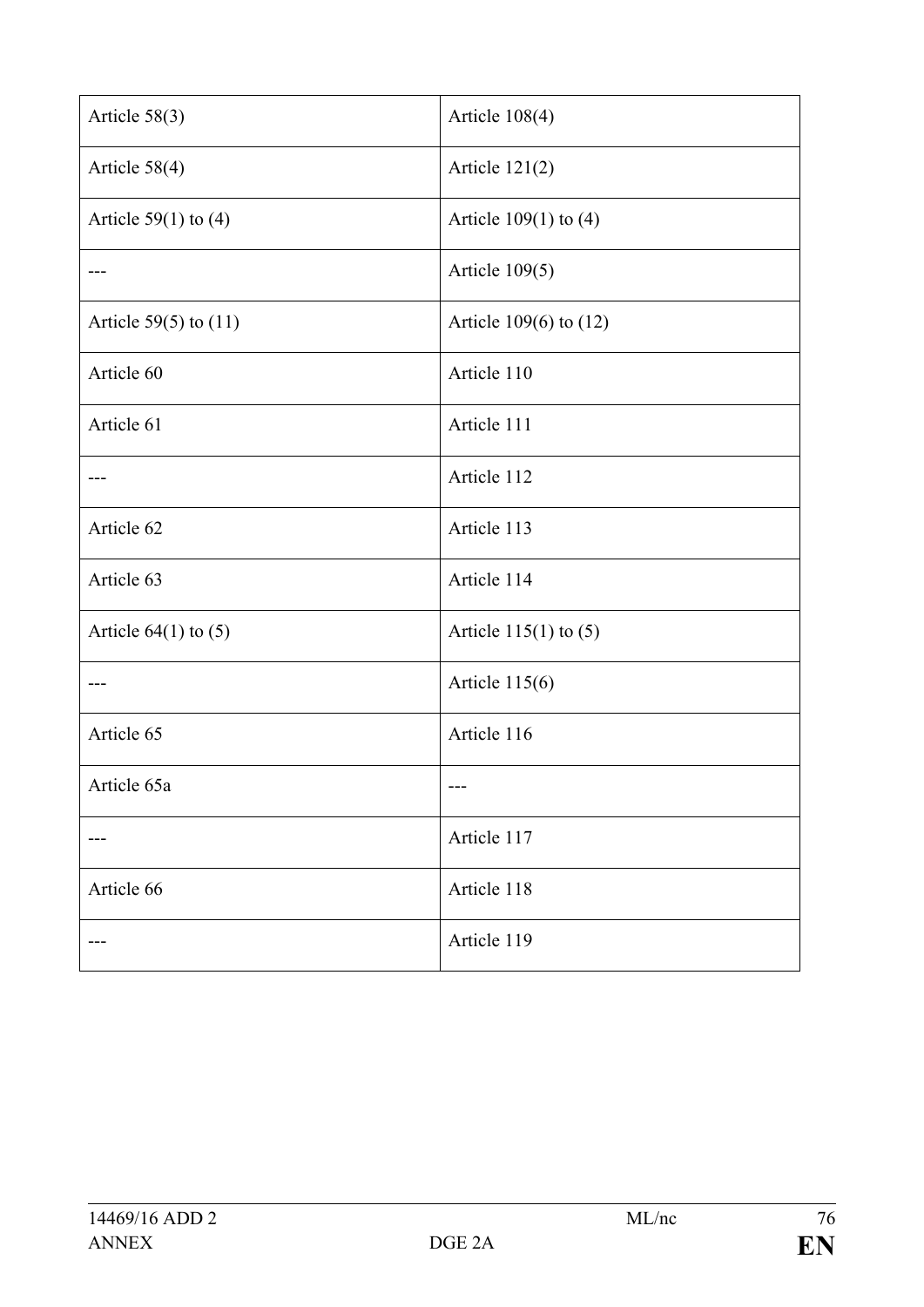| Article 58(3)             | Article 108(4)            |
|---------------------------|---------------------------|
| Article 58(4)             | Article $121(2)$          |
| Article $59(1)$ to (4)    | Article $109(1)$ to $(4)$ |
|                           | Article $109(5)$          |
| Article $59(5)$ to $(11)$ | Article 109(6) to (12)    |
| Article 60                | Article 110               |
| Article 61                | Article 111               |
|                           | Article 112               |
| Article 62                | Article 113               |
| Article 63                | Article 114               |
| Article $64(1)$ to $(5)$  | Article $115(1)$ to $(5)$ |
|                           | Article $115(6)$          |
| Article 65                | Article 116               |
| Article 65a               |                           |
|                           | Article 117               |
| Article 66                | Article 118               |
|                           | Article 119               |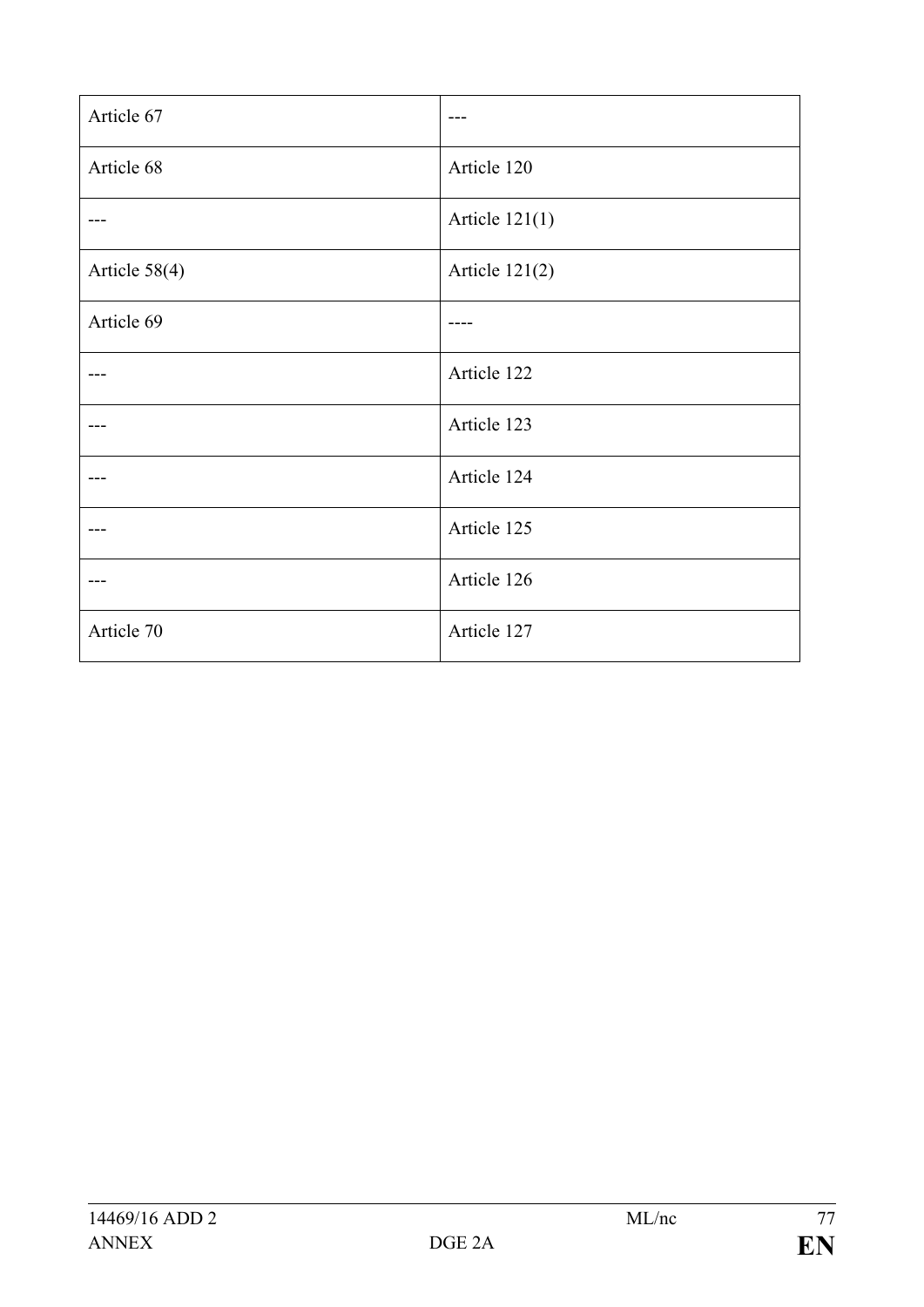| Article 67    | $- -$            |
|---------------|------------------|
| Article 68    | Article 120      |
|               | Article $121(1)$ |
| Article 58(4) | Article $121(2)$ |
| Article 69    |                  |
|               | Article 122      |
|               | Article 123      |
|               | Article 124      |
|               | Article 125      |
|               | Article 126      |
| Article 70    | Article 127      |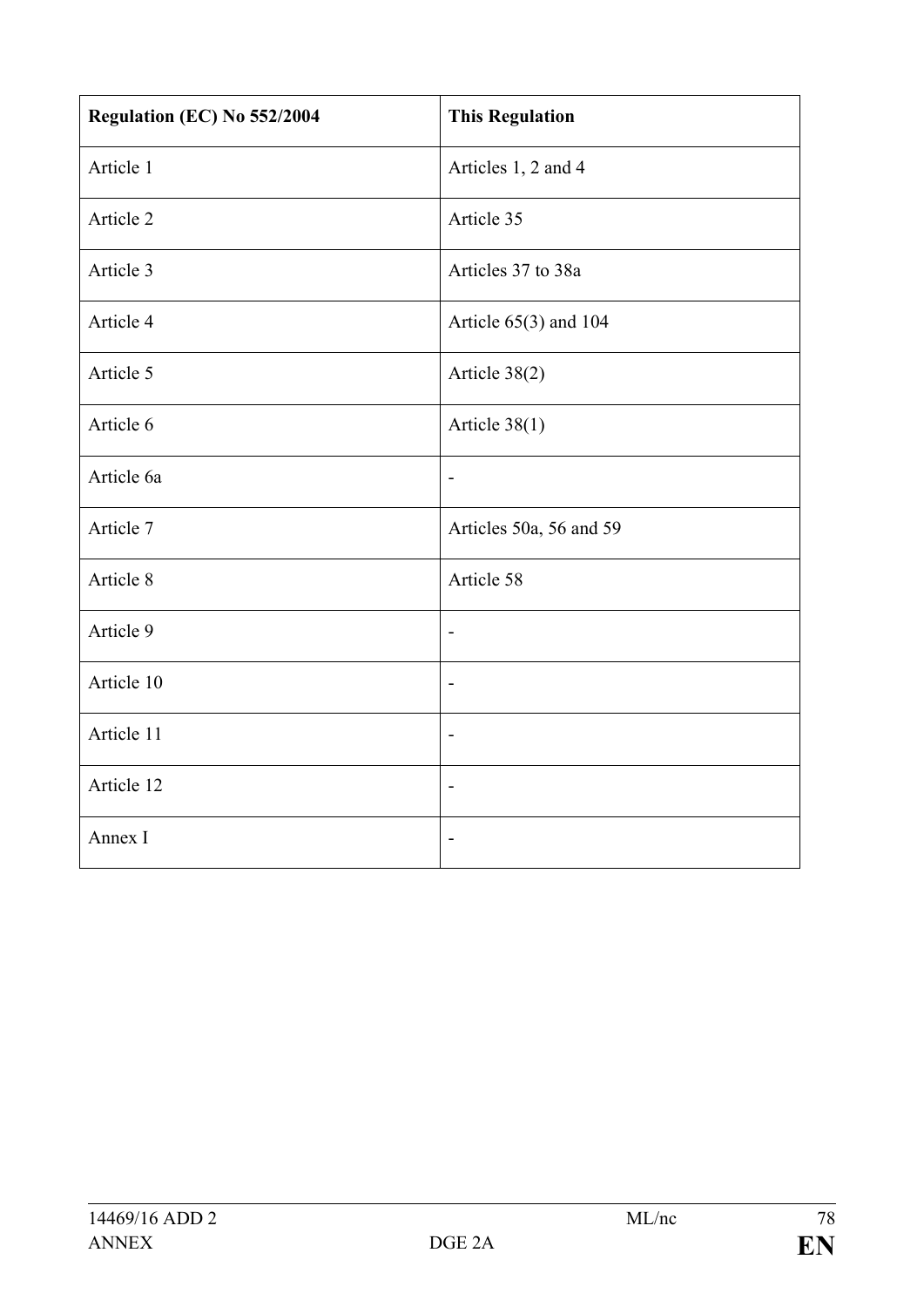| Regulation (EC) No 552/2004 | <b>This Regulation</b>   |
|-----------------------------|--------------------------|
| Article 1                   | Articles 1, 2 and 4      |
| Article 2                   | Article 35               |
| Article 3                   | Articles 37 to 38a       |
| Article 4                   | Article $65(3)$ and 104  |
| Article 5                   | Article 38(2)            |
| Article 6                   | Article $38(1)$          |
| Article 6a                  | $\overline{\phantom{a}}$ |
| Article 7                   | Articles 50a, 56 and 59  |
| Article 8                   | Article 58               |
| Article 9                   | $\overline{\phantom{a}}$ |
| Article 10                  | -                        |
| Article 11                  | $\blacksquare$           |
| Article 12                  | $\overline{a}$           |
| Annex I                     | $\overline{a}$           |